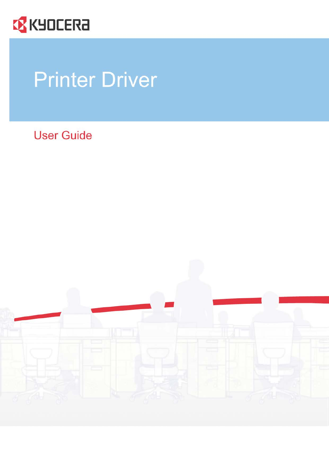

# **Printer Driver**

**User Guide** 

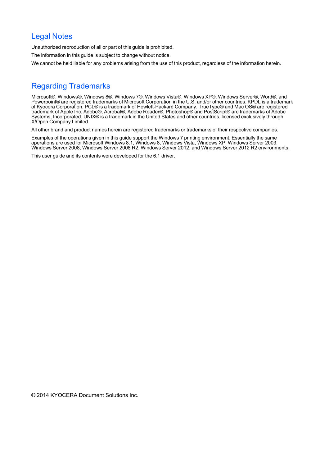# Legal Notes

Unauthorized reproduction of all or part of this guide is prohibited.

The information in this guide is subject to change without notice.

We cannot be held liable for any problems arising from the use of this product, regardless of the information herein.

# Regarding Trademarks

Microsoft®, Windows®, Windows 8®, Windows 7®, Windows Vista®, Windows XP®, Windows Server®, Word®, and Powerpoint® are registered trademarks of Microsoft Corporation in the U.S. and/or other countries. KPDL is a trademark of Kyocera Corporation. PCL® is a trademark of Hewlett-Packard Company. TrueType® and Mac OS® are registered trademark of Apple Inc. Adobe®, Acrobat®, Adobe Reader®, Photoshop® and PostScript® are trademarks of Adobe Systems, Incorporated. UNIX® is a trademark in the United States and other countries, licensed exclusively through X/Open Company Limited.

All other brand and product names herein are registered trademarks or trademarks of their respective companies.

Examples of the operations given in this guide support the Windows 7 printing environment. Essentially the same operations are used for Microsoft Windows 8.1, Windows 8, Windows Vista, Windows XP, Windows Server 2003, Windows Server 2008, Windows Server 2008 R2, Windows Server 2012, and Windows Server 2012 R2 environments.

This user guide and its contents were developed for the 6.1 driver.

© 2014 KYOCERA Document Solutions Inc.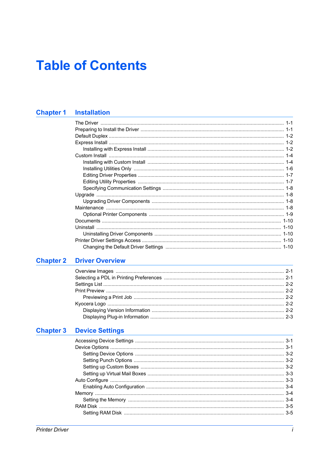# **Table of Contents**

# **Chapter 1 Installation**

# **Chapter 2 Driver Overview**

# **Chapter 3 Device Settings**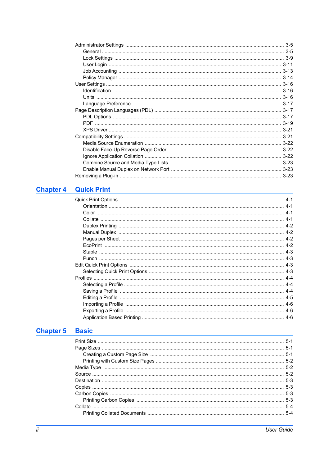| $3-5$ |
|-------|
|       |
|       |
|       |
|       |
|       |
|       |
|       |
|       |
|       |
|       |
|       |
|       |
|       |
|       |
|       |
|       |
|       |
|       |
|       |
|       |

# **Chapter 4 Quick Print Chapter 4 Quick Print**

# **Chapter 5 Basic**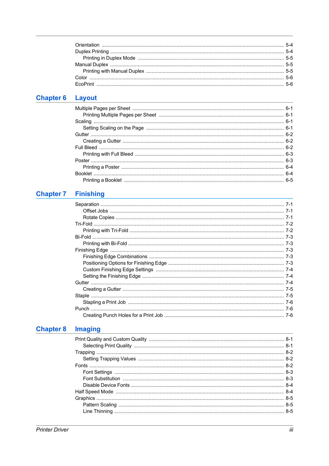# Chapter 6 Layout 2008 2009 2010 2021 2022 2023 2024 2022 2023 2024 2022 2023 2024 2022 2023 2024 2025 2026 20

# **Chapter 7 Finishing Chapter 7 Finishing**

# **Chapter 8 Imaging Chapter 8 Imaging**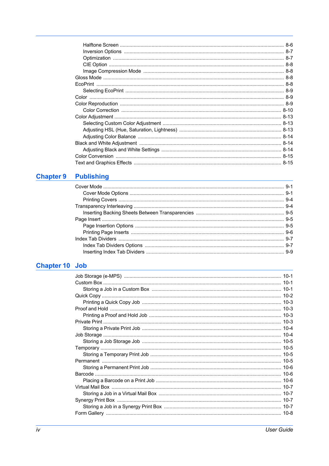# **Chapter 9 Publishing Chapter 9 Publishing**

# **Chapter 10 Job Chapter 10 Job**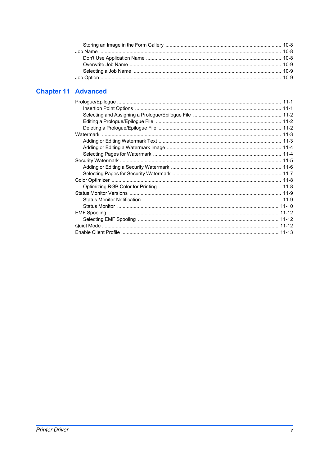# **Chapter 11 Advanced**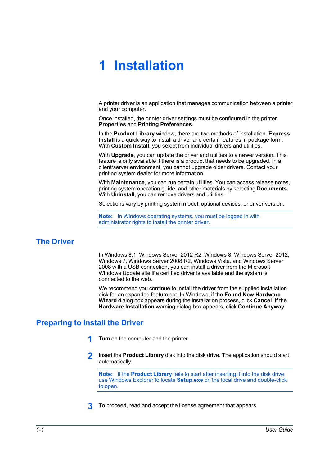# **1 Installation**

A printer driver is an application that manages communication between a printer and your computer.

Once installed, the printer driver settings must be configured in the printer **Properties** and **Printing Preferences**.

In the **Product Library** window, there are two methods of installation. **Express Install** is a quick way to install a driver and certain features in package form. With **Custom Install**, you select from individual drivers and utilities.

With **Upgrade**, you can update the driver and utilities to a newer version. This feature is only available if there is a product that needs to be upgraded. In a client/server environment, you cannot upgrade older drivers. Contact your printing system dealer for more information.

With **Maintenance**, you can run certain utilities. You can access release notes, printing system operation guide, and other materials by selecting **Documents**. With **Uninstall**, you can remove drivers and utilities.

Selections vary by printing system model, optional devices, or driver version.

**Note:** In Windows operating systems, you must be logged in with administrator rights to install the printer driver.

# <span id="page-7-0"></span>**[The Driver](#page-7-0)**

In Windows 8.1, Windows Server 2012 R2, Windows 8, Windows Server 2012, Windows 7, Windows Server 2008 R2, Windows Vista, and Windows Server 2008 with a USB connection, you can install a driver from the Microsoft Windows Update site if a certified driver is available and the system is connected to the web.

We recommend you continue to install the driver from the supplied installation disk for an expanded feature set. In Windows, if the **Found New Hardware Wizard** dialog box appears during the installation process, click **Cancel**. If the **Hardware Installation** warning dialog box appears, click **Continue Anyway**.

# <span id="page-7-1"></span>**[Preparing to Install the Driver](#page-7-1)**

- **1** Turn on the computer and the printer.
- **2** Insert the **Product Library** disk into the disk drive. The application should start automatically.

**Note:** If the **Product Library** fails to start after inserting it into the disk drive, use Windows Explorer to locate **Setup.exe** on the local drive and double-click to open.

**3** To proceed, read and accept the license agreement that appears.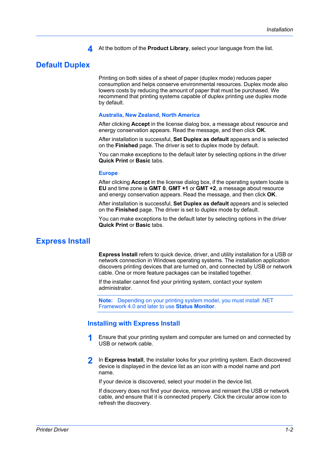**4** At the bottom of the **Product Library**, select your language from the list.

# <span id="page-8-0"></span>**[Default Duplex](#page-8-0)**

Printing on both sides of a sheet of paper (duplex mode) reduces paper consumption and helps conserve environmental resources. Duplex mode also lowers costs by reducing the amount of paper that must be purchased. We recommend that printing systems capable of duplex printing use duplex mode by default.

#### **Australia, New Zealand, North America**

After clicking **Accept** in the license dialog box, a message about resource and energy conservation appears. Read the message, and then click **OK**.

After installation is successful, **Set Duplex as default** appears and is selected on the **Finished** page. The driver is set to duplex mode by default.

You can make exceptions to the default later by selecting options in the driver **Quick Print** or **Basic** tabs.

#### **Europe**

After clicking **Accept** in the license dialog box, if the operating system locale is **EU** and time zone is **GMT 0**, **GMT +1** or **GMT +2**, a message about resource and energy conservation appears. Read the message, and then click **OK**.

After installation is successful, **Set Duplex as default** appears and is selected on the **Finished** page. The driver is set to duplex mode by default.

You can make exceptions to the default later by selecting options in the driver **Quick Print** or **Basic** tabs.

#### <span id="page-8-1"></span>**[Express Install](#page-8-1)**

**Express Install** refers to quick device, driver, and utility installation for a USB or network connection in Windows operating systems. The installation application discovers printing devices that are turned on, and connected by USB or network cable. One or more feature packages can be installed together.

If the installer cannot find your printing system, contact your system administrator.

**Note:** Depending on your printing system model, you must install .NET Framework 4.0 and later to use **Status Monitor**.

#### <span id="page-8-2"></span>**[Installing with Express Install](#page-8-2)**

- **1** Ensure that your printing system and computer are turned on and connected by USB or network cable.
- **2** In **Express Install**, the installer looks for your printing system. Each discovered device is displayed in the device list as an icon with a model name and port name.

If your device is discovered, select your model in the device list.

If discovery does not find your device, remove and reinsert the USB or network cable, and ensure that it is connected properly. Click the circular arrow icon to refresh the discovery.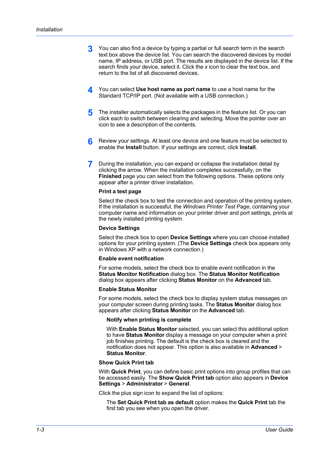- **3** You can also find a device by typing a partial or full search term in the search text box above the device list. You can search the discovered devices by model name, IP address, or USB port. The results are displayed in the device list. If the search finds your device, select it. Click the *x* icon to clear the text box, and return to the list of all discovered devices.
- **4** You can select **Use host name as port name** to use a host name for the Standard TCP/IP port. (Not available with a USB connection.)
- **5** The installer automatically selects the packages in the feature list. Or you can click each to switch between clearing and selecting. Move the pointer over an icon to see a description of the contents.
- **6** Review your settings. At least one device and one feature must be selected to enable the **Install** button. If your settings are correct, click **Install**.
- **7** During the installation, you can expand or collapse the installation detail by clicking the arrow. When the installation completes successfully, on the **Finished** page you can select from the following options. These options only appear after a printer driver installation.

#### **Print a test page**

Select the check box to test the connection and operation of the printing system. If the installation is successful, the *Windows Printer Test Page*, containing your computer name and information on your printer driver and port settings, prints at the newly installed printing system.

#### **Device Settings**

Select the check box to open **Device Settings** where you can choose installed options for your printing system. (The **Device Settings** check box appears only in Windows XP with a network connection.)

#### **Enable event notification**

For some models, select the check box to enable event notification in the **Status Monitor Notification** dialog box. The **Status Monitor Notification** dialog box appears after clicking **Status Monitor** on the **Advanced** tab.

#### **Enable Status Monitor**

For some models, select the check box to display system status messages on your computer screen during printing tasks. The **Status Monitor** dialog box appears after clicking **Status Monitor** on the **Advanced** tab.

#### **Notify when printing is complete**

With **Enable Status Monitor** selected, you can select this additional option to have **Status Monitor** display a message on your computer when a print job finishes printing. The default is the check box is cleared and the notification does not appear. This option is also available in **Advanced** > **Status Monitor**.

#### **Show Quick Print tab**

With **Quick Print**, you can define basic print options into group profiles that can be accessed easily. The **Show Quick Print tab** option also appears in **Device Settings** > **Administrator** > **General**.

Click the plus sign icon to expand the list of options:

The **Set Quick Print tab as default** option makes the **Quick Print** tab the first tab you see when you open the driver.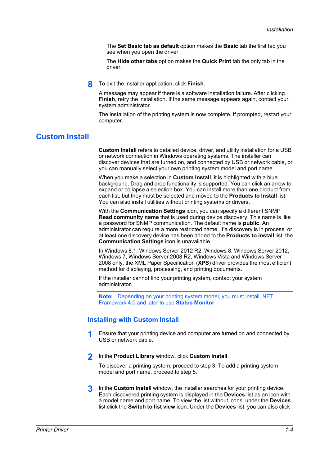The **Set Basic tab as default** option makes the **Basic** tab the first tab you see when you open the driver.

The **Hide other tabs** option makes the **Quick Print** tab the only tab in the driver.

**8** To exit the installer application, click **Finish**.

A message may appear if there is a software installation failure. After clicking **Finish**, retry the installation. If the same message appears again, contact your system administrator.

The installation of the printing system is now complete. If prompted, restart your computer.

# <span id="page-10-0"></span>**[Custom Install](#page-10-0)**

**Custom Install** refers to detailed device, driver, and utility installation for a USB or network connection in Windows operating systems. The installer can discover devices that are turned on, and connected by USB or network cable, or you can manually select your own printing system model and port name.

When you make a selection in **Custom Install**, it is highlighted with a blue background. Drag and drop functionality is supported. You can click an arrow to expand or collapse a selection box. You can install more than one product from each list, but they must be selected and moved to the **Products to Install** list. You can also install utilities without printing systems or drivers.

With the **Communication Settings** icon, you can specify a different SNMP **Read community name** that is used during device discovery. This name is like a password for SNMP communication. The default name is **public**. An administrator can require a more restricted name. If a discovery is in process, or at least one discovery device has been added to the **Products to install** list, the **Communication Settings** icon is unavailable

In Windows 8.1, Windows Server 2012 R2, Windows 8, Windows Server 2012, Windows 7, Windows Server 2008 R2, Windows Vista and Windows Server 2008 only, the XML Paper Specification (**XPS**) driver provides the most efficient method for displaying, processing, and printing documents.

If the installer cannot find your printing system, contact your system administrator.

**Note:** Depending on your printing system model, you must install .NET Framework 4.0 and later to use **Status Monitor**.

#### <span id="page-10-1"></span>**[Installing with Custom Install](#page-10-1)**

- **1** Ensure that your printing device and computer are turned on and connected by USB or network cable.
- **2** In the **Product Library** window, click **Custom Install**.

To discover a printing system, proceed to step 3. To add a printing system model and port name, proceed to step 5.

**3** In the **Custom Install** window, the installer searches for your printing device. Each discovered printing system is displayed in the **Devices** list as an icon with a model name and port name. To view the list without icons, under the **Devices** list click the **Switch to list view** icon. Under the **Devices** list, you can also click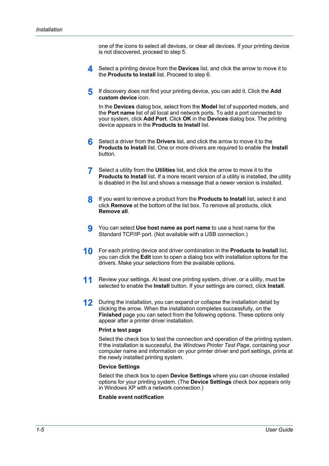one of the icons to select all devices, or clear all devices. If your printing device is not discovered, proceed to step 5.

- **4** Select a printing device from the **Devices** list, and click the arrow to move it to the **Products to Install** list. Proceed to step 6.
- **5** If discovery does not find your printing device, you can add it. Click the **Add custom device** icon.

In the **Devices** dialog box, select from the **Model** list of supported models, and the **Port name** list of all local and network ports. To add a port connected to your system, click **Add Port**. Click **OK** in the **Devices** dialog box. The printing device appears in the **Products to Install** list.

- **6** Select a driver from the **Drivers** list, and click the arrow to move it to the **Products to Install** list. One or more drivers are required to enable the **Install** button.
- **7** Select a utility from the **Utilities** list, and click the arrow to move it to the **Products to Install** list. If a more recent version of a utility is installed, the utility is disabled in the list and shows a message that a newer version is installed.
- **8** If you want to remove a product from the **Products to Install** list, select it and click **Remove** at the bottom of the list box. To remove all products, click **Remove all**.
- **9** You can select **Use host name as port name** to use a host name for the Standard TCP/IP port. (Not available with a USB connection.)
- **10** For each printing device and driver combination in the **Products to Install** list, you can click the **Edit** icon to open a dialog box with installation options for the drivers. Make your selections from the available options.
- **11** Review your settings. At least one printing system, driver, or a utility, must be selected to enable the **Install** button. If your settings are correct, click **Install**.
- **12** During the installation, you can expand or collapse the installation detail by clicking the arrow. When the installation completes successfully, on the **Finished** page you can select from the following options. These options only appear after a printer driver installation.

#### **Print a test page**

Select the check box to test the connection and operation of the printing system. If the installation is successful, the *Windows Printer Test Page*, containing your computer name and information on your printer driver and port settings, prints at the newly installed printing system.

#### **Device Settings**

Select the check box to open **Device Settings** where you can choose installed options for your printing system. (The **Device Settings** check box appears only in Windows XP with a network connection.)

#### **Enable event notification**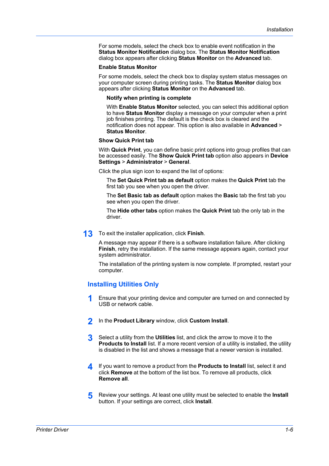For some models, select the check box to enable event notification in the **Status Monitor Notification** dialog box. The **Status Monitor Notification** dialog box appears after clicking **Status Monitor** on the **Advanced** tab.

#### **Enable Status Monitor**

For some models, select the check box to display system status messages on your computer screen during printing tasks. The **Status Monitor** dialog box appears after clicking **Status Monitor** on the **Advanced** tab.

#### **Notify when printing is complete**

With **Enable Status Monitor** selected, you can select this additional option to have **Status Monitor** display a message on your computer when a print job finishes printing. The default is the check box is cleared and the notification does not appear. This option is also available in **Advanced** > **Status Monitor**.

#### **Show Quick Print tab**

With **Quick Print**, you can define basic print options into group profiles that can be accessed easily. The **Show Quick Print tab** option also appears in **Device Settings** > **Administrator** > **General**.

Click the plus sign icon to expand the list of options:

The **Set Quick Print tab as default** option makes the **Quick Print** tab the first tab you see when you open the driver.

The **Set Basic tab as default** option makes the **Basic** tab the first tab you see when you open the driver.

The **Hide other tabs** option makes the **Quick Print** tab the only tab in the driver.

**13** To exit the installer application, click **Finish**.

A message may appear if there is a software installation failure. After clicking **Finish**, retry the installation. If the same message appears again, contact your system administrator.

The installation of the printing system is now complete. If prompted, restart your computer.

#### <span id="page-12-0"></span>**[Installing Utilities Only](#page-12-0)**

- **1** Ensure that your printing device and computer are turned on and connected by USB or network cable.
- **2** In the **Product Library** window, click **Custom Install**.
- **3** Select a utility from the **Utilities** list, and click the arrow to move it to the **Products to Install** list. If a more recent version of a utility is installed, the utility is disabled in the list and shows a message that a newer version is installed.
- **4** If you want to remove a product from the **Products to Install** list, select it and click **Remove** at the bottom of the list box. To remove all products, click **Remove all**.
- **5** Review your settings. At least one utility must be selected to enable the **Install** button. If your settings are correct, click **Install**.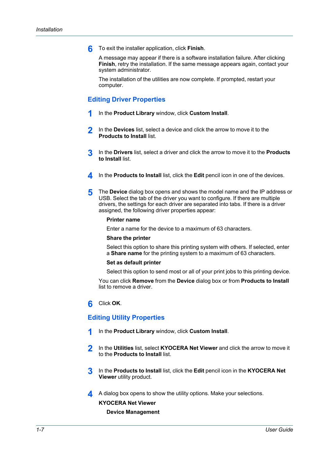**6** To exit the installer application, click **Finish**.

A message may appear if there is a software installation failure. After clicking **Finish**, retry the installation. If the same message appears again, contact your system administrator.

The installation of the utilities are now complete. If prompted, restart your computer.

#### <span id="page-13-0"></span>**[Editing Driver Properties](#page-13-0)**

- **1** In the **Product Library** window, click **Custom Install**.
- **2** In the **Devices** list, select a device and click the arrow to move it to the **Products to Install** list.
- **3** In the **Drivers** list, select a driver and click the arrow to move it to the **Products to Install** list.
- **4** In the **Products to Install** list, click the **Edit** pencil icon in one of the devices.
- **5** The **Device** dialog box opens and shows the model name and the IP address or USB. Select the tab of the driver you want to configure. If there are multiple drivers, the settings for each driver are separated into tabs. If there is a driver assigned, the following driver properties appear:

#### **Printer name**

Enter a name for the device to a maximum of 63 characters.

#### **Share the printer**

Select this option to share this printing system with others. If selected, enter a **Share name** for the printing system to a maximum of 63 characters.

#### **Set as default printer**

Select this option to send most or all of your print jobs to this printing device.

You can click **Remove** from the **Device** dialog box or from **Products to Install** list to remove a driver.

#### **6** Click **OK**.

#### <span id="page-13-1"></span>**[Editing Utility Properties](#page-13-1)**

- **1** In the **Product Library** window, click **Custom Install**.
- **2** In the **Utilities** list, select **KYOCERA Net Viewer** and click the arrow to move it to the **Products to Install** list.
- **3** In the **Products to Install** list, click the **Edit** pencil icon in the **KYOCERA Net Viewer** utility product.
- **4** A dialog box opens to show the utility options. Make your selections.

#### **KYOCERA Net Viewer**

#### **Device Management**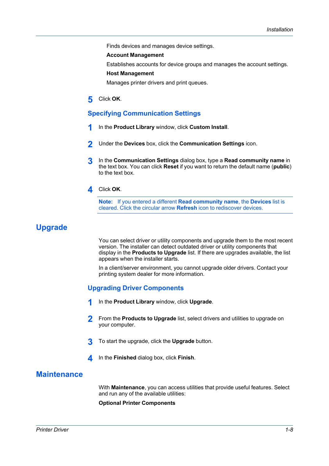Finds devices and manages device settings.

#### **Account Management**

Establishes accounts for device groups and manages the account settings.

#### **Host Management**

Manages printer drivers and print queues.

**5** Click **OK**.

#### <span id="page-14-0"></span>**[Specifying Communication Settings](#page-14-0)**

- **1** In the **Product Library** window, click **Custom Install**.
- **2** Under the **Devices** box, click the **Communication Settings** icon.
- **3** In the **Communication Settings** dialog box, type a **Read community name** in the text box. You can click **Reset** if you want to return the default name (**public**) to the text box.
- **4** Click **OK**.

**Note:** If you entered a different **Read community name**, the **Devices** list is cleared. Click the circular arrow **Refresh** icon to rediscover devices.

# <span id="page-14-2"></span><span id="page-14-1"></span>**[Upgrade](#page-14-1)**

You can select driver or utility components and upgrade them to the most recent version. The installer can detect outdated driver or utility components that display in the **Products to Upgrade** list. If there are upgrades available, the list appears when the installer starts.

In a client/server environment, you cannot upgrade older drivers. Contact your printing system dealer for more information.

#### **[Upgrading Driver Components](#page-14-2)**

- **1** In the **Product Library** window, click **Upgrade**.
- **2** From the **Products to Upgrade** list, select drivers and utilities to upgrade on your computer.
- **3** To start the upgrade, click the **Upgrade** button.
- **4** In the **Finished** dialog box, click **Finish**.

# <span id="page-14-3"></span>**[Maintenance](#page-14-3)**

With **Maintenance**, you can access utilities that provide useful features. Select and run any of the available utilities:

**Optional Printer Components**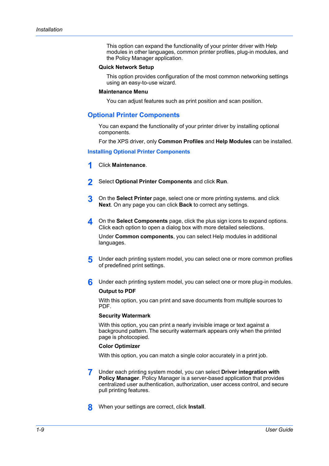This option can expand the functionality of your printer driver with Help modules in other languages, common printer profiles, plug-in modules, and the Policy Manager application.

#### **Quick Network Setup**

This option provides configuration of the most common networking settings using an easy-to-use wizard.

#### **Maintenance Menu**

You can adjust features such as print position and scan position.

#### <span id="page-15-0"></span>**[Optional Printer Components](#page-15-0)**

You can expand the functionality of your printer driver by installing optional components.

For the XPS driver, only **Common Profiles** and **Help Modules** can be installed.

<span id="page-15-1"></span>**[Installing Optional Printer Components](#page-15-1)**

- **1** Click **Maintenance**.
- **2** Select **Optional Printer Components** and click **Run**.
- **3** On the **Select Printer** page, select one or more printing systems. and click **Next**. On any page you can click **Back** to correct any settings.
- **4** On the **Select Components** page, click the plus sign icons to expand options. Click each option to open a dialog box with more detailed selections.

Under **Common components**, you can select Help modules in additional languages.

- **5** Under each printing system model, you can select one or more common profiles of predefined print settings.
- **6** Under each printing system model, you can select one or more plug-in modules.

#### **Output to PDF**

With this option, you can print and save documents from multiple sources to PDF.

#### **Security Watermark**

With this option, you can print a nearly invisible image or text against a background pattern. The security watermark appears only when the printed page is photocopied.

#### **Color Optimizer**

With this option, you can match a single color accurately in a print job.

- **7** Under each printing system model, you can select **Driver integration with Policy Manager**. Policy Manager is a server-based application that provides centralized user authentication, authorization, user access control, and secure pull printing features.
- **8** When your settings are correct, click **Install**.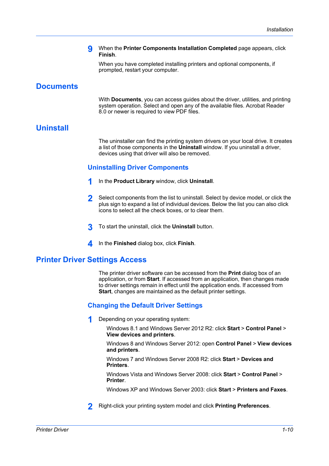#### **9** When the **Printer Components Installation Completed** page appears, click **Finish**.

When you have completed installing printers and optional components, if prompted, restart your computer.

# <span id="page-16-0"></span>**[Documents](#page-16-0)**

With **Documents**, you can access guides about the driver, utilities, and printing system operation. Select and open any of the available files. Acrobat Reader 8.0 or newer is required to view PDF files.

# <span id="page-16-2"></span><span id="page-16-1"></span>**[Uninstall](#page-16-1)**

The uninstaller can find the printing system drivers on your local drive. It creates a list of those components in the **Uninstall** window. If you uninstall a driver, devices using that driver will also be removed.

### **[Uninstalling Driver Components](#page-16-2)**

- **1** In the **Product Library** window, click **Uninstall**.
- **2** Select components from the list to uninstall. Select by device model, or click the plus sign to expand a list of individual devices. Below the list you can also click icons to select all the check boxes, or to clear them.
- **3** To start the uninstall, click the **Uninstall** button.
- **4** In the **Finished** dialog box, click **Finish**.

# <span id="page-16-4"></span><span id="page-16-3"></span>**[Printer Driver Settings Access](#page-16-3)**

The printer driver software can be accessed from the **Print** dialog box of an application, or from **Start**. If accessed from an application, then changes made to driver settings remain in effect until the application ends. If accessed from **Start**, changes are maintained as the default printer settings.

# **[Changing the Default Driver Settings](#page-16-4)**

**1** Depending on your operating system:

Windows 8.1 and Windows Server 2012 R2: click **Start** > **Control Panel** > **View devices and printers**.

Windows 8 and Windows Server 2012: open **Control Panel** > **View devices and printers**.

Windows 7 and Windows Server 2008 R2: click **Start** > **Devices and Printers**.

Windows Vista and Windows Server 2008: click **Start** > **Control Panel** > **Printer**.

Windows XP and Windows Server 2003: click **Start** > **Printers and Faxes**.

**2** Right-click your printing system model and click **Printing Preferences**.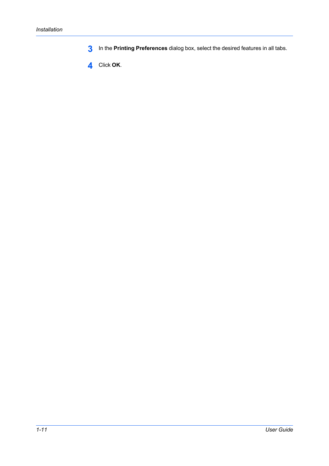- **3** In the **Printing Preferences** dialog box, select the desired features in all tabs.
- **4** Click **OK**.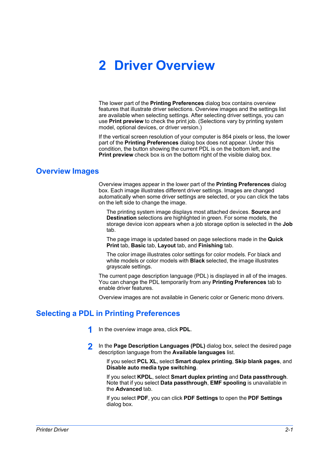# **2 Driver Overview**

The lower part of the **Printing Preferences** dialog box contains overview features that illustrate driver selections. Overview images and the settings list are available when selecting settings. After selecting driver settings, you can use **Print preview** to check the print job. (Selections vary by printing system model, optional devices, or driver version.)

If the vertical screen resolution of your computer is 864 pixels or less, the lower part of the **Printing Preferences** dialog box does not appear. Under this condition, the button showing the current PDL is on the bottom left, and the **Print preview** check box is on the bottom right of the visible dialog box.

### <span id="page-18-0"></span>**[Overview Images](#page-18-0)**

Overview images appear in the lower part of the **Printing Preferences** dialog box. Each image illustrates different driver settings. Images are changed automatically when some driver settings are selected, or you can click the tabs on the left side to change the image.

The printing system image displays most attached devices. **Source** and **Destination** selections are highlighted in green. For some models, the storage device icon appears when a job storage option is selected in the **Job** tab.

The page image is updated based on page selections made in the **Quick Print** tab, **Basic** tab, **Layout** tab, and **Finishing** tab.

The color image illustrates color settings for color models. For black and white models or color models with **Black** selected, the image illustrates grayscale settings.

The current page description language (PDL) is displayed in all of the images. You can change the PDL temporarily from any **Printing Preferences** tab to enable driver features.

Overview images are not available in Generic color or Generic mono drivers.

# <span id="page-18-1"></span>**[Selecting a PDL in Printing Preferences](#page-18-1)**

- **1** In the overview image area, click **PDL**.
- **2** In the **Page Description Languages (PDL)** dialog box, select the desired page description language from the **Available languages** list.

If you select **PCL XL**, select **Smart duplex printing**, **Skip blank pages**, and **Disable auto media type switching**.

If you select **KPDL**, select **Smart duplex printing** and **Data passthrough**. Note that if you select **Data passthrough**, **EMF spooling** is unavailable in the **Advanced** tab.

If you select **PDF**, you can click **PDF Settings** to open the **PDF Settings** dialog box.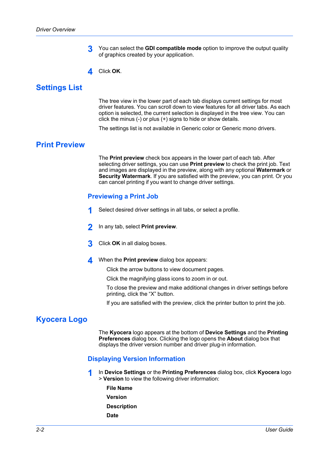- **3** You can select the **GDI compatible mode** option to improve the output quality of graphics created by your application.
- **4** Click **OK**.

# <span id="page-19-0"></span>**[Settings List](#page-19-0)**

The tree view in the lower part of each tab displays current settings for most driver features. You can scroll down to view features for all driver tabs. As each option is selected, the current selection is displayed in the tree view. You can click the minus (-) or plus (+) signs to hide or show details.

The settings list is not available in Generic color or Generic mono drivers.

# <span id="page-19-2"></span><span id="page-19-1"></span>**[Print Preview](#page-19-1)**

The **Print preview** check box appears in the lower part of each tab. After selecting driver settings, you can use **Print preview** to check the print job. Text and images are displayed in the preview, along with any optional **Watermark** or **Security Watermark**. If you are satisfied with the preview, you can print. Or you can cancel printing if you want to change driver settings.

#### **[Previewing a Print Job](#page-19-2)**

- **1** Select desired driver settings in all tabs, or select a profile.
- **2** In any tab, select **Print preview**.
- **3** Click **OK** in all dialog boxes.
- **4** When the **Print preview** dialog box appears:

Click the arrow buttons to view document pages.

Click the magnifying glass icons to zoom in or out.

To close the preview and make additional changes in driver settings before printing, click the "X" button.

If you are satisfied with the preview, click the printer button to print the job.

# <span id="page-19-4"></span><span id="page-19-3"></span>**[Kyocera Logo](#page-19-3)**

The **Kyocera** logo appears at the bottom of **Device Settings** and the **Printing Preferences** dialog box. Clicking the logo opens the **About** dialog box that displays the driver version number and driver plug-in information.

#### **[Displaying Version Information](#page-19-4)**

- **1** In **Device Settings** or the **Printing Preferences** dialog box, click **Kyocera** logo > **Version** to view the following driver information:
	- **File Name Version Description**
	- **Date**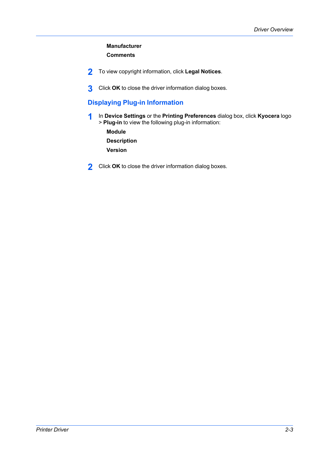# **Manufacturer Comments**

- **2** To view copyright information, click **Legal Notices**.
- **3** Click **OK** to close the driver information dialog boxes.

# <span id="page-20-0"></span>**[Displaying Plug-in Information](#page-20-0)**

**1** In **Device Settings** or the **Printing Preferences** dialog box, click **Kyocera** logo > **Plug-in** to view the following plug-in information:

**Module Description Version**

**2** Click **OK** to close the driver information dialog boxes.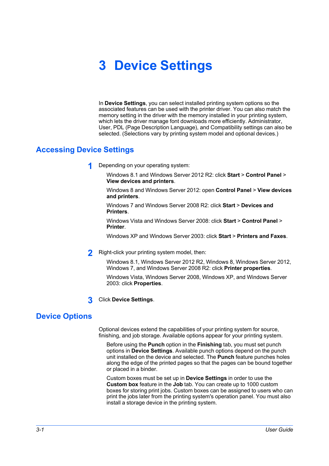# **3 Device Settings**

In **Device Settings**, you can select installed printing system options so the associated features can be used with the printer driver. You can also match the memory setting in the driver with the memory installed in your printing system, which lets the driver manage font downloads more efficiently. Administrator, User, PDL (Page Description Language), and Compatibility settings can also be selected. (Selections vary by printing system model and optional devices.)

# <span id="page-21-0"></span>**[Accessing Device Settings](#page-21-0)**

**1** Depending on your operating system:

Windows 8.1 and Windows Server 2012 R2: click **Start** > **Control Panel** > **View devices and printers**.

Windows 8 and Windows Server 2012: open **Control Panel** > **View devices and printers**.

Windows 7 and Windows Server 2008 R2: click **Start** > **Devices and Printers**.

Windows Vista and Windows Server 2008: click **Start** > **Control Panel** > **Printer**.

Windows XP and Windows Server 2003: click **Start** > **Printers and Faxes**.

**2** Right-click your printing system model, then:

Windows 8.1, Windows Server 2012 R2, Windows 8, Windows Server 2012, Windows 7, and Windows Server 2008 R2: click **Printer properties**.

Windows Vista, Windows Server 2008, Windows XP, and Windows Server 2003: click **Properties**.

**3** Click **Device Settings**.

# <span id="page-21-1"></span>**[Device Options](#page-21-1)**

Optional devices extend the capabilities of your printing system for source, finishing, and job storage. Available options appear for your printing system.

Before using the **Punch** option in the **Finishing** tab, you must set punch options in **Device Settings**. Available punch options depend on the punch unit installed on the device and selected. The **Punch** feature punches holes along the edge of the printed pages so that the pages can be bound together or placed in a binder.

Custom boxes must be set up in **Device Settings** in order to use the **Custom box** feature in the **Job** tab. You can create up to 1000 custom boxes for storing print jobs. Custom boxes can be assigned to users who can print the jobs later from the printing system's operation panel. You must also install a storage device in the printing system.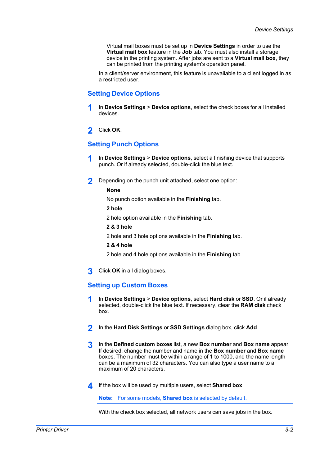Virtual mail boxes must be set up in **Device Settings** in order to use the **Virtual mail box** feature in the **Job** tab. You must also install a storage device in the printing system. After jobs are sent to a **Virtual mail box**, they can be printed from the printing system's operation panel.

In a client/server environment, this feature is unavailable to a client logged in as a restricted user.

### <span id="page-22-0"></span>**[Setting Device Options](#page-22-0)**

- **1** In **Device Settings** <sup>&</sup>gt; **Device options**, select the check boxes for all installed devices.
- **2** Click **OK**.

#### <span id="page-22-1"></span>**[Setting Punch Options](#page-22-1)**

- **1** In **Device Settings** <sup>&</sup>gt; **Device options**, select a finishing device that supports punch. Or if already selected, double-click the blue text.
- **2** Depending on the punch unit attached, select one option:

#### **None**

No punch option available in the **Finishing** tab.

**2 hole**

2 hole option available in the **Finishing** tab.

**2 & 3 hole**

2 hole and 3 hole options available in the **Finishing** tab.

#### **2 & 4 hole**

2 hole and 4 hole options available in the **Finishing** tab.

**3** Click **OK** in all dialog boxes.

#### <span id="page-22-2"></span>**[Setting up Custom Boxes](#page-22-2)**

- **1** In **Device Settings** <sup>&</sup>gt; **Device options**, select **Hard disk** or **SSD**. Or if already selected, double-click the blue text. If necessary, clear the **RAM disk** check box.
- **2** In the **Hard Disk Settings** or **SSD Settings** dialog box, click **Add**.
- **3** In the **Defined custom boxes** list, a new **Box number** and **Box name** appear. If desired, change the number and name in the **Box number** and **Box name** boxes. The number must be within a range of 1 to 1000, and the name length can be a maximum of 32 characters. You can also type a user name to a maximum of 20 characters.
- **4** If the box will be used by multiple users, select **Shared box**.

**Note:** For some models, **Shared box** is selected by default.

With the check box selected, all network users can save jobs in the box.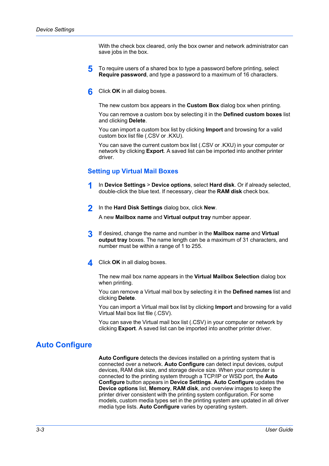With the check box cleared, only the box owner and network administrator can save jobs in the box.

- **5** To require users of a shared box to type a password before printing, select **Require password**, and type a password to a maximum of 16 characters.
- **6** Click **OK** in all dialog boxes.

The new custom box appears in the **Custom Box** dialog box when printing.

You can remove a custom box by selecting it in the **Defined custom boxes** list and clicking **Delete**.

You can import a custom box list by clicking **Import** and browsing for a valid custom box list file (.CSV or .KXU).

You can save the current custom box list (.CSV or .KXU) in your computer or network by clicking **Export**. A saved list can be imported into another printer driver.

#### <span id="page-23-0"></span>**[Setting up Virtual Mail Boxes](#page-23-0)**

- **1** In **Device Settings** <sup>&</sup>gt; **Device options**, select **Hard disk**. Or if already selected, double-click the blue text. If necessary, clear the **RAM disk** check box.
- **2** In the **Hard Disk Settings** dialog box, click **New**.

A new **Mailbox name** and **Virtual output tray** number appear.

- **3** If desired, change the name and number in the **Mailbox name** and **Virtual output tray** boxes. The name length can be a maximum of 31 characters, and number must be within a range of 1 to 255.
- **4** Click **OK** in all dialog boxes.

The new mail box name appears in the **Virtual Mailbox Selection** dialog box when printing.

You can remove a Virtual mail box by selecting it in the **Defined names** list and clicking **Delete**.

You can import a Virtual mail box list by clicking **Import** and browsing for a valid Virtual Mail box list file (.CSV).

You can save the Virtual mail box list (.CSV) in your computer or network by clicking **Export**. A saved list can be imported into another printer driver.

# <span id="page-23-1"></span>**[Auto Configure](#page-23-1)**

**Auto Configure** detects the devices installed on a printing system that is connected over a network. **Auto Configure** can detect input devices, output devices, RAM disk size, and storage device size. When your computer is connected to the printing system through a TCP/IP or WSD port, the **Auto Configure** button appears in **Device Settings**. **Auto Configure** updates the **Device options** list, **Memory**, **RAM disk**, and overview images to keep the printer driver consistent with the printing system configuration. For some models, custom media types set in the printing system are updated in all driver media type lists. **Auto Configure** varies by operating system.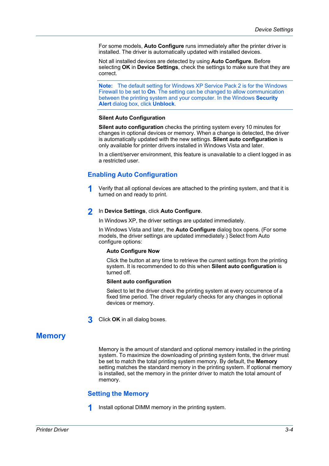For some models, **Auto Configure** runs immediately after the printer driver is installed. The driver is automatically updated with installed devices.

Not all installed devices are detected by using **Auto Configure**. Before selecting **OK** in **Device Settings**, check the settings to make sure that they are correct.

**Note:** The default setting for Windows XP Service Pack 2 is for the Windows Firewall to be set to **On**. The setting can be changed to allow communication between the printing system and your computer. In the Windows **Security Alert** dialog box, click **Unblock**.

#### **Silent Auto Configuration**

**Silent auto configuration** checks the printing system every 10 minutes for changes in optional devices or memory. When a change is detected, the driver is automatically updated with the new settings. **Silent auto configuration** is only available for printer drivers installed in Windows Vista and later.

In a client/server environment, this feature is unavailable to a client logged in as a restricted user.

### <span id="page-24-0"></span>**[Enabling Auto Configuration](#page-24-0)**

**1** Verify that all optional devices are attached to the printing system, and that it is turned on and ready to print.

#### **2** In **Device Settings**, click **Auto Configure**.

In Windows XP, the driver settings are updated immediately.

In Windows Vista and later, the **Auto Configure** dialog box opens. (For some models, the driver settings are updated immediately.) Select from Auto configure options:

#### **Auto Configure Now**

Click the button at any time to retrieve the current settings from the printing system. It is recommended to do this when **Silent auto configuration** is turned off.

#### **Silent auto configuration**

Select to let the driver check the printing system at every occurrence of a fixed time period. The driver regularly checks for any changes in optional devices or memory.

**3** Click **OK** in all dialog boxes.

# <span id="page-24-2"></span><span id="page-24-1"></span>**[Memory](#page-24-1)**

Memory is the amount of standard and optional memory installed in the printing system. To maximize the downloading of printing system fonts, the driver must be set to match the total printing system memory. By default, the **Memory** setting matches the standard memory in the printing system. If optional memory is installed, set the memory in the printer driver to match the total amount of memory.

#### **[Setting the Memory](#page-24-2)**

**1** Install optional DIMM memory in the printing system.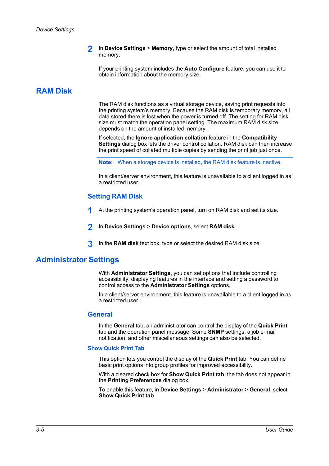**2** In **Device Settings** <sup>&</sup>gt; **Memory**, type or select the amount of total installed memory.

If your printing system includes the **Auto Configure** feature, you can use it to obtain information about the memory size.

# <span id="page-25-0"></span>**[RAM Disk](#page-25-0)**

The RAM disk functions as a virtual storage device, saving print requests into the printing system's memory. Because the RAM disk is temporary memory, all data stored there is lost when the power is turned off. The setting for RAM disk size must match the operation panel setting. The maximum RAM disk size depends on the amount of installed memory.

If selected, the **Ignore application collation** feature in the **Compatibility Settings** dialog box lets the driver control collation. RAM disk can then increase the print speed of collated multiple copies by sending the print job just once.

**Note:** When a storage device is installed, the RAM disk feature is inactive.

In a client/server environment, this feature is unavailable to a client logged in as a restricted user.

#### **[Setting RAM Disk](#page-25-1)**

- **1** At the printing system's operation panel, turn on RAM disk and set its size.
- **2** In **Device Settings** <sup>&</sup>gt; **Device options**, select **RAM disk**.
- **3** In the **RAM disk** text box, type or select the desired RAM disk size.

#### <span id="page-25-3"></span><span id="page-25-2"></span><span id="page-25-1"></span>**[Administrator Settings](#page-25-2)**

With **Administrator Settings**, you can set options that include controlling accessibility, displaying features in the interface and setting a password to control access to the **Administrator Settings** options.

In a client/server environment, this feature is unavailable to a client logged in as a restricted user.

#### **[General](#page-25-3)**

In the **General** tab, an administrator can control the display of the **Quick Print** tab and the operation panel message. Some **SNMP** settings, a job e-mail notification, and other miscellaneous settings can also be selected.

#### <span id="page-25-4"></span>**[Show Quick Print Tab](#page-25-4)**

This option lets you control the display of the **Quick Print** tab. You can define basic print options into group profiles for improved accessibility.

With a cleared check box for **Show Quick Print tab**, the tab does not appear in the **Printing Preferences** dialog box.

To enable this feature, in **Device Settings** > **Administrator** > **General**, select **Show Quick Print tab**.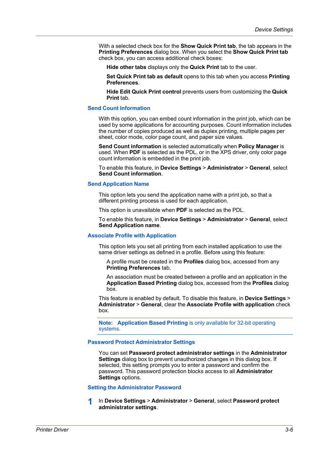With a selected check box for the **Show Quick Print tab**, the tab appears in the **Printing Preferences** dialog box. When you select the **Show Quick Print tab** check box, you can access additional check boxes:

**Hide other tabs** displays only the **Quick Print** tab to the user.

**Set Quick Print tab as default** opens to this tab when you access **Printing Preferences**.

**Hide Edit Quick Print control** prevents users from customizing the **Quick Print** tab.

#### <span id="page-26-0"></span>**[Send Count Information](#page-26-0)**

With this option, you can embed count information in the print job, which can be used by some applications for accounting purposes. Count information includes the number of copies produced as well as duplex printing, multiple pages per sheet, color mode, color page count, and paper size values.

**Send Count information** is selected automatically when **Policy Manager** is used. When **PDF** is selected as the PDL, or in the XPS driver, only color page count information is embedded in the print job.

To enable this feature, in **Device Settings** > **Administrator** > **General**, select **Send Count information**.

#### <span id="page-26-1"></span>**[Send Application Name](#page-26-1)**

This option lets you send the application name with a print job, so that a different printing process is used for each application.

This option is unavailable when **PDF** is selected as the PDL.

To enable this feature, in **Device Settings** > **Administrator** > **General**, select **Send Application name**.

#### <span id="page-26-2"></span>**[Associate Profile with Application](#page-26-2)**

This option lets you set all printing from each installed application to use the same driver settings as defined in a profile. Before using this feature:

A profile must be created in the **Profiles** dialog box, accessed from any **Printing Preferences** tab.

An association must be created between a profile and an application in the **Application Based Printing** dialog box, accessed from the **Profiles** dialog box.

This feature is enabled by default. To disable this feature, in **Device Settings** > **Administrator** > **General**, clear the **Associate Profile with application** check box.

**Note: Application Based Printing** is only available for 32-bit operating systems.

#### <span id="page-26-3"></span>**[Password Protect Administrator Settings](#page-26-3)**

You can set **Password protect administrator settings** in the **Administrator Settings** dialog box to prevent unauthorized changes in this dialog box. If selected, this setting prompts you to enter a password and confirm the password. This password protection blocks access to all **Administrator Settings** options.

#### <span id="page-26-4"></span>**[Setting the Administrator Password](#page-26-4)**

**1** In **Device Settings** <sup>&</sup>gt; **Administrator** <sup>&</sup>gt; **General**, select **Password protect administrator settings**.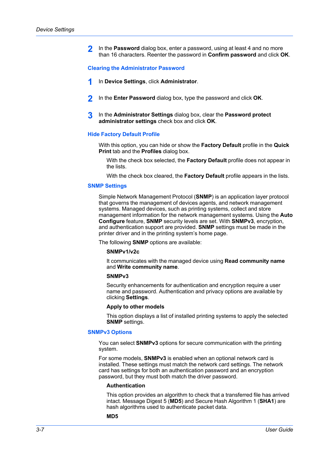**2** In the **Password** dialog box, enter a password, using at least 4 and no more than 16 characters. Reenter the password in **Confirm password** and click **OK**.

#### <span id="page-27-0"></span>**[Clearing the Administrator Password](#page-27-0)**

- **1** In **Device Settings**, click **Administrator**.
- **2** In the **Enter Password** dialog box, type the password and click **OK**.
- **3** In the **Administrator Settings** dialog box, clear the **Password protect administrator settings** check box and click **OK**.

#### <span id="page-27-1"></span>**[Hide Factory Default Profile](#page-27-1)**

With this option, you can hide or show the **Factory Default** profile in the **Quick Print** tab and the **Profiles** dialog box.

With the check box selected, the **Factory Default** profile does not appear in the lists.

With the check box cleared, the **Factory Default** profile appears in the lists.

#### <span id="page-27-2"></span>**[SNMP Settings](#page-27-2)**

Simple Network Management Protocol (**SNMP**) is an application layer protocol that governs the management of devices agents, and network management systems. Managed devices, such as printing systems, collect and store management information for the network management systems. Using the **Auto Configure** feature, **SNMP** security levels are set. With **SNMPv3**, encryption, and authentication support are provided. **SNMP** settings must be made in the printer driver and in the printing system's home page.

The following **SNMP** options are available:

#### **SNMPv1/v2c**

It communicates with the managed device using **Read community name** and **Write community name**.

#### **SNMPv3**

Security enhancements for authentication and encryption require a user name and password. Authentication and privacy options are available by clicking **Settings**.

#### **Apply to other models**

This option displays a list of installed printing systems to apply the selected **SNMP** settings.

#### <span id="page-27-3"></span>**[SNMPv3 Options](#page-27-3)**

You can select **SNMPv3** options for secure communication with the printing system.

For some models, **SNMPv3** is enabled when an optional network card is installed. These settings must match the network card settings. The network card has settings for both an authentication password and an encryption password, but they must both match the driver password.

#### **Authentication**

This option provides an algorithm to check that a transferred file has arrived intact. Message Digest 5 (**MD5**) and Secure Hash Algorithm 1 (**SHA1**) are hash algorithms used to authenticate packet data.

#### **MD5**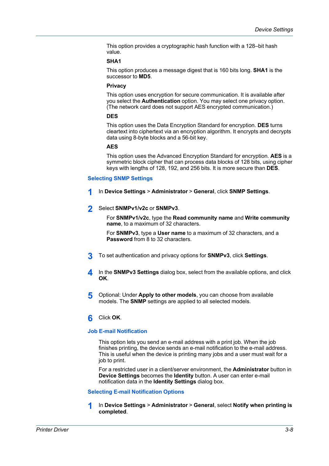This option provides a cryptographic hash function with a 128–bit hash value.

#### **SHA1**

This option produces a message digest that is 160 bits long. **SHA1** is the successor to **MD5**.

#### **Privacy**

This option uses encryption for secure communication. It is available after you select the **Authentication** option. You may select one privacy option. (The network card does not support AES encrypted communication.)

#### **DES**

This option uses the Data Encryption Standard for encryption. **DES** turns cleartext into ciphertext via an encryption algorithm. It encrypts and decrypts data using 8-byte blocks and a 56-bit key.

#### **AES**

This option uses the Advanced Encryption Standard for encryption. **AES** is a symmetric block cipher that can process data blocks of 128 bits, using cipher keys with lengths of 128, 192, and 256 bits. It is more secure than **DES**.

#### <span id="page-28-0"></span>**[Selecting SNMP Settings](#page-28-0)**

- **1** In **Device Settings** <sup>&</sup>gt; **Administrator** <sup>&</sup>gt; **General**, click **SNMP Settings**.
- **2** Select **SNMPv1/v2c** or **SNMPv3**.

For **SNMPv1/v2c**, type the **Read community name** and **Write community name**, to a maximum of 32 characters.

For **SNMPv3**, type a **User name** to a maximum of 32 characters, and a **Password** from 8 to 32 characters.

- **3** To set authentication and privacy options for **SNMPv3**, click **Settings**.
- **4** In the **SNMPv3 Settings** dialog box, select from the available options, and click **OK**.
- **5** Optional: Under **Apply to other models**, you can choose from available models. The **SNMP** settings are applied to all selected models.

#### **6** Click **OK**.

#### <span id="page-28-1"></span>**[Job E-mail Notification](#page-28-1)**

This option lets you send an e-mail address with a print job. When the job finishes printing, the device sends an e-mail notification to the e-mail address. This is useful when the device is printing many jobs and a user must wait for a job to print.

For a restricted user in a client/server environment, the **Administrator** button in **Device Settings** becomes the **Identity** button. A user can enter e-mail notification data in the **Identity Settings** dialog box.

#### <span id="page-28-2"></span>**[Selecting E-mail Notification Options](#page-28-2)**

**1** In **Device Settings** <sup>&</sup>gt; **Administrator** <sup>&</sup>gt; **General**, select **Notify when printing is completed**.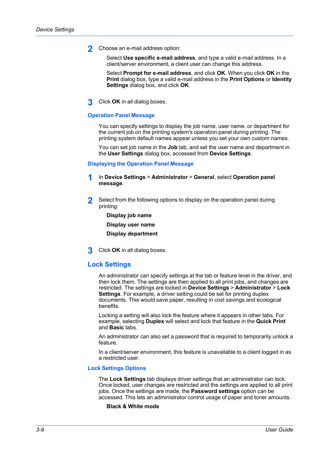**2** Choose an e-mail address option:

Select **Use specific e-mail address**, and type a valid e-mail address. In a client/server environment, a client user can change this address.

Select **Prompt for e-mail address**, and click **OK**. When you click **OK** in the **Print** dialog box, type a valid e-mail address in the **Print Options** or **Identity Settings** dialog box, and click **OK**.

**3** Click **OK** in all dialog boxes.

#### <span id="page-29-1"></span>**[Operation Panel Message](#page-29-1)**

You can specify settings to display the job name, user name, or department for the current job on the printing system's operation panel during printing. The printing system default names appear unless you set your own custom names.

You can set job name in the **Job** tab, and set the user name and department in the **User Settings** dialog box, accessed from **Device Settings**.

#### <span id="page-29-2"></span>**[Displaying the Operation Panel Message](#page-29-2)**

- **1** In **Device Settings** <sup>&</sup>gt; **Administrator** <sup>&</sup>gt; **General**, select **Operation panel message**.
- **2** Select from the following options to display on the operation panel during printing:
	- **Display job name**

**Display user name**

**Display department**

**3** Click **OK** in all dialog boxes.

#### <span id="page-29-0"></span>**[Lock Settings](#page-29-0)**

An administrator can specify settings at the tab or feature level in the driver, and then lock them. The settings are then applied to all print jobs, and changes are restricted. The settings are locked in **Device Settings** > **Administrator** > **Lock Settings**. For example, a driver setting could be set for printing duplex documents. This would save paper, resulting in cost savings and ecological benefits.

Locking a setting will also lock the feature where it appears in other tabs. For example, selecting **Duplex** will select and lock that feature in the **Quick Print** and **Basic** tabs.

An administrator can also set a password that is required to temporarily unlock a feature.

In a client/server environment, this feature is unavailable to a client logged in as a restricted user.

#### <span id="page-29-3"></span>**[Lock Settings Options](#page-29-3)**

The **Lock Settings** tab displays driver settings that an administrator can lock. Once locked, user changes are restricted and the settings are applied to all print jobs. Once the settings are made, the **Password settings** option can be accessed. This lets an administrator control usage of paper and toner amounts.

#### **Black & White mode**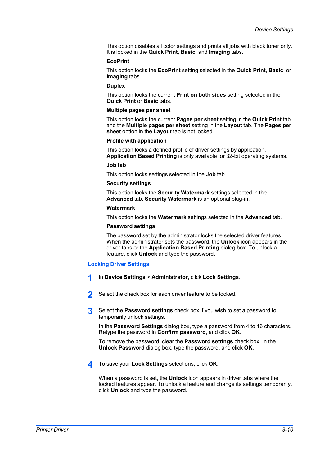This option disables all color settings and prints all jobs with black toner only. It is locked in the **Quick Print**, **Basic**, and **Imaging** tabs.

#### **EcoPrint**

This option locks the **EcoPrint** setting selected in the **Quick Print**, **Basic**, or **Imaging** tabs.

#### **Duplex**

This option locks the current **Print on both sides** setting selected in the **Quick Print** or **Basic** tabs.

#### **Multiple pages per sheet**

This option locks the current **Pages per sheet** setting in the **Quick Print** tab and the **Multiple pages per sheet** setting in the **Layout** tab. The **Pages per sheet** option in the **Layout** tab is not locked.

#### **Profile with application**

This option locks a defined profile of driver settings by application. **Application Based Printing** is only available for 32-bit operating systems.

#### **Job tab**

This option locks settings selected in the **Job** tab.

#### **Security settings**

This option locks the **Security Watermark** settings selected in the **Advanced** tab. **Security Watermark** is an optional plug-in.

#### **Watermark**

This option locks the **Watermark** settings selected in the **Advanced** tab.

#### **Password settings**

The password set by the administrator locks the selected driver features. When the administrator sets the password, the **Unlock** icon appears in the driver tabs or the **Application Based Printing** dialog box. To unlock a feature, click **Unlock** and type the password.

#### <span id="page-30-0"></span>**[Locking Driver Settings](#page-30-0)**

- **1** In **Device Settings** <sup>&</sup>gt; **Administrator**, click **Lock Settings**.
- **2** Select the check box for each driver feature to be locked.
- **3** Select the **Password settings** check box if you wish to set a password to temporarily unlock settings.

In the **Password Settings** dialog box, type a password from 4 to 16 characters. Retype the password in **Confirm password**, and click **OK**.

To remove the password, clear the **Password settings** check box. In the **Unlock Password** dialog box, type the password, and click **OK**.

**4** To save your **Lock Settings** selections, click **OK**.

When a password is set, the **Unlock** icon appears in driver tabs where the locked features appear. To unlock a feature and change its settings temporarily, click **Unlock** and type the password.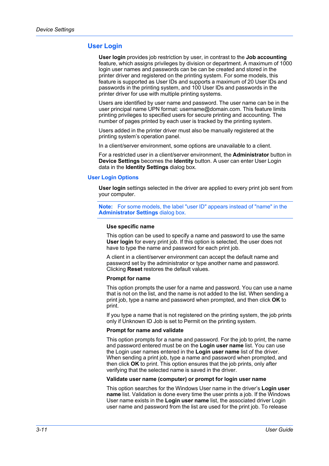# <span id="page-31-0"></span>**[User Login](#page-31-0)**

**User login** provides job restriction by user, in contrast to the **Job accounting** feature, which assigns privileges by division or department. A maximum of 1000 login user names and passwords can be can be created and stored in the printer driver and registered on the printing system. For some models, this feature is supported as User IDs and supports a maximum of 20 User IDs and passwords in the printing system, and 100 User IDs and passwords in the printer driver for use with multiple printing systems.

Users are identified by user name and password. The user name can be in the user principal name UPN format: username@domain.com. This feature limits printing privileges to specified users for secure printing and accounting. The number of pages printed by each user is tracked by the printing system.

Users added in the printer driver must also be manually registered at the printing system's operation panel.

In a client/server environment, some options are unavailable to a client.

For a restricted user in a client/server environment, the **Administrator** button in **Device Settings** becomes the **Identity** button. A user can enter User Login data in the **Identity Settings** dialog box.

#### <span id="page-31-1"></span>**[User Login Options](#page-31-1)**

**User login** settings selected in the driver are applied to every print job sent from your computer.

**Note:** For some models, the label "user ID" appears instead of "name" in the **Administrator Settings** dialog box.

#### **Use specific name**

This option can be used to specify a name and password to use the same **User login** for every print job. If this option is selected, the user does not have to type the name and password for each print job.

A client in a client/server environment can accept the default name and password set by the administrator or type another name and password. Clicking **Reset** restores the default values.

#### **Prompt for name**

This option prompts the user for a name and password. You can use a name that is not on the list, and the name is not added to the list. When sending a print job, type a name and password when prompted, and then click **OK** to print.

If you type a name that is not registered on the printing system, the job prints only if Unknown ID Job is set to Permit on the printing system.

#### **Prompt for name and validate**

This option prompts for a name and password. For the job to print, the name and password entered must be on the **Login user name** list. You can use the Login user names entered in the **Login user name** list of the driver. When sending a print job, type a name and password when prompted, and then click **OK** to print. This option ensures that the job prints, only after verifying that the selected name is saved in the driver.

#### **Validate user name (computer) or prompt for login user name**

This option searches for the Windows User name in the driver's **Login user name** list. Validation is done every time the user prints a job. If the Windows User name exists in the **Login user name** list, the associated driver Login user name and password from the list are used for the print job. To release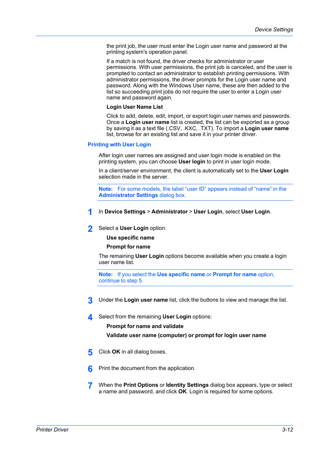the print job, the user must enter the Login user name and password at the printing system's operation panel.

If a match is not found, the driver checks for administrator or user permissions. With user permissions, the print job is canceled, and the user is prompted to contact an administrator to establish printing permissions. With administrator permissions, the driver prompts for the Login user name and password. Along with the Windows User name, these are then added to the list so succeeding print jobs do not require the user to enter a Login user name and password again.

#### **Login User Name List**

Click to add, delete, edit, import, or export login user names and passwords. Once a **Login user name** list is created, the list can be exported as a group by saving it as a text file (.CSV, .KXC, .TXT). To import a **Login user name** list, browse for an existing list and save it in your printer driver.

#### <span id="page-32-0"></span>**[Printing with User Login](#page-32-0)**

After login user names are assigned and user login mode is enabled on the printing system, you can choose **User login** to print in user login mode.

In a client/server environment, the client is automatically set to the **User Login** selection made in the server.

**Note:** For some models, the label "user ID" appears instead of "name" in the **Administrator Settings** dialog box.

#### **1** In **Device Settings** <sup>&</sup>gt; **Administrator** <sup>&</sup>gt; **User Login**, select **User Login**.

**2** Select a **User Login** option:

#### **Use specific name**

#### **Prompt for name**

The remaining **User Login** options become available when you create a login user name list.

**Note:** If you select the **Use specific name** or **Prompt for name** option, continue to step 5.

- **3** Under the **Login user name** list, click the buttons to view and manage the list.
- **4** Select from the remaining **User Login** options:

#### **Prompt for name and validate**

**Validate user name (computer) or prompt for login user name**

- **5** Click **OK** in all dialog boxes.
- **6** Print the document from the application.
- **7** When the **Print Options** or **Identity Settings** dialog box appears, type or select a name and password, and click **OK**. Login is required for some options.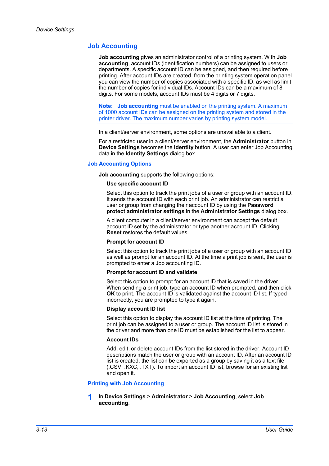#### <span id="page-33-0"></span>**[Job Accounting](#page-33-0)**

**Job accounting** gives an administrator control of a printing system. With **Job accounting**, account IDs (identification numbers) can be assigned to users or departments. A specific account ID can be assigned, and then required before printing. After account IDs are created, from the printing system operation panel you can view the number of copies associated with a specific ID, as well as limit the number of copies for individual IDs. Account IDs can be a maximum of 8 digits. For some models, account IDs must be 4 digits or 7 digits.

**Note: Job accounting** must be enabled on the printing system. A maximum of 1000 account IDs can be assigned on the printing system and stored in the printer driver. The maximum number varies by printing system model.

In a client/server environment, some options are unavailable to a client.

For a restricted user in a client/server environment, the **Administrator** button in **Device Settings** becomes the **Identity** button. A user can enter Job Accounting data in the **Identity Settings** dialog box.

#### <span id="page-33-1"></span>**[Job Accounting Options](#page-33-1)**

**Job accounting** supports the following options:

#### **Use specific account ID**

Select this option to track the print jobs of a user or group with an account ID. It sends the account ID with each print job. An administrator can restrict a user or group from changing their account ID by using the **Password protect administrator settings** in the **Administrator Settings** dialog box.

A client computer in a client/server environment can accept the default account ID set by the administrator or type another account ID. Clicking **Reset** restores the default values.

#### **Prompt for account ID**

Select this option to track the print jobs of a user or group with an account ID as well as prompt for an account ID. At the time a print job is sent, the user is prompted to enter a Job accounting ID.

#### **Prompt for account ID and validate**

Select this option to prompt for an account ID that is saved in the driver. When sending a print job, type an account ID when prompted, and then click **OK** to print. The account ID is validated against the account ID list. If typed incorrectly, you are prompted to type it again.

#### **Display account ID list**

Select this option to display the account ID list at the time of printing. The print job can be assigned to a user or group. The account ID list is stored in the driver and more than one ID must be established for the list to appear.

#### **Account IDs**

Add, edit, or delete account IDs from the list stored in the driver. Account ID descriptions match the user or group with an account ID. After an account ID list is created, the list can be exported as a group by saving it as a text file (.CSV, .KXC, .TXT). To import an account ID list, browse for an existing list and open it.

#### <span id="page-33-2"></span>**[Printing with Job Accounting](#page-33-2)**

#### **1** In **Device Settings** <sup>&</sup>gt; **Administrator** <sup>&</sup>gt; **Job Accounting**, select **Job accounting**.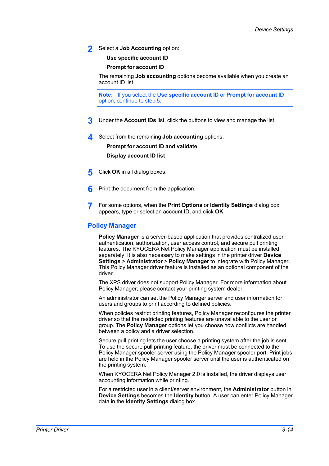**2** Select a **Job Accounting** option:

**Use specific account ID**

**Prompt for account ID**

The remaining **Job accounting** options become available when you create an account ID list.

**Note:** If you select the **Use specific account ID** or **Prompt for account ID** option, continue to step 5.

- **3** Under the **Account IDs** list, click the buttons to view and manage the list.
- **4** Select from the remaining **Job accounting** options:

**Prompt for account ID and validate Display account ID list**

- **5** Click **OK** in all dialog boxes.
- **6** Print the document from the application.
- **7** For some options, when the **Print Options** or **Identity Settings** dialog box appears, type or select an account ID, and click **OK**.

#### <span id="page-34-0"></span>**[Policy Manager](#page-34-0)**

**Policy Manager** is a server-based application that provides centralized user authentication, authorization, user access control, and secure pull printing features. The KYOCERA Net Policy Manager application must be installed separately. It is also necessary to make settings in the printer driver **Device Settings** > **Administrator** > **Policy Manager** to integrate with Policy Manager. This Policy Manager driver feature is installed as an optional component of the driver.

The XPS driver does not support Policy Manager. For more information about Policy Manager, please contact your printing system dealer.

An administrator can set the Policy Manager server and user information for users and groups to print according to defined policies.

When policies restrict printing features, Policy Manager reconfigures the printer driver so that the restricted printing features are unavailable to the user or group. The **Policy Manager** options let you choose how conflicts are handled between a policy and a driver selection.

Secure pull printing lets the user choose a printing system after the job is sent. To use the secure pull printing feature, the driver must be connected to the Policy Manager spooler server using the Policy Manager spooler port. Print jobs are held in the Policy Manager spooler server until the user is authenticated on the printing system.

When KYOCERA Net Policy Manager 2.0 is installed, the driver displays user accounting information while printing.

For a restricted user in a client/server environment, the **Administrator** button in **Device Settings** becomes the **Identity** button. A user can enter Policy Manager data in the **Identity Settings** dialog box.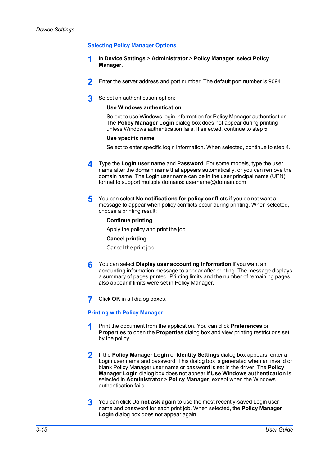#### <span id="page-35-0"></span>**[Selecting Policy Manager Options](#page-35-0)**

- **1** In **Device Settings** <sup>&</sup>gt; **Administrator** <sup>&</sup>gt; **Policy Manager**, select **Policy Manager**.
- **2** Enter the server address and port number. The default port number is 9094.
- **3** Select an authentication option:

#### **Use Windows authentication**

Select to use Windows login information for Policy Manager authentication. The **Policy Manager Login** dialog box does not appear during printing unless Windows authentication fails. If selected, continue to step 5.

#### **Use specific name**

Select to enter specific login information. When selected, continue to step 4.

- **4** Type the **Login user name** and **Password**. For some models, type the user name after the domain name that appears automatically, or you can remove the domain name. The Login user name can be in the user principal name (UPN) format to support multiple domains: username@domain.com
- **5** You can select **No notifications for policy conflicts** if you do not want a message to appear when policy conflicts occur during printing. When selected, choose a printing result:

#### **Continue printing**

Apply the policy and print the job

#### **Cancel printing**

Cancel the print job

- **6** You can select **Display user accounting information** if you want an accounting information message to appear after printing. The message displays a summary of pages printed. Printing limits and the number of remaining pages also appear if limits were set in Policy Manager.
- **7** Click **OK** in all dialog boxes.

#### <span id="page-35-1"></span>**[Printing with Policy Manager](#page-35-1)**

- **1** Print the document from the application. You can click **Preferences** or **Properties** to open the **Properties** dialog box and view printing restrictions set by the policy.
- **2** If the **Policy Manager Login** or **Identity Settings** dialog box appears, enter a Login user name and password. This dialog box is generated when an invalid or blank Policy Manager user name or password is set in the driver. The **Policy Manager Login** dialog box does not appear if **Use Windows authentication** is selected in **Administrator** > **Policy Manager**, except when the Windows authentication fails.
- **3** You can click **Do not ask again** to use the most recently-saved Login user name and password for each print job. When selected, the **Policy Manager Login** dialog box does not appear again.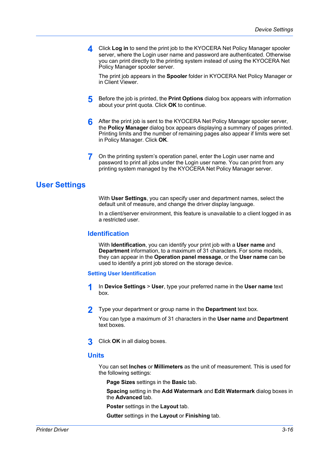**4** Click **Log in** to send the print job to the KYOCERA Net Policy Manager spooler server, where the Login user name and password are authenticated. Otherwise you can print directly to the printing system instead of using the KYOCERA Net Policy Manager spooler server.

The print job appears in the **Spooler** folder in KYOCERA Net Policy Manager or in Client Viewer.

- **5** Before the job is printed, the **Print Options** dialog box appears with information about your print quota. Click **OK** to continue.
- **6** After the print job is sent to the KYOCERA Net Policy Manager spooler server, the **Policy Manager** dialog box appears displaying a summary of pages printed. Printing limits and the number of remaining pages also appear if limits were set in Policy Manager. Click **OK**.
- **7** On the printing system's operation panel, enter the Login user name and password to print all jobs under the Login user name. You can print from any printing system managed by the KYOCERA Net Policy Manager server.

# <span id="page-36-1"></span><span id="page-36-0"></span>**[User Settings](#page-36-0)**

With **User Settings**, you can specify user and department names, select the default unit of measure, and change the driver display language.

In a client/server environment, this feature is unavailable to a client logged in as a restricted user.

## **[Identification](#page-36-1)**

With **Identification**, you can identify your print job with a **User name** and **Department** information, to a maximum of 31 characters. For some models, they can appear in the **Operation panel message**, or the **User name** can be used to identify a print job stored on the storage device.

#### <span id="page-36-2"></span>**[Setting User Identification](#page-36-2)**

- **1** In **Device Settings** <sup>&</sup>gt; **User**, type your preferred name in the **User name** text box.
- **2** Type your department or group name in the **Department** text box.

You can type a maximum of 31 characters in the **User name** and **Department** text boxes.

**3** Click **OK** in all dialog boxes.

## <span id="page-36-3"></span>**[Units](#page-36-3)**

You can set **Inches** or **Millimeters** as the unit of measurement. This is used for the following settings:

**Page Sizes** settings in the **Basic** tab.

**Spacing** setting in the **Add Watermark** and **Edit Watermark** dialog boxes in the **Advanced** tab.

**Poster** settings in the **Layout** tab.

**Gutter** settings in the **Layout** or **Finishing** tab.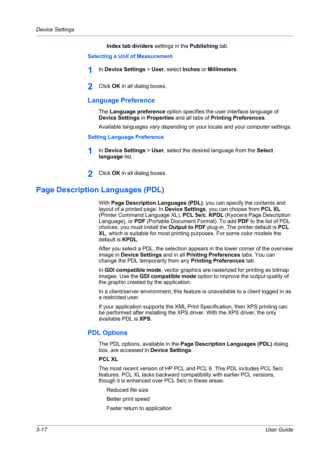**Index tab dividers** settings in the **Publishing** tab.

#### <span id="page-37-0"></span>**[Selecting a Unit of Measurement](#page-37-0)**

- **1** In **Device Settings** <sup>&</sup>gt; **User**, select **Inches** or **Millimeters**.
- **2** Click **OK** in all dialog boxes.

## <span id="page-37-1"></span>**[Language Preference](#page-37-1)**

The **Language preference** option specifies the user interface language of **Device Settings** in **Properties** and all tabs of **Printing Preferences**.

Available languages vary depending on your locale and your computer settings.

**[Setting Language Preference](#page-37-2)**

- **1** In **Device Settings** <sup>&</sup>gt; **User**, select the desired language from the **Select language** list.
- **2** Click **OK** in all dialog boxes.

# <span id="page-37-3"></span><span id="page-37-2"></span>**[Page Description Languages \(PDL\)](#page-37-3)**

With **Page Description Languages (PDL)**, you can specify the contents and layout of a printed page. In **Device Settings**, you can choose from **PCL XL** (Printer Command Language XL), **PCL 5e/c**, **KPDL** (Kyocera Page Description Language), or **PDF** (Portable Document Format). To add **PDF** to the list of PDL choices, you must install the **Output to PDF** plug-in. The printer default is **PCL XL**, which is suitable for most printing purposes. For some color models the default is **KPDL**.

After you select a PDL, the selection appears in the lower corner of the overview image in **Device Settings** and in all **Printing Preferences** tabs. You can change the PDL temporarily from any **Printing Preferences** tab.

In **GDI compatible mode**, vector graphics are rasterized for printing as bitmap images. Use the **GDI compatible mode** option to improve the output quality of the graphic created by the application.

In a client/server environment, this feature is unavailable to a client logged in as a restricted user.

If your application supports the XML Print Specification, then XPS printing can be performed after installing the XPS driver. With the XPS driver, the only available PDL is **XPS**.

## <span id="page-37-4"></span>**[PDL Options](#page-37-4)**

The PDL options, available in the **Page Description Languages (PDL)** dialog box, are accessed in **Device Settings**.

## **PCL XL**

The most recent version of HP PCL and PCL 6. This PDL includes PCL 5e/c features. PCL XL lacks backward compatibility with earlier PCL versions, though it is enhanced over PCL 5e/c in these areas:

- Reduced file size
- Better print speed
- Faster return to application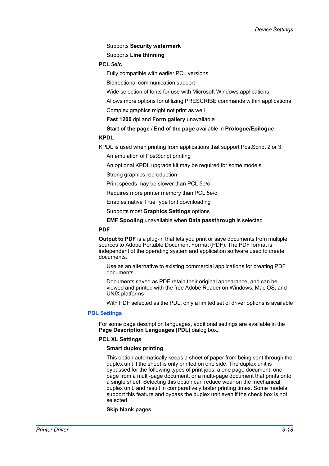Supports **Security watermark**

Supports **Line thinning**

## **PCL 5e/c**

Fully compatible with earlier PCL versions

Bidirectional communication support

Wide selection of fonts for use with Microsoft Windows applications

Allows more options for utilizing PRESCRIBE commands within applications

Complex graphics might not print as well

**Fast 1200** dpi and **Form gallery** unavailable

**Start of the page** / **End of the page** available in **Prologue/Epilogue KPDL**

KPDL is used when printing from applications that support PostScript 2 or 3.

An emulation of PostScript printing

An optional KPDL upgrade kit may be required for some models

Strong graphics reproduction

Print speeds may be slower than PCL 5e/c

Requires more printer memory than PCL 5e/c

Enables native TrueType font downloading

Supports most **Graphics Settings** options

**EMF Spooling** unavailable when **Data passthrough** is selected

## **PDF**

**Output to PDF** is a plug-in that lets you print or save documents from multiple sources to Adobe Portable Document Format (PDF). The PDF format is independent of the operating system and application software used to create documents.

Use as an alternative to existing commercial applications for creating PDF documents

Documents saved as PDF retain their original appearance, and can be viewed and printed with the free Adobe Reader on Windows, Mac OS, and UNIX platforms

With PDF selected as the PDL, only a limited set of driver options is available

## <span id="page-38-0"></span>**[PDL Settings](#page-38-0)**

For some page description languages, additional settings are available in the Page Description Languages (PDL) dialog box.

#### **PCL XL Settings**

## **Smart duplex printing**

This option automatically keeps a sheet of paper from being sent through the duplex unit if the sheet is only printed on one side. The duplex unit is bypassed for the following types of print jobs: a one page document, one page from a multi-page document, or a multi-page document that prints onto a single sheet. Selecting this option can reduce wear on the mechanical duplex unit, and result in comparatively faster printing times. Some models support this feature and bypass the duplex unit even if the check box is not selected.

#### **Skip blank pages**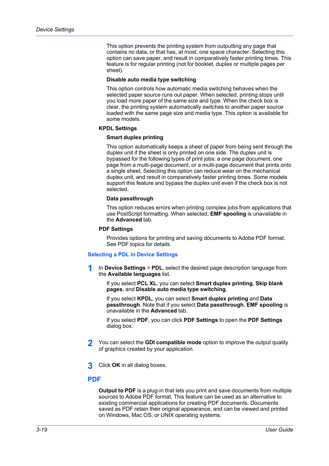This option prevents the printing system from outputting any page that contains no data, or that has, at most, one space character. Selecting this option can save paper, and result in comparatively faster printing times. This feature is for regular printing (not for booklet, duplex or multiple pages per sheet).

#### **Disable auto media type switching**

This option controls how automatic media switching behaves when the selected paper source runs out paper. When selected, printing stops until you load more paper of the same size and type. When the check box is clear, the printing system automatically switches to another paper source loaded with the same page size and media type. This option is available for some models.

#### **KPDL Settings**

## **Smart duplex printing**

This option automatically keeps a sheet of paper from being sent through the duplex unit if the sheet is only printed on one side. The duplex unit is bypassed for the following types of print jobs: a one page document, one page from a multi-page document, or a multi-page document that prints onto a single sheet. Selecting this option can reduce wear on the mechanical duplex unit, and result in comparatively faster printing times. Some models support this feature and bypass the duplex unit even if the check box is not selected.

#### **Data passthrough**

This option reduces errors when printing complex jobs from applications that use PostScript formatting. When selected, **EMF spooling** is unavailable in the **Advanced** tab.

#### **PDF Settings**

Provides options for printing and saving documents to Adobe PDF format. See PDF topics for details.

#### <span id="page-39-0"></span>**[Selecting a PDL in Device Settings](#page-39-0)**

**1** In **Device Settings** <sup>&</sup>gt; **PDL**, select the desired page description language from the **Available languages** list.

If you select **PCL XL**, you can select **Smart duplex printing**, **Skip blank pages**, and **Disable auto media type switching**.

If you select **KPDL**, you can select **Smart duplex printing** and **Data passthrough**. Note that if you select **Data passthrough**, **EMF spooling** is unavailable in the **Advanced** tab.

If you select **PDF**, you can click **PDF Settings** to open the **PDF Settings** dialog box.

- **2** You can select the **GDI compatible mode** option to improve the output quality of graphics created by your application.
- **3** Click **OK** in all dialog boxes.

## <span id="page-39-1"></span>**[PDF](#page-39-1)**

**Output to PDF** is a plug-in that lets you print and save documents from multiple sources to Adobe PDF format. This feature can be used as an alternative to existing commercial applications for creating PDF documents. Documents saved as PDF retain their original appearance, and can be viewed and printed on Windows, Mac OS, or UNIX operating systems.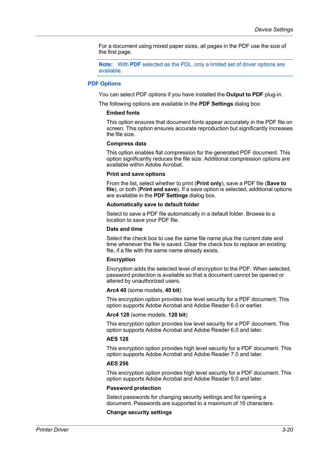For a document using mixed paper sizes, all pages in the PDF use the size of the first page.

**Note:** With **PDF** selected as the PDL, only a limited set of driver options are available.

## <span id="page-40-0"></span>**[PDF Options](#page-40-0)**

You can select PDF options if you have installed the **Output to PDF** plug-in.

The following options are available in the **PDF Settings** dialog box:

#### **Embed fonts**

This option ensures that document fonts appear accurately in the PDF file on screen. This option ensures accurate reproduction but significantly increases the file size.

## **Compress data**

This option enables flat compression for the generated PDF document. This option significantly reduces the file size. Additional compression options are available within Adobe Acrobat.

#### **Print and save options**

From the list, select whether to print (**Print only**), save a PDF file (**Save to file**), or both (**Print and save**). If a save option is selected, additional options are available in the **PDF Settings** dialog box.

#### **Automatically save to default folder**

Select to save a PDF file automatically in a default folder. Browse to a location to save your PDF file.

#### **Date and time**

Select the check box to use the same file name plus the current date and time whenever the file is saved. Clear the check box to replace an existing file, if a file with the same name already exists.

## **Encryption**

Encryption adds the selected level of encryption to the PDF. When selected, password protection is available so that a document cannot be opened or altered by unauthorized users.

#### **Arc4 40** (some models, **40 bit**)

This encryption option provides low level security for a PDF document. This option supports Adobe Acrobat and Adobe Reader 6.0 or earlier.

#### **Arc4 128** (some models, **128 bit**)

This encryption option provides low level security for a PDF document. This option supports Adobe Acrobat and Adobe Reader 6.0 and later.

#### **AES 128**

This encryption option provides high level security for a PDF document. This option supports Adobe Acrobat and Adobe Reader 7.0 and later.

#### **AES 256**

This encryption option provides high level security for a PDF document. This option supports Adobe Acrobat and Adobe Reader 9.0 and later.

#### **Password protection**

Select passwords for changing security settings and for opening a document. Passwords are supported to a maximum of 16 characters.

#### **Change security settings**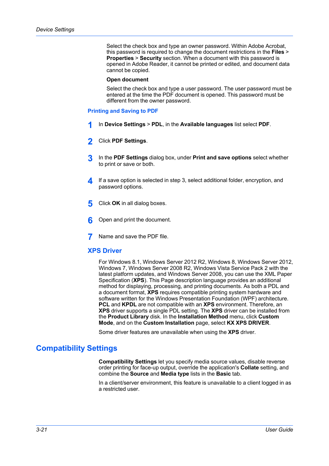Select the check box and type an owner password. Within Adobe Acrobat, this password is required to change the document restrictions in the **Files** > **Properties** > **Security** section. When a document with this password is opened in Adobe Reader, it cannot be printed or edited, and document data cannot be copied.

#### **Open document**

Select the check box and type a user password. The user password must be entered at the time the PDF document is opened. This password must be different from the owner password.

#### <span id="page-41-0"></span>**[Printing and Saving to PDF](#page-41-0)**

- **1** In **Device Settings** <sup>&</sup>gt; **PDL**, in the **Available languages** list select **PDF**.
- **2** Click **PDF Settings**.
- **3** In the **PDF Settings** dialog box, under **Print and save options** select whether to print or save or both.
- **4** If a save option is selected in step 3, select additional folder, encryption, and password options.
- **5** Click **OK** in all dialog boxes.
- **6** Open and print the document.
- **7** Name and save the PDF file.

## <span id="page-41-1"></span>**[XPS Driver](#page-41-1)**

For Windows 8.1, Windows Server 2012 R2, Windows 8, Windows Server 2012, Windows 7, Windows Server 2008 R2, Windows Vista Service Pack 2 with the latest platform updates, and Windows Server 2008, you can use the XML Paper Specification (**XPS**). This Page description language provides an additional method for displaying, processing, and printing documents. As both a PDL and a document format, **XPS** requires compatible printing system hardware and software written for the Windows Presentation Foundation (WPF) architecture. **PCL** and **KPDL** are not compatible with an **XPS** environment. Therefore, an **XPS** driver supports a single PDL setting. The **XPS** driver can be installed from the **Product Library** disk. In the **Installation Method** menu, click **Custom Mode**, and on the **Custom Installation** page, select **KX XPS DRIVER**.

Some driver features are unavailable when using the **XPS** driver.

# <span id="page-41-2"></span>**[Compatibility Settings](#page-41-2)**

**Compatibility Settings** let you specify media source values, disable reverse order printing for face-up output, override the application's **Collate** setting, and combine the **Source** and **Media type** lists in the **Basic** tab.

In a client/server environment, this feature is unavailable to a client logged in as a restricted user.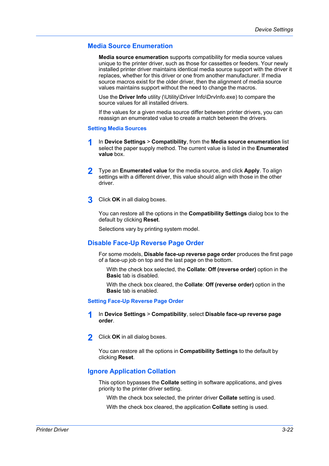## <span id="page-42-0"></span>**[Media Source Enumeration](#page-42-0)**

**Media source enumeration** supports compatibility for media source values unique to the printer driver, such as those for cassettes or feeders. Your newly installed printer driver maintains identical media source support with the driver it replaces, whether for this driver or one from another manufacturer. If media source macros exist for the older driver, then the alignment of media source values maintains support without the need to change the macros.

Use the **Driver Info** utility (\Utility\Driver Info\DrvInfo.exe) to compare the source values for all installed drivers.

If the values for a given media source differ between printer drivers, you can reassign an enumerated value to create a match between the drivers.

#### <span id="page-42-1"></span>**[Setting Media Sources](#page-42-1)**

- **1** In **Device Settings** <sup>&</sup>gt; **Compatibility**, from the **Media source enumeration** list select the paper supply method. The current value is listed in the **Enumerated value** box.
- **2** Type an **Enumerated value** for the media source, and click **Apply**. To align settings with a different driver, this value should align with those in the other driver.
- **3** Click **OK** in all dialog boxes.

You can restore all the options in the **Compatibility Settings** dialog box to the default by clicking **Reset**.

Selections vary by printing system model.

## <span id="page-42-2"></span>**[Disable Face-Up Reverse Page Order](#page-42-2)**

For some models, **Disable face-up reverse page order** produces the first page of a face-up job on top and the last page on the bottom.

With the check box selected, the **Collate**: **Off (reverse order)** option in the **Basic** tab is disabled.

With the check box cleared, the **Collate**: **Off (reverse order)** option in the **Basic** tab is enabled.

#### <span id="page-42-3"></span>**[Setting Face-Up Reverse Page Order](#page-42-3)**

- **1** In **Device Settings** <sup>&</sup>gt; **Compatibility**, select **Disable face-up reverse page order**.
- **2** Click **OK** in all dialog boxes.

You can restore all the options in **Compatibility Settings** to the default by clicking **Reset**.

## <span id="page-42-4"></span>**[Ignore Application Collation](#page-42-4)**

This option bypasses the **Collate** setting in software applications, and gives priority to the printer driver setting.

With the check box selected, the printer driver **Collate** setting is used.

With the check box cleared, the application **Collate** setting is used.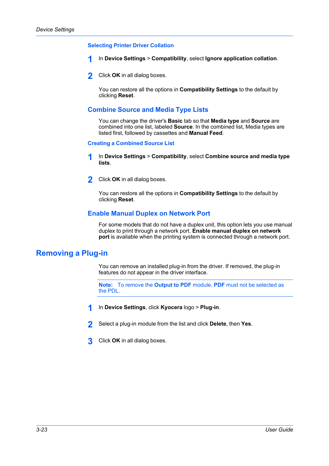## <span id="page-43-0"></span>**[Selecting Printer Driver Collation](#page-43-0)**

- **1** In **Device Settings** <sup>&</sup>gt; **Compatibility**, select **Ignore application collation**.
- **2** Click **OK** in all dialog boxes.

You can restore all the options in **Compatibility Settings** to the default by clicking **Reset**.

## <span id="page-43-1"></span>**[Combine Source and Media Type Lists](#page-43-1)**

You can change the driver's **Basic** tab so that **Media type** and **Source** are combined into one list, labeled **Source**. In the combined list, Media types are listed first, followed by cassettes and **Manual Feed**.

#### <span id="page-43-2"></span>**[Creating a Combined Source List](#page-43-2)**

- **1** In **Device Settings** <sup>&</sup>gt; **Compatibility**, select **Combine source and media type lists**.
- **2** Click **OK** in all dialog boxes.

You can restore all the options in **Compatibility Settings** to the default by clicking **Reset**.

## **[Enable Manual Duplex on Network Port](#page-43-3)**

For some models that do not have a duplex unit, this option lets you use manual duplex to print through a network port. **Enable manual duplex on network port** is available when the printing system is connected through a network port.

# <span id="page-43-4"></span><span id="page-43-3"></span>**[Removing a Plug-in](#page-43-4)**

You can remove an installed plug-in from the driver. If removed, the plug-in features do not appear in the driver interface.

**Note:** To remove the **Output to PDF** module, **PDF** must not be selected as the PDL.

- **1** In **Device Settings**, click **Kyocera** logo > **Plug-in**.
- **2** Select a plug-in module from the list and click **Delete**, then **Yes**.
- **3** Click **OK** in all dialog boxes.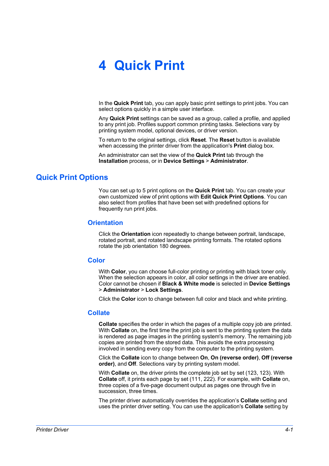# **4 Quick Print**

In the **Quick Print** tab, you can apply basic print settings to print jobs. You can select options quickly in a simple user interface.

Any **Quick Print** settings can be saved as a group, called a profile, and applied to any print job. Profiles support common printing tasks. Selections vary by printing system model, optional devices, or driver version.

To return to the original settings, click **Reset**. The **Reset** button is available when accessing the printer driver from the application's **Print** dialog box.

An administrator can set the view of the **Quick Print** tab through the **Installation** process, or in **Device Settings** > **Administrator**.

# <span id="page-44-1"></span><span id="page-44-0"></span>**[Quick Print Options](#page-44-0)**

You can set up to 5 print options on the **Quick Print** tab. You can create your own customized view of print options with **Edit Quick Print Options**. You can also select from profiles that have been set with predefined options for frequently run print jobs.

## **[Orientation](#page-44-1)**

Click the **Orientation** icon repeatedly to change between portrait, landscape, rotated portrait, and rotated landscape printing formats. The rotated options rotate the job orientation 180 degrees.

## <span id="page-44-2"></span>**[Color](#page-44-2)**

With **Color**, you can choose full-color printing or printing with black toner only. When the selection appears in color, all color settings in the driver are enabled. Color cannot be chosen if **Black & White mode** is selected in **Device Settings** > **Administrator** > **Lock Settings**.

Click the **Color** icon to change between full color and black and white printing.

## <span id="page-44-3"></span>**[Collate](#page-44-3)**

**Collate** specifies the order in which the pages of a multiple copy job are printed. With **Collate** on, the first time the print job is sent to the printing system the data is rendered as page images in the printing system's memory. The remaining job copies are printed from the stored data. This avoids the extra processing involved in sending every copy from the computer to the printing system.

Click the **Collate** icon to change between **On**, **On (reverse order)**, **Off (reverse order)**, and **Off**. Selections vary by printing system model.

With **Collate** on, the driver prints the complete job set by set (123, 123). With **Collate** off, it prints each page by set (111, 222). For example, with **Collate** on, three copies of a five-page document output as pages one through five in succession, three times.

The printer driver automatically overrides the application's **Collate** setting and uses the printer driver setting. You can use the application's **Collate** setting by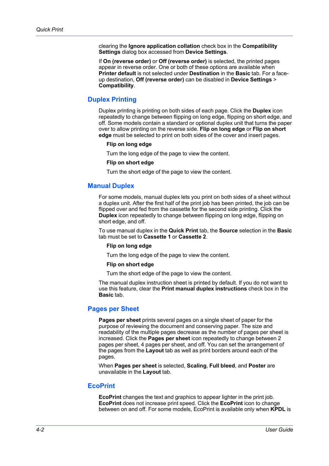clearing the **Ignore application collation** check box in the **Compatibility Settings** dialog box accessed from **Device Settings**.

If **On (reverse order)** or **Off (reverse order)** is selected, the printed pages appear in reverse order. One or both of these options are available when **Printer default** is not selected under **Destination** in the **Basic** tab. For a faceup destination, **Off (reverse order)** can be disabled in **Device Settings** > **Compatibility**.

## <span id="page-45-0"></span>**[Duplex Printing](#page-45-0)**

Duplex printing is printing on both sides of each page. Click the **Duplex** icon repeatedly to change between flipping on long edge, flipping on short edge, and off. Some models contain a standard or optional duplex unit that turns the paper over to allow printing on the reverse side. **Flip on long edge** or **Flip on short edge** must be selected to print on both sides of the cover and insert pages.

#### **Flip on long edge**

Turn the long edge of the page to view the content.

#### **Flip on short edge**

Turn the short edge of the page to view the content.

## <span id="page-45-1"></span>**[Manual Duplex](#page-45-1)**

For some models, manual duplex lets you print on both sides of a sheet without a duplex unit. After the first half of the print job has been printed, the job can be flipped over and fed from the cassette for the second side printing. Click the **Duplex** icon repeatedly to change between flipping on long edge, flipping on short edge, and off.

To use manual duplex in the **Quick Print** tab, the **Source** selection in the **Basic** tab must be set to **Cassette 1** or **Cassette 2**.

#### **Flip on long edge**

Turn the long edge of the page to view the content.

#### **Flip on short edge**

Turn the short edge of the page to view the content.

The manual duplex instruction sheet is printed by default. If you do not want to use this feature, clear the **Print manual duplex instructions** check box in the **Basic** tab.

## <span id="page-45-2"></span>**[Pages per Sheet](#page-45-2)**

**Pages per sheet** prints several pages on a single sheet of paper for the purpose of reviewing the document and conserving paper. The size and readability of the multiple pages decrease as the number of pages per sheet is increased. Click the **Pages per sheet** icon repeatedly to change between 2 pages per sheet, 4 pages per sheet, and off. You can set the arrangement of the pages from the **Layout** tab as well as print borders around each of the pages.

When **Pages per sheet** is selected, **Scaling**, **Full bleed**, and **Poster** are unavailable in the **Layout** tab.

## <span id="page-45-3"></span>**[EcoPrint](#page-45-3)**

**EcoPrint** changes the text and graphics to appear lighter in the print job. **EcoPrint** does not increase print speed. Click the **EcoPrint** icon to change between on and off. For some models, EcoPrint is available only when **KPDL** is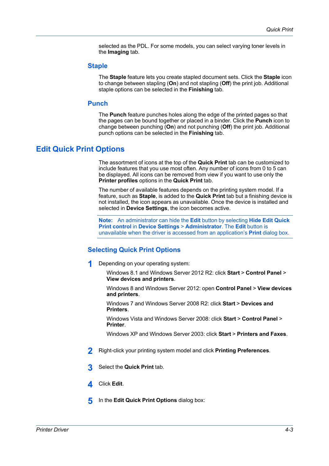selected as the PDL. For some models, you can select varying toner levels in the **Imaging** tab.

## <span id="page-46-0"></span>**[Staple](#page-46-0)**

The **Staple** feature lets you create stapled document sets. Click the **Staple** icon to change between stapling (**On**) and not stapling (**Off**) the print job. Additional staple options can be selected in the **Finishing** tab.

## **[Punch](#page-46-1)**

The **Punch** feature punches holes along the edge of the printed pages so that the pages can be bound together or placed in a binder. Click the **Punch** icon to change between punching (**On**) and not punching (**Off**) the print job. Additional punch options can be selected in the **Finishing** tab.

## <span id="page-46-2"></span><span id="page-46-1"></span>**[Edit Quick Print Options](#page-46-2)**

The assortment of icons at the top of the **Quick Print** tab can be customized to include features that you use most often. Any number of icons from 0 to 5 can be displayed. All icons can be removed from view if you want to use only the **Printer profiles** options in the **Quick Print** tab.

The number of available features depends on the printing system model. If a feature, such as **Staple**, is added to the **Quick Print** tab but a finishing device is not installed, the icon appears as unavailable. Once the device is installed and selected in **Device Settings**, the icon becomes active.

**Note:** An administrator can hide the **Edit** button by selecting **Hide Edit Quick Print control** in **Device Settings** > **Administrator**. The **Edit** button is unavailable when the driver is accessed from an application's **Print** dialog box.

## <span id="page-46-3"></span>**[Selecting Quick Print Options](#page-46-3)**

**1** Depending on your operating system:

Windows 8.1 and Windows Server 2012 R2: click **Start** > **Control Panel** > **View devices and printers**.

Windows 8 and Windows Server 2012: open **Control Panel** > **View devices and printers**.

Windows 7 and Windows Server 2008 R2: click **Start** > **Devices and Printers**.

Windows Vista and Windows Server 2008: click **Start** > **Control Panel** > **Printer**.

Windows XP and Windows Server 2003: click **Start** > **Printers and Faxes**.

- **2** Right-click your printing system model and click **Printing Preferences**.
- **3** Select the **Quick Print** tab.
- **4** Click **Edit**.
- **5** In the **Edit Quick Print Options** dialog box: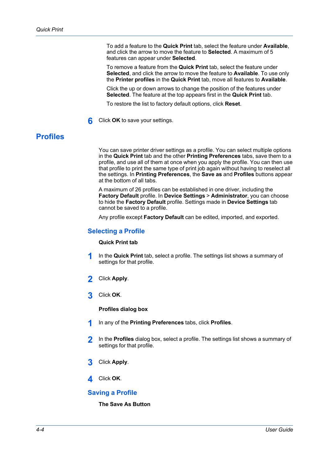To add a feature to the **Quick Print** tab, select the feature under **Available**, and click the arrow to move the feature to **Selected**. A maximum of 5 features can appear under **Selected**.

To remove a feature from the **Quick Print** tab, select the feature under **Selected**, and click the arrow to move the feature to **Available**. To use only the **Printer profiles** in the **Quick Print** tab, move all features to **Available**.

Click the up or down arrows to change the position of the features under **Selected**. The feature at the top appears first in the **Quick Print** tab.

To restore the list to factory default options, click **Reset**.

**6** Click **OK** to save your settings.

# <span id="page-47-0"></span>**[Profiles](#page-47-0)**

You can save printer driver settings as a profile. You can select multiple options in the **Quick Print** tab and the other **Printing Preferences** tabs, save them to a profile, and use all of them at once when you apply the profile. You can then use that profile to print the same type of print job again without having to reselect all the settings. In **Printing Preferences**, the **Save as** and **Profiles** buttons appear at the bottom of all tabs.

A maximum of 26 profiles can be established in one driver, including the **Factory Default** profile. In **Device Settings** > **Administrator**, you can choose to hide the **Factory Default** profile. Settings made in **Device Settings** tab cannot be saved to a profile.

Any profile except **Factory Default** can be edited, imported, and exported.

## <span id="page-47-1"></span>**[Selecting a Profile](#page-47-1)**

#### **Quick Print tab**

- **1** In the **Quick Print** tab, select a profile. The settings list shows a summary of settings for that profile.
- **2** Click **Apply**.
- **3** Click **OK**.

**Profiles dialog box**

- **1** In any of the **Printing Preferences** tabs, click **Profiles**.
- **2** In the **Profiles** dialog box, select a profile. The settings list shows a summary of settings for that profile.
- **3** Click **Apply**.
- **4** Click **OK**.

## <span id="page-47-2"></span>**[Saving a Profile](#page-47-2)**

**The Save As Button**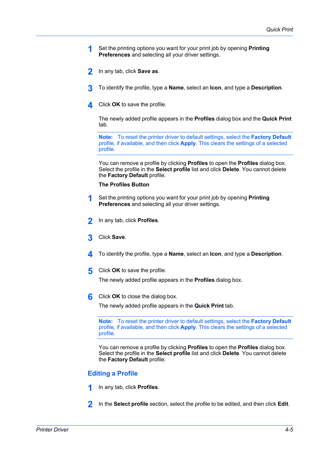- **1** Set the printing options you want for your print job by opening **Printing Preferences** and selecting all your driver settings.
- **2** In any tab, click **Save as**.
- **3** To identify the profile, type a **Name**, select an **Icon**, and type a **Description**.
- **4** Click **OK** to save the profile.

The newly added profile appears in the **Profiles** dialog box and the **Quick Print** tab.

**Note:** To reset the printer driver to default settings, select the **Factory Default** profile, if available, and then click **Apply**. This clears the settings of a selected profile.

You can remove a profile by clicking **Profiles** to open the **Profiles** dialog box. Select the profile in the **Select profile** list and click **Delete**. You cannot delete the **Factory Default** profile.

#### **The Profiles Button**

- **1** Set the printing options you want for your print job by opening **Printing Preferences** and selecting all your driver settings.
- **2** In any tab, click **Profiles**.
- **3** Click **Save**.
- **4** To identify the profile, type a **Name**, select an **Icon**, and type a **Description**.
- **5** Click **OK** to save the profile.

The newly added profile appears in the **Profiles** dialog box.

**6** Click **OK** to close the dialog box.

The newly added profile appears in the **Quick Print** tab.

**Note:** To reset the printer driver to default settings, select the **Factory Default** profile, if available, and then click **Apply**. This clears the settings of a selected profile.

You can remove a profile by clicking **Profiles** to open the **Profiles** dialog box. Select the profile in the **Select profile** list and click **Delete**. You cannot delete the **Factory Default** profile.

## <span id="page-48-0"></span>**[Editing a Profile](#page-48-0)**

- **1** In any tab, click **Profiles**.
- **2** In the **Select profile** section, select the profile to be edited, and then click **Edit**.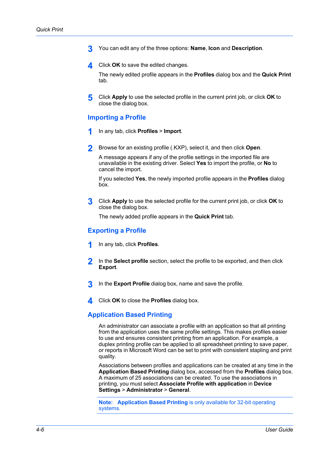- **3** You can edit any of the three options: **Name**, **Icon** and **Description**.
- **4** Click **OK** to save the edited changes.

The newly edited profile appears in the **Profiles** dialog box and the **Quick Print** tab.

**5** Click **Apply** to use the selected profile in the current print job, or click **OK** to close the dialog box.

## <span id="page-49-0"></span>**[Importing a Profile](#page-49-0)**

- **1** In any tab, click **Profiles** <sup>&</sup>gt; **Import**.
- **2** Browse for an existing profile (.KXP), select it, and then click **Open**.

A message appears if any of the profile settings in the imported file are unavailable in the existing driver. Select **Yes** to import the profile, or **No** to cancel the import.

If you selected **Yes**, the newly imported profile appears in the **Profiles** dialog box.

**3** Click **Apply** to use the selected profile for the current print job, or click **OK** to close the dialog box.

The newly added profile appears in the **Quick Print** tab.

## <span id="page-49-1"></span>**[Exporting a Profile](#page-49-1)**

- **1** In any tab, click **Profiles**.
- **2** In the **Select profile** section, select the profile to be exported, and then click **Export**.
- **3** In the **Export Profile** dialog box, name and save the profile.
- **4** Click **OK** to close the **Profiles** dialog box.

## <span id="page-49-2"></span>**[Application Based Printing](#page-49-2)**

An administrator can associate a profile with an application so that all printing from the application uses the same profile settings. This makes profiles easier to use and ensures consistent printing from an application. For example, a duplex printing profile can be applied to all spreadsheet printing to save paper, or reports in Microsoft Word can be set to print with consistent stapling and print quality.

Associations between profiles and applications can be created at any time in the **Application Based Printing** dialog box, accessed from the **Profiles** dialog box. A maximum of 25 associations can be created. To use the associations in printing, you must select **Associate Profile with application** in **Device Settings** > **Administrator** > **General**.

**Note: Application Based Printing** is only available for 32-bit operating systems.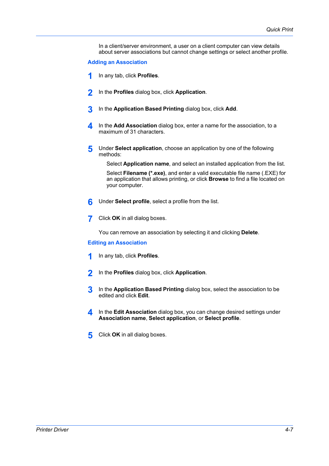In a client/server environment, a user on a client computer can view details about server associations but cannot change settings or select another profile.

#### <span id="page-50-0"></span>**[Adding an Association](#page-50-0)**

- **1** In any tab, click **Profiles**.
- **2** In the **Profiles** dialog box, click **Application**.
- **3** In the **Application Based Printing** dialog box, click **Add**.
- **4** In the **Add Association** dialog box, enter a name for the association, to a maximum of 31 characters.
- **5** Under **Select application**, choose an application by one of the following methods:

Select **Application name**, and select an installed application from the list.

Select **Filename (\*.exe)**, and enter a valid executable file name (.EXE) for an application that allows printing, or click **Browse** to find a file located on your computer.

- **6** Under **Select profile**, select a profile from the list.
- **7** Click **OK** in all dialog boxes.

You can remove an association by selecting it and clicking **Delete**.

## <span id="page-50-1"></span>**[Editing an Association](#page-50-1)**

- **1** In any tab, click **Profiles**.
- **2** In the **Profiles** dialog box, click **Application**.
- **3** In the **Application Based Printing** dialog box, select the association to be edited and click **Edit**.
- **4** In the **Edit Association** dialog box, you can change desired settings under **Association name**, **Select application**, or **Select profile**.
- **5** Click OK in all dialog boxes.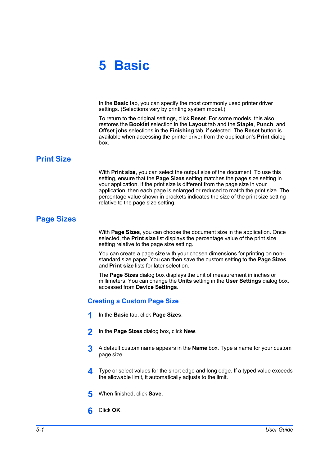# **5 Basic**

In the **Basic** tab, you can specify the most commonly used printer driver settings. (Selections vary by printing system model.)

To return to the original settings, click **Reset**. For some models, this also restores the **Booklet** selection in the **Layout** tab and the **Staple**, **Punch**, and **Offset jobs** selections in the **Finishing** tab, if selected. The **Reset** button is available when accessing the printer driver from the application's **Print** dialog box.

# <span id="page-51-0"></span>**[Print Size](#page-51-0)**

With **Print size**, you can select the output size of the document. To use this setting, ensure that the **Page Sizes** setting matches the page size setting in your application. If the print size is different from the page size in your application, then each page is enlarged or reduced to match the print size. The percentage value shown in brackets indicates the size of the print size setting relative to the page size setting.

# <span id="page-51-1"></span>**[Page Sizes](#page-51-1)**

With **Page Sizes**, you can choose the document size in the application. Once selected, the **Print size** list displays the percentage value of the print size setting relative to the page size setting.

You can create a page size with your chosen dimensions for printing on nonstandard size paper. You can then save the custom setting to the **Page Sizes** and **Print size** lists for later selection.

The **Page Sizes** dialog box displays the unit of measurement in inches or millimeters. You can change the **Units** setting in the **User Settings** dialog box, accessed from **Device Settings**.

# <span id="page-51-2"></span>**[Creating a Custom Page Size](#page-51-2)**

- **1** In the **Basic** tab, click **Page Sizes**.
- **2** In the **Page Sizes** dialog box, click **New**.
- **3** A default custom name appears in the **Name** box. Type a name for your custom page size.
- **4** Type or select values for the short edge and long edge. If a typed value exceeds the allowable limit, it automatically adjusts to the limit.
- **5** When finished, click **Save**.
- **6** Click **OK**.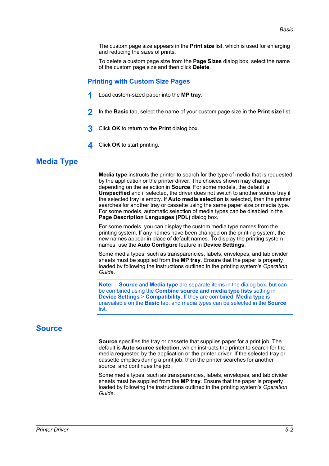The custom page size appears in the **Print size** list, which is used for enlarging and reducing the sizes of prints.

To delete a custom page size from the **Page Sizes** dialog box, select the name of the custom page size and then click **Delete**.

## <span id="page-52-0"></span>**[Printing with Custom Size Pages](#page-52-0)**

- **1** Load custom-sized paper into the **MP tray**.
- **2** In the **Basic** tab, select the name of your custom page size in the **Print size** list.
- **3** Click **OK** to return to the **Print** dialog box.
- **4** Click **OK** to start printing.

## <span id="page-52-1"></span>**[Media Type](#page-52-1)**

**Media type** instructs the printer to search for the type of media that is requested by the application or the printer driver. The choices shown may change depending on the selection in **Source**. For some models, the default is **Unspecified** and if selected, the driver does not switch to another source tray if the selected tray is empty. If **Auto media selection** is selected, then the printer searches for another tray or cassette using the same paper size or media type. For some models, automatic selection of media types can be disabled in the **Page Description Languages (PDL)** dialog box.

For some models, you can display the custom media type names from the printing system. If any names have been changed on the printing system, the new names appear in place of default names. To display the printing system names, use the **Auto Configure** feature in **Device Settings**.

Some media types, such as transparencies, labels, envelopes, and tab divider sheets must be supplied from the **MP tray**. Ensure that the paper is properly loaded by following the instructions outlined in the printing system's *Operation Guide*.

**Note: Source** and **Media type** are separate items in the dialog box, but can be combined using the **Combine source and media type lists** setting in **Device Settings** > **Compatibility**. If they are combined, **Media type** is unavailable on the **Basic** tab, and media types can be selected in the **Source** list.

## <span id="page-52-2"></span>**[Source](#page-52-2)**

**Source** specifies the tray or cassette that supplies paper for a print job. The default is **Auto source selection**, which instructs the printer to search for the media requested by the application or the printer driver. If the selected tray or cassette empties during a print job, then the printer searches for another source, and continues the job.

Some media types, such as transparencies, labels, envelopes, and tab divider sheets must be supplied from the **MP tray**. Ensure that the paper is properly loaded by following the instructions outlined in the printing system's *Operation Guide*.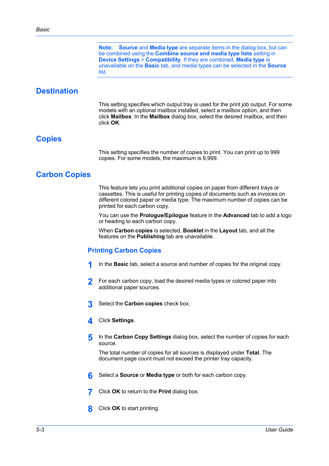**Note: Source** and **Media type** are separate items in the dialog box, but can be combined using the **Combine source and media type lists** setting in **Device Settings** > **Compatibility**. If they are combined, **Media type** is unavailable on the **Basic** tab, and media types can be selected in the **Source** list.

# <span id="page-53-0"></span>**[Destination](#page-53-0)**

This setting specifies which output tray is used for the print job output. For some models with an optional mailbox installed, select a mailbox option, and then click **Mailbox**. In the **Mailbox** dialog box, select the desired mailbox, and then click **OK**.

## <span id="page-53-1"></span>**[Copies](#page-53-1)**

This setting specifies the number of copies to print. You can print up to 999 copies. For some models, the maximum is 9,999.

# <span id="page-53-3"></span><span id="page-53-2"></span>**[Carbon Copies](#page-53-2)**

This feature lets you print additional copies on paper from different trays or cassettes. This is useful for printing copies of documents such as invoices on different colored paper or media type. The maximum number of copies can be printed for each carbon copy.

You can use the **Prologue/Epilogue** feature in the **Advanced** tab to add a logo or heading to each carbon copy.

When **Carbon copies** is selected, **Booklet** in the **Layout** tab, and all the features on the **Publishing** tab are unavailable.

## **[Printing Carbon Copies](#page-53-3)**

- **1** In the **Basic** tab, select a source and number of copies for the original copy.
- **2** For each carbon copy, load the desired media types or colored paper into additional paper sources.
- **3** Select the **Carbon copies** check box.
- **4** Click **Settings**.
- **5** In the **Carbon Copy Settings** dialog box, select the number of copies for each source.

The total number of copies for all sources is displayed under **Total**. The document page count must not exceed the printer tray capacity.

- **6** Select a **Source** or **Media type** or both for each carbon copy.
- **7** Click **OK** to return to the **Print** dialog box.
- **8** Click **OK** to start printing.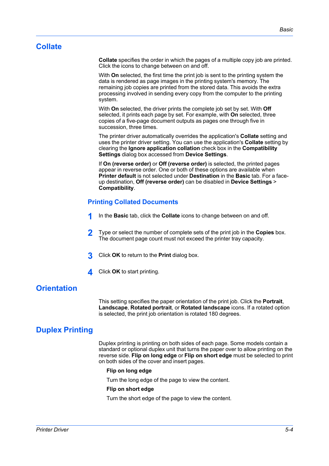# <span id="page-54-0"></span>**[Collate](#page-54-0)**

**Collate** specifies the order in which the pages of a multiple copy job are printed. Click the icons to change between on and off.

With **On** selected, the first time the print job is sent to the printing system the data is rendered as page images in the printing system's memory. The remaining job copies are printed from the stored data. This avoids the extra processing involved in sending every copy from the computer to the printing system.

With **On** selected, the driver prints the complete job set by set. With **Off** selected, it prints each page by set. For example, with **On** selected, three copies of a five-page document outputs as pages one through five in succession, three times.

The printer driver automatically overrides the application's **Collate** setting and uses the printer driver setting. You can use the application's **Collate** setting by clearing the **Ignore application collation** check box in the **Compatibility Settings** dialog box accessed from **Device Settings**.

If **On (reverse order)** or **Off (reverse order)** is selected, the printed pages appear in reverse order. One or both of these options are available when **Printer default** is not selected under **Destination** in the **Basic** tab. For a faceup destination, **Off (reverse order)** can be disabled in **Device Settings** > **Compatibility**.

## <span id="page-54-1"></span>**[Printing Collated Documents](#page-54-1)**

- **1** In the **Basic** tab, click the **Collate** icons to change between on and off.
- **2** Type or select the number of complete sets of the print job in the **Copies** box. The document page count must not exceed the printer tray capacity.
- **3** Click **OK** to return to the **Print** dialog box.
- **4** Click **OK** to start printing.

# <span id="page-54-2"></span>**[Orientation](#page-54-2)**

This setting specifies the paper orientation of the print job. Click the **Portrait**, **Landscape**, **Rotated portrait**, or **Rotated landscape** icons. If a rotated option is selected, the print job orientation is rotated 180 degrees.

# <span id="page-54-3"></span>**[Duplex Printing](#page-54-3)**

Duplex printing is printing on both sides of each page. Some models contain a standard or optional duplex unit that turns the paper over to allow printing on the reverse side. **Flip on long edge** or **Flip on short edge** must be selected to print on both sides of the cover and insert pages.

#### **Flip on long edge**

Turn the long edge of the page to view the content.

#### **Flip on short edge**

Turn the short edge of the page to view the content.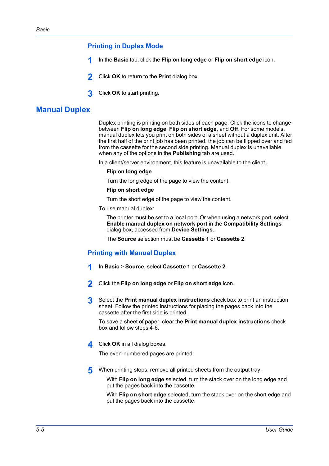## **[Printing in Duplex Mode](#page-55-0)**

- **1** In the **Basic** tab, click the **Flip on long edge** or **Flip on short edge** icon.
- **2** Click **OK** to return to the **Print** dialog box.
- **3** Click **OK** to start printing.

# <span id="page-55-1"></span><span id="page-55-0"></span>**[Manual Duplex](#page-55-1)**

Duplex printing is printing on both sides of each page. Click the icons to change between **Flip on long edge**, **Flip on short edge**, and **Off**. For some models, manual duplex lets you print on both sides of a sheet without a duplex unit. After the first half of the print job has been printed, the job can be flipped over and fed from the cassette for the second side printing. Manual duplex is unavailable when any of the options in the **Publishing** tab are used.

In a client/server environment, this feature is unavailable to the client.

#### **Flip on long edge**

Turn the long edge of the page to view the content.

#### **Flip on short edge**

Turn the short edge of the page to view the content.

To use manual duplex:

The printer must be set to a local port. Or when using a network port, select **Enable manual duplex on network port** in the **Compatibility Settings** dialog box, accessed from **Device Settings**.

The **Source** selection must be **Cassette 1** or **Cassette 2**.

## <span id="page-55-2"></span>**[Printing with Manual Duplex](#page-55-2)**

- **1** In **Basic** <sup>&</sup>gt; **Source**, select **Cassette 1** or **Cassette 2**.
- **2** Click the **Flip on long edge** or **Flip on short edge** icon.
- **3** Select the **Print manual duplex instructions** check box to print an instruction sheet. Follow the printed instructions for placing the pages back into the cassette after the first side is printed.

To save a sheet of paper, clear the **Print manual duplex instructions** check box and follow steps 4-6.

**4** Click **OK** in all dialog boxes.

The even-numbered pages are printed.

**5** When printing stops, remove all printed sheets from the output tray.

With **Flip on long edge** selected, turn the stack over on the long edge and put the pages back into the cassette.

With **Flip on short edge** selected, turn the stack over on the short edge and put the pages back into the cassette.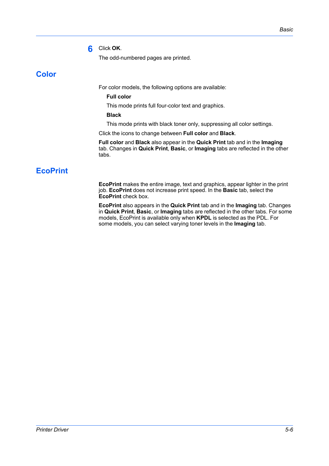## **6** Click **OK**.

The odd-numbered pages are printed.

# <span id="page-56-0"></span>**[Color](#page-56-0)**

For color models, the following options are available:

**Full color**

This mode prints full four-color text and graphics.

**Black**

This mode prints with black toner only, suppressing all color settings.

Click the icons to change between **Full color** and **Black**.

**Full color** and **Black** also appear in the **Quick Print** tab and in the **Imaging** tab. Changes in **Quick Print**, **Basic**, or **Imaging** tabs are reflected in the other tabs.

# <span id="page-56-1"></span>**[EcoPrint](#page-56-1)**

**EcoPrint** makes the entire image, text and graphics, appear lighter in the print job. **EcoPrint** does not increase print speed. In the **Basic** tab, select the **EcoPrint** check box.

**EcoPrint** also appears in the **Quick Print** tab and in the **Imaging** tab. Changes in **Quick Print**, **Basic**, or **Imaging** tabs are reflected in the other tabs. For some models, EcoPrint is available only when **KPDL** is selected as the PDL. For some models, you can select varying toner levels in the **Imaging** tab.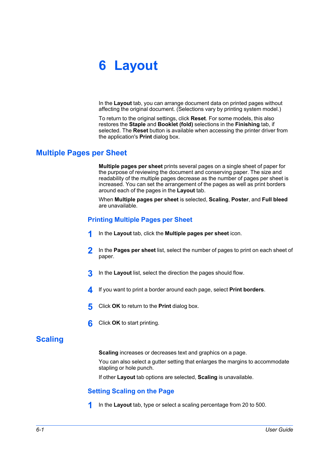# **6 Layout**

In the **Layout** tab, you can arrange document data on printed pages without affecting the original document. (Selections vary by printing system model.)

To return to the original settings, click **Reset**. For some models, this also restores the **Staple** and **Booklet (fold)** selections in the **Finishing** tab, if selected. The **Reset** button is available when accessing the printer driver from the application's **Print** dialog box.

# <span id="page-57-1"></span><span id="page-57-0"></span>**[Multiple Pages per Sheet](#page-57-0)**

**Multiple pages per sheet** prints several pages on a single sheet of paper for the purpose of reviewing the document and conserving paper. The size and readability of the multiple pages decrease as the number of pages per sheet is increased. You can set the arrangement of the pages as well as print borders around each of the pages in the **Layout** tab.

When **Multiple pages per sheet** is selected, **Scaling**, **Poster**, and **Full bleed** are unavailable.

# **[Printing Multiple Pages per Sheet](#page-57-1)**

- **1** In the **Layout** tab, click the **Multiple pages per sheet** icon.
- **2** In the **Pages per sheet** list, select the number of pages to print on each sheet of paper.
- **3** In the **Layout** list, select the direction the pages should flow.
- **4** If you want to print a border around each page, select **Print borders**.
- **5** Click **OK** to return to the **Print** dialog box.
- **6** Click **OK** to start printing.

# <span id="page-57-3"></span><span id="page-57-2"></span>**[Scaling](#page-57-2)**

**Scaling** increases or decreases text and graphics on a page.

You can also select a gutter setting that enlarges the margins to accommodate stapling or hole punch.

If other **Layout** tab options are selected, **Scaling** is unavailable.

## **[Setting Scaling on the Page](#page-57-3)**

**1** In the Layout tab, type or select a scaling percentage from 20 to 500.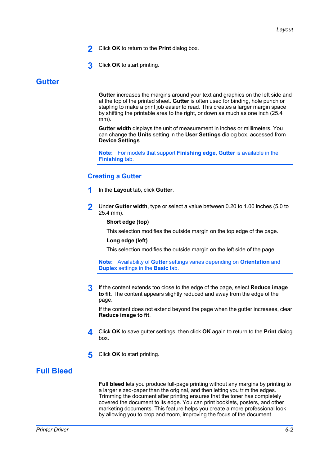- **2** Click **OK** to return to the **Print** dialog box.
- **3** Click **OK** to start printing.

## <span id="page-58-0"></span>**[Gutter](#page-58-0)**

**Gutter** increases the margins around your text and graphics on the left side and at the top of the printed sheet. **Gutter** is often used for binding, hole punch or stapling to make a print job easier to read. This creates a larger margin space by shifting the printable area to the right, or down as much as one inch (25.4 mm).

**Gutter width** displays the unit of measurement in inches or millimeters. You can change the **Units** setting in the **User Settings** dialog box, accessed from **Device Settings**.

**Note:** For models that support **Finishing edge**, **Gutter** is available in the **Finishing** tab.

## <span id="page-58-1"></span>**[Creating a Gutter](#page-58-1)**

- **1** In the **Layout** tab, click **Gutter**.
- **2** Under **Gutter width**, type or select a value between 0.20 to 1.00 inches (5.0 to 25.4 mm).

## **Short edge (top)**

This selection modifies the outside margin on the top edge of the page.

#### **Long edge (left)**

This selection modifies the outside margin on the left side of the page.

**Note:** Availability of **Gutter** settings varies depending on **Orientation** and **Duplex** settings in the **Basic** tab.

**3** If the content extends too close to the edge of the page, select **Reduce image to fit**. The content appears slightly reduced and away from the edge of the page.

If the content does not extend beyond the page when the gutter increases, clear **Reduce image to fit**.

- **4** Click **OK** to save gutter settings, then click **OK** again to return to the **Print** dialog box.
- **5** Click **OK** to start printing.

# <span id="page-58-2"></span>**[Full Bleed](#page-58-2)**

**Full bleed** lets you produce full-page printing without any margins by printing to a larger sized-paper than the original, and then letting you trim the edges. Trimming the document after printing ensures that the toner has completely covered the document to its edge. You can print booklets, posters, and other marketing documents. This feature helps you create a more professional look by allowing you to crop and zoom, improving the focus of the document.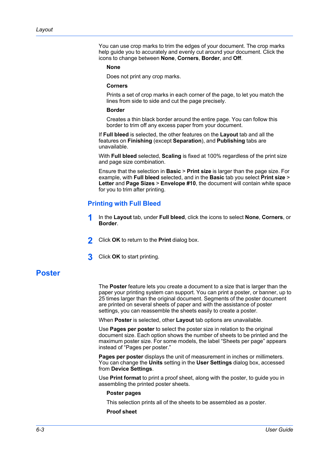You can use crop marks to trim the edges of your document. The crop marks help guide you to accurately and evenly cut around your document. Click the icons to change between **None**, **Corners**, **Border**, and **Off**.

#### **None**

Does not print any crop marks.

#### **Corners**

Prints a set of crop marks in each corner of the page, to let you match the lines from side to side and cut the page precisely.

#### **Border**

Creates a thin black border around the entire page. You can follow this border to trim off any excess paper from your document.

If **Full bleed** is selected, the other features on the **Layout** tab and all the features on **Finishing** (except **Separation**), and **Publishing** tabs are unavailable.

With **Full bleed** selected, **Scaling** is fixed at 100% regardless of the print size and page size combination.

Ensure that the selection in **Basic** > **Print size** is larger than the page size. For example, with **Full bleed** selected, and in the **Basic** tab you select **Print size** > **Letter** and **Page Sizes** > **Envelope #10**, the document will contain white space for you to trim after printing.

## **[Printing with Full Bleed](#page-59-0)**

- **1** In the **Layout** tab, under **Full bleed**, click the icons to select **None**, **Corners**, or **Border**.
- **2** Click **OK** to return to the **Print** dialog box.
- **3** Click **OK** to start printing.

## <span id="page-59-1"></span><span id="page-59-0"></span>**[Poster](#page-59-1)**

The **Poster** feature lets you create a document to a size that is larger than the paper your printing system can support. You can print a poster, or banner, up to 25 times larger than the original document. Segments of the poster document are printed on several sheets of paper and with the assistance of poster settings, you can reassemble the sheets easily to create a poster.

When **Poster** is selected, other **Layout** tab options are unavailable.

Use **Pages per poster** to select the poster size in relation to the original document size. Each option shows the number of sheets to be printed and the maximum poster size. For some models, the label "Sheets per page" appears instead of "Pages per poster."

**Pages per poster** displays the unit of measurement in inches or millimeters. You can change the **Units** setting in the **User Settings** dialog box, accessed from **Device Settings**.

Use **Print format** to print a proof sheet, along with the poster, to guide you in assembling the printed poster sheets.

#### **Poster pages**

This selection prints all of the sheets to be assembled as a poster.

#### **Proof sheet**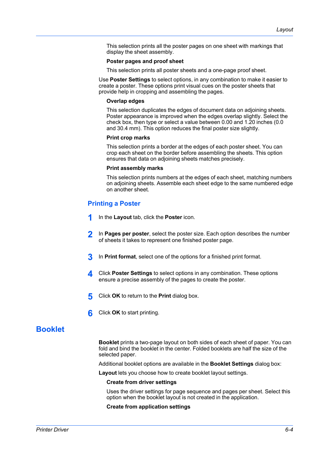This selection prints all the poster pages on one sheet with markings that display the sheet assembly.

#### **Poster pages and proof sheet**

This selection prints all poster sheets and a one-page proof sheet.

Use **Poster Settings** to select options, in any combination to make it easier to create a poster. These options print visual cues on the poster sheets that provide help in cropping and assembling the pages.

#### **Overlap edges**

This selection duplicates the edges of document data on adjoining sheets. Poster appearance is improved when the edges overlap slightly. Select the check box, then type or select a value between 0.00 and 1.20 inches (0.0 and 30.4 mm). This option reduces the final poster size slightly.

#### **Print crop marks**

This selection prints a border at the edges of each poster sheet. You can crop each sheet on the border before assembling the sheets. This option ensures that data on adjoining sheets matches precisely.

#### **Print assembly marks**

This selection prints numbers at the edges of each sheet, matching numbers on adjoining sheets. Assemble each sheet edge to the same numbered edge on another sheet.

## <span id="page-60-0"></span>**[Printing a Poster](#page-60-0)**

- **1** In the **Layout** tab, click the **Poster** icon.
- **2** In **Pages per poster**, select the poster size. Each option describes the number of sheets it takes to represent one finished poster page.
- **3** In **Print format**, select one of the options for a finished print format.
- **4** Click **Poster Settings** to select options in any combination. These options ensure a precise assembly of the pages to create the poster.
- **5** Click **OK** to return to the **Print** dialog box.
- **6** Click **OK** to start printing.

# <span id="page-60-1"></span>**[Booklet](#page-60-1)**

**Booklet** prints a two-page layout on both sides of each sheet of paper. You can fold and bind the booklet in the center. Folded booklets are half the size of the selected paper.

Additional booklet options are available in the **Booklet Settings** dialog box:

**Layout** lets you choose how to create booklet layout settings.

#### **Create from driver settings**

Uses the driver settings for page sequence and pages per sheet. Select this option when the booklet layout is not created in the application.

**Create from application settings**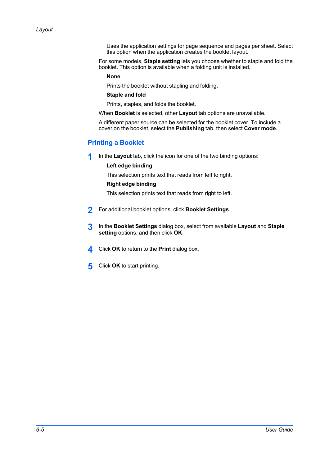Uses the application settings for page sequence and pages per sheet. Select this option when the application creates the booklet layout.

For some models, **Staple setting** lets you choose whether to staple and fold the booklet. This option is available when a folding unit is installed.

**None**

Prints the booklet without stapling and folding.

#### **Staple and fold**

Prints, staples, and folds the booklet.

When **Booklet** is selected, other **Layout** tab options are unavailable.

A different paper source can be selected for the booklet cover. To include a cover on the booklet, select the **Publishing** tab, then select **Cover mode**.

## <span id="page-61-0"></span>**[Printing a Booklet](#page-61-0)**

**1** In the **Layout** tab, click the icon for one of the two binding options:

## **Left edge binding**

This selection prints text that reads from left to right.

## **Right edge binding**

This selection prints text that reads from right to left.

- **2** For additional booklet options, click **Booklet Settings**.
- **3** In the **Booklet Settings** dialog box, select from available **Layout** and **Staple setting** options, and then click **OK**.
- **4** Click **OK** to return to the **Print** dialog box.
- **5** Click **OK** to start printing.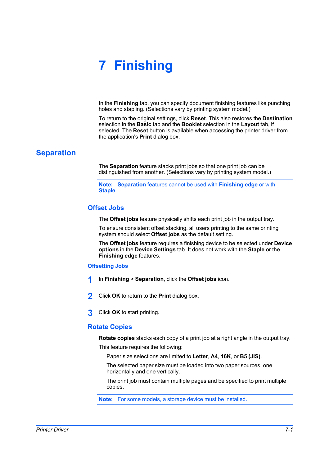# **7 Finishing**

In the **Finishing** tab, you can specify document finishing features like punching holes and stapling. (Selections vary by printing system model.)

To return to the original settings, click **Reset**. This also restores the **Destination** selection in the **Basic** tab and the **Booklet** selection in the **Layout** tab, if selected. The **Reset** button is available when accessing the printer driver from the application's **Print** dialog box.

# <span id="page-62-1"></span><span id="page-62-0"></span>**[Separation](#page-62-0)**

The **Separation** feature stacks print jobs so that one print job can be distinguished from another. (Selections vary by printing system model.)

**Note: Separation** features cannot be used with **Finishing edge** or with **Staple**.

## **[Offset Jobs](#page-62-1)**

The **Offset jobs** feature physically shifts each print job in the output tray.

To ensure consistent offset stacking, all users printing to the same printing system should select **Offset jobs** as the default setting.

The **Offset jobs** feature requires a finishing device to be selected under **Device options** in the **Device Settings** tab. It does not work with the **Staple** or the **Finishing edge** features.

## <span id="page-62-2"></span>**[Offsetting Jobs](#page-62-2)**

- **1** In **Finishing** <sup>&</sup>gt; **Separation**, click the **Offset jobs** icon.
- **2** Click **OK** to return to the **Print** dialog box.
- **3** Click **OK** to start printing.

# <span id="page-62-3"></span>**[Rotate Copies](#page-62-3)**

**Rotate copies** stacks each copy of a print job at a right angle in the output tray.

This feature requires the following:

Paper size selections are limited to **Letter**, **A4**, **16K**, or **B5 (JIS)**.

The selected paper size must be loaded into two paper sources, one horizontally and one vertically.

The print job must contain multiple pages and be specified to print multiple copies.

**Note:** For some models, a storage device must be installed.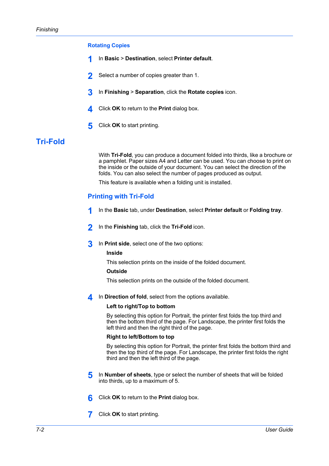## <span id="page-63-0"></span>**[Rotating Copies](#page-63-0)**

- **1** In **Basic** <sup>&</sup>gt; **Destination**, select **Printer default**.
- **2** Select a number of copies greater than 1.
- **3** In **Finishing** <sup>&</sup>gt; **Separation**, click the **Rotate copies** icon.
- **4** Click **OK** to return to the **Print** dialog box.
- **5** Click **OK** to start printing.

# <span id="page-63-2"></span><span id="page-63-1"></span>**[Tri-Fold](#page-63-1)**

With **Tri-Fold**, you can produce a document folded into thirds, like a brochure or a pamphlet. Paper sizes A4 and Letter can be used. You can choose to print on the inside or the outside of your document. You can select the direction of the folds. You can also select the number of pages produced as output.

This feature is available when a folding unit is installed.

## **[Printing with Tri-Fold](#page-63-2)**

- **1** In the **Basic** tab, under **Destination**, select **Printer default** or **Folding tray**.
- **2** In the **Finishing** tab, click the **Tri-Fold** icon.
- **3** In **Print side**, select one of the two options:

#### **Inside**

This selection prints on the inside of the folded document.

## **Outside**

This selection prints on the outside of the folded document.

**4** In **Direction of fold**, select from the options available.

#### **Left to right/Top to bottom**

By selecting this option for Portrait, the printer first folds the top third and then the bottom third of the page. For Landscape, the printer first folds the left third and then the right third of the page.

#### **Right to left/Bottom to top**

By selecting this option for Portrait, the printer first folds the bottom third and then the top third of the page. For Landscape, the printer first folds the right third and then the left third of the page.

- **5** In **Number of sheets**, type or select the number of sheets that will be folded into thirds, up to a maximum of 5.
- **6** Click **OK** to return to the **Print** dialog box.
- **7** Click **OK** to start printing.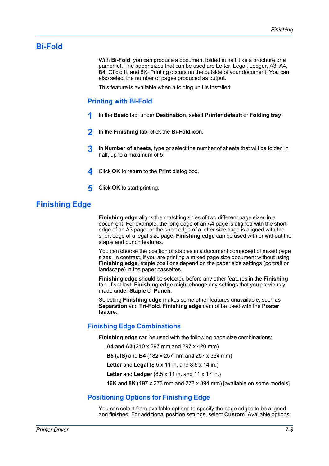# <span id="page-64-1"></span><span id="page-64-0"></span>**[Bi-Fold](#page-64-0)**

With **Bi-Fold**, you can produce a document folded in half, like a brochure or a pamphlet. The paper sizes that can be used are Letter, Legal, Ledger, A3, A4, B4, Oficio II, and 8K. Printing occurs on the outside of your document. You can also select the number of pages produced as output.

This feature is available when a folding unit is installed.

## **[Printing with Bi-Fold](#page-64-1)**

- **1** In the **Basic** tab, under **Destination**, select **Printer default** or **Folding tray**.
- **2** In the **Finishing** tab, click the **Bi-Fold** icon.
- **3** In **Number of sheets**, type or select the number of sheets that will be folded in half, up to a maximum of 5.
- **4** Click **OK** to return to the **Print** dialog box.
- **5** Click **OK** to start printing.

# <span id="page-64-2"></span>**[Finishing Edge](#page-64-2)**

**Finishing edge** aligns the matching sides of two different page sizes in a document. For example, the long edge of an A4 page is aligned with the short edge of an A3 page; or the short edge of a letter size page is aligned with the short edge of a legal size page. **Finishing edge** can be used with or without the staple and punch features.

You can choose the position of staples in a document composed of mixed page sizes. In contrast, if you are printing a mixed page size document without using **Finishing edge**, staple positions depend on the paper size settings (portrait or landscape) in the paper cassettes.

**Finishing edge** should be selected before any other features in the **Finishing** tab. If set last, **Finishing edge** might change any settings that you previously made under **Staple** or **Punch**.

Selecting **Finishing edge** makes some other features unavailable, such as **Separation** and **Tri-Fold**. **Finishing edge** cannot be used with the **Poster** feature.

## <span id="page-64-3"></span>**[Finishing Edge Combinations](#page-64-3)**

**Finishing edge** can be used with the following page size combinations:

**A4** and **A3** (210 x 297 mm and 297 x 420 mm)

**B5 (JIS)** and **B4** (182 x 257 mm and 257 x 364 mm)

**Letter** and **Legal** (8.5 x 11 in. and 8.5 x 14 in.)

**Letter** and **Ledger** (8.5 x 11 in. and 11 x 17 in.)

**16K** and **8K** (197 x 273 mm and 273 x 394 mm) [available on some models]

## <span id="page-64-4"></span>**[Positioning Options for Finishing Edge](#page-64-4)**

You can select from available options to specify the page edges to be aligned and finished. For additional position settings, select **Custom**. Available options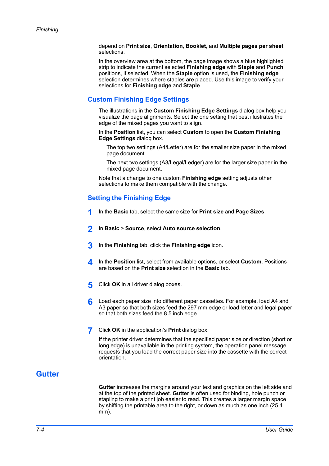depend on **Print size**, **Orientation**, **Booklet**, and **Multiple pages per sheet** selections.

In the overview area at the bottom, the page image shows a blue highlighted strip to indicate the current selected **Finishing edge** with **Staple** and **Punch** positions, if selected. When the **Staple** option is used, the **Finishing edge** selection determines where staples are placed. Use this image to verify your selections for **Finishing edge** and **Staple**.

## <span id="page-65-0"></span>**[Custom Finishing Edge Settings](#page-65-0)**

The illustrations in the **Custom Finishing Edge Settings** dialog box help you visualize the page alignments. Select the one setting that best illustrates the edge of the mixed pages you want to align.

In the **Position** list, you can select **Custom** to open the **Custom Finishing Edge Settings** dialog box.

The top two settings (A4/Letter) are for the smaller size paper in the mixed page document.

The next two settings (A3/Legal/Ledger) are for the larger size paper in the mixed page document.

Note that a change to one custom **Finishing edge** setting adjusts other selections to make them compatible with the change.

## <span id="page-65-1"></span>**[Setting the Finishing Edge](#page-65-1)**

- **1** In the **Basic** tab, select the same size for **Print size** and **Page Sizes**.
- **2** In **Basic** <sup>&</sup>gt; **Source**, select **Auto source selection**.
- **3** In the **Finishing** tab, click the **Finishing edge** icon.
- **4** In the **Position** list, select from available options, or select **Custom**. Positions are based on the **Print size** selection in the **Basic** tab.
- **5** Click **OK** in all driver dialog boxes.
- **6** Load each paper size into different paper cassettes. For example, load A4 and A3 paper so that both sizes feed the 297 mm edge or load letter and legal paper so that both sizes feed the 8.5 inch edge.
- **7** Click **OK** in the application's **Print** dialog box.

If the printer driver determines that the specified paper size or direction (short or long edge) is unavailable in the printing system, the operation panel message requests that you load the correct paper size into the cassette with the correct orientation.

# <span id="page-65-2"></span>**[Gutter](#page-65-2)**

**Gutter** increases the margins around your text and graphics on the left side and at the top of the printed sheet. **Gutter** is often used for binding, hole punch or stapling to make a print job easier to read. This creates a larger margin space by shifting the printable area to the right, or down as much as one inch (25.4 mm).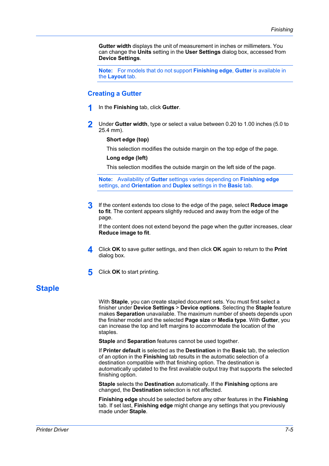**Gutter width** displays the unit of measurement in inches or millimeters. You can change the **Units** setting in the **User Settings** dialog box, accessed from **Device Settings**.

**Note:** For models that do not support **Finishing edge**, **Gutter** is available in the **Layout** tab.

## <span id="page-66-0"></span>**[Creating a Gutter](#page-66-0)**

- **1** In the **Finishing** tab, click **Gutter**.
- **2** Under **Gutter width**, type or select a value between 0.20 to 1.00 inches (5.0 to 25.4 mm).

#### **Short edge (top)**

This selection modifies the outside margin on the top edge of the page.

#### **Long edge (left)**

This selection modifies the outside margin on the left side of the page.

**Note:** Availability of **Gutter** settings varies depending on **Finishing edge** settings, and **Orientation** and **Duplex** settings in the **Basic** tab.

**3** If the content extends too close to the edge of the page, select **Reduce image to fit**. The content appears slightly reduced and away from the edge of the page.

If the content does not extend beyond the page when the gutter increases, clear **Reduce image to fit**.

- **4** Click **OK** to save gutter settings, and then click **OK** again to return to the **Print** dialog box.
- **5** Click **OK** to start printing.

# <span id="page-66-1"></span>**[Staple](#page-66-1)**

With **Staple**, you can create stapled document sets. You must first select a finisher under **Device Settings** > **Device options**. Selecting the **Staple** feature makes **Separation** unavailable. The maximum number of sheets depends upon the finisher model and the selected **Page size** or **Media type**. With **Gutter**, you can increase the top and left margins to accommodate the location of the staples.

**Staple** and **Separation** features cannot be used together.

If **Printer default** is selected as the **Destination** in the **Basic** tab, the selection of an option in the **Finishing** tab results in the automatic selection of a destination compatible with that finishing option. The destination is automatically updated to the first available output tray that supports the selected finishing option.

**Staple** selects the **Destination** automatically. If the **Finishing** options are changed, the **Destination** selection is not affected.

**Finishing edge** should be selected before any other features in the **Finishing** tab. If set last, **Finishing edge** might change any settings that you previously made under **Staple**.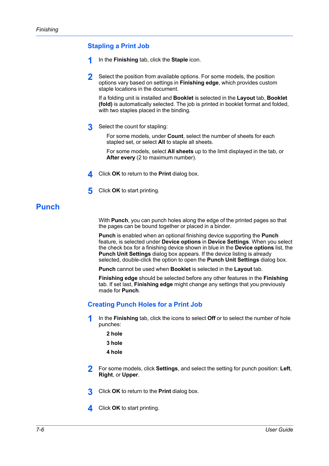# <span id="page-67-0"></span>**[Stapling a Print Job](#page-67-0)**

- **1** In the **Finishing** tab, click the **Staple** icon.
- **2** Select the position from available options. For some models, the position options vary based on settings in **Finishing edge**, which provides custom staple locations in the document.

If a folding unit is installed and **Booklet** is selected in the **Layout** tab, **Booklet (fold)** is automatically selected. The job is printed in booklet format and folded, with two staples placed in the binding.

**3** Select the count for stapling:

For some models, under **Count**, select the number of sheets for each stapled set, or select **All** to staple all sheets.

For some models, select **All sheets** up to the limit displayed in the tab, or **After every** (2 to maximum number).

- **4** Click **OK** to return to the **Print** dialog box.
- **5** Click **OK** to start printing.

# <span id="page-67-1"></span>**[Punch](#page-67-1)**

With **Punch**, you can punch holes along the edge of the printed pages so that the pages can be bound together or placed in a binder.

**Punch** is enabled when an optional finishing device supporting the **Punch** feature, is selected under **Device options** in **Device Settings**. When you select the check box for a finishing device shown in blue in the **Device options** list, the **Punch Unit Settings** dialog box appears. If the device listing is already selected, double-click the option to open the **Punch Unit Settings** dialog box.

**Punch** cannot be used when **Booklet** is selected in the **Layout** tab.

**Finishing edge** should be selected before any other features in the **Finishing** tab. If set last, **Finishing edge** might change any settings that you previously made for **Punch**.

# <span id="page-67-2"></span>**[Creating Punch Holes for a Print Job](#page-67-2)**

- **1** In the **Finishing** tab, click the icons to select **Off** or to select the number of hole punches:
	- **2 hole**
	- **3 hole**
	- **4 hole**
- **2** For some models, click **Settings**, and select the setting for punch position: **Left**, **Right**, or **Upper**.
- **3** Click **OK** to return to the **Print** dialog box.
- **4** Click **OK** to start printing.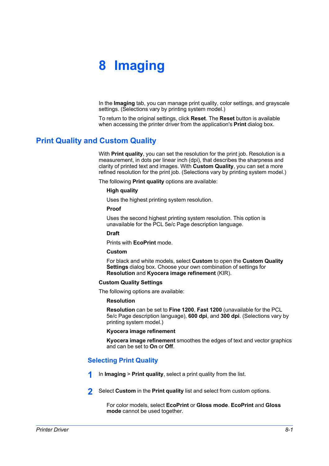# **8 Imaging**

In the **Imaging** tab, you can manage print quality, color settings, and grayscale settings. (Selections vary by printing system model.)

To return to the original settings, click **Reset**. The **Reset** button is available when accessing the printer driver from the application's **Print** dialog box.

# <span id="page-68-0"></span>**[Print Quality and Custom Quality](#page-68-0)**

With **Print quality**, you can set the resolution for the print job. Resolution is a measurement, in dots per linear inch (dpi), that describes the sharpness and clarity of printed text and images. With **Custom Quality**, you can set a more refined resolution for the print job. (Selections vary by printing system model.)

The following **Print quality** options are available:

#### **High quality**

Uses the highest printing system resolution.

#### **Proof**

Uses the second highest printing system resolution. This option is unavailable for the PCL 5e/c Page description language.

## **Draft**

Prints with **EcoPrint** mode.

## **Custom**

For black and white models, select **Custom** to open the **Custom Quality Settings** dialog box. Choose your own combination of settings for **Resolution** and **Kyocera image refinement** (KIR).

## **Custom Quality Settings**

The following options are available:

## **Resolution**

**Resolution** can be set to **Fine 1200**, **Fast 1200** (unavailable for the PCL 5e/c Page description language), **600 dpi**, and **300 dpi**. (Selections vary by printing system model.)

#### **Kyocera image refinement**

**Kyocera image refinement** smoothes the edges of text and vector graphics and can be set to **On** or **Off**.

## <span id="page-68-1"></span>**[Selecting Print Quality](#page-68-1)**

- **1** In **Imaging** <sup>&</sup>gt; **Print quality**, select a print quality from the list.
- **2** Select **Custom** in the **Print quality** list and select from custom options.

For color models, select **EcoPrint** or **Gloss mode**. **EcoPrint** and **Gloss mode** cannot be used together.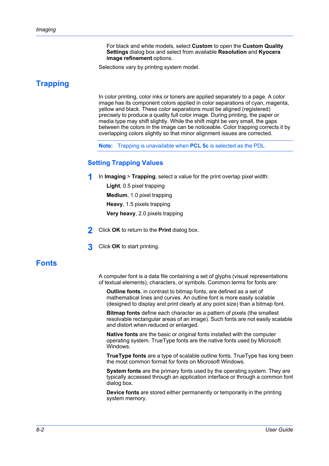For black and white models, select **Custom** to open the **Custom Quality Settings** dialog box and select from available **Resolution** and **Kyocera image refinement** options.

Selections vary by printing system model.

# <span id="page-69-1"></span><span id="page-69-0"></span>**[Trapping](#page-69-0)**

In color printing, color inks or toners are applied separately to a page. A color image has its component colors applied in color separations of cyan, magenta, yellow and black. These color separations must be aligned (registered) precisely to produce a quality full color image. During printing, the paper or media type may shift slightly. While the shift might be very small, the gaps between the colors in the image can be noticeable. Color trapping corrects it by overlapping colors slightly so that minor alignment issues are corrected.

**Note:** Trapping is unavailable when **PCL 5c** is selected as the PDL.

## **[Setting Trapping Values](#page-69-1)**

**1** In **Imaging** <sup>&</sup>gt; **Trapping**, select a value for the print overlap pixel width:

**Light**, 0.5 pixel trapping **Medium**, 1.0 pixel trapping **Heavy**, 1.5 pixels trapping **Very heavy**, 2.0 pixels trapping

- **2** Click **OK** to return to the **Print** dialog box.
- **3** Click **OK** to start printing.

# <span id="page-69-2"></span>**[Fonts](#page-69-2)**

A computer font is a data file containing a set of glyphs (visual representations of textual elements), characters, or symbols. Common terms for fonts are:

**Outline fonts**, in contrast to bitmap fonts, are defined as a set of mathematical lines and curves. An outline font is more easily scalable (designed to display and print clearly at any point size) than a bitmap font.

**Bitmap fonts** define each character as a pattern of pixels (the smallest resolvable rectangular areas of an image). Such fonts are not easily scalable and distort when reduced or enlarged.

**Native fonts** are the basic or original fonts installed with the computer operating system. TrueType fonts are the native fonts used by Microsoft Windows.

**TrueType fonts** are a type of scalable outline fonts. TrueType has long been the most common format for fonts on Microsoft Windows.

**System fonts** are the primary fonts used by the operating system. They are typically accessed through an application interface or through a common font dialog box.

**Device fonts** are stored either permanently or temporarily in the printing system memory.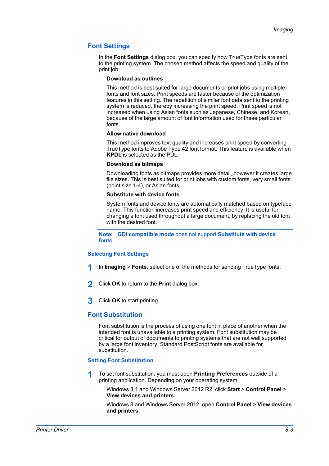## <span id="page-70-0"></span>**[Font Settings](#page-70-0)**

In the **Font Settings** dialog box, you can specify how TrueType fonts are sent to the printing system. The chosen method affects the speed and quality of the print job:

#### **Download as outlines**

This method is best suited for large documents or print jobs using multiple fonts and font sizes. Print speeds are faster because of the optimization features in this setting. The repetition of similar font data sent to the printing system is reduced, thereby increasing the print speed. Print speed is not increased when using Asian fonts such as Japanese, Chinese, and Korean, because of the large amount of font information used for these particular fonts.

#### **Allow native download**

This method improves text quality and increases print speed by converting TrueType fonts to Adobe Type 42 font format. This feature is available when **KPDL** is selected as the PDL.

#### **Download as bitmaps**

Downloading fonts as bitmaps provides more detail, however it creates large file sizes. This is best suited for print jobs with custom fonts, very small fonts (point size 1-4), or Asian fonts.

#### **Substitute with device fonts**

System fonts and device fonts are automatically matched based on typeface name. This function increases print speed and efficiency. It is useful for changing a font used throughout a large document, by replacing the old font with the desired font.

**Note: GDI compatible mode** does not support **Substitute with device fonts**.

#### <span id="page-70-1"></span>**[Selecting Font Settings](#page-70-1)**

- **1** In **Imaging** <sup>&</sup>gt; **Fonts**, select one of the methods for sending TrueType fonts.
- **2** Click **OK** to return to the **Print** dialog box.
- **3** Click **OK** to start printing.

## <span id="page-70-2"></span>**[Font Substitution](#page-70-2)**

Font substitution is the process of using one font in place of another when the intended font is unavailable to a printing system. Font substitution may be critical for output of documents to printing systems that are not well supported by a large font inventory. Standard PostScript fonts are available for substitution.

#### <span id="page-70-3"></span>**[Setting Font Substitution](#page-70-3)**

- **1** To set font substitution, you must open **Printing Preferences** outside of a printing application. Depending on your operating system:
	- Windows 8.1 and Windows Server 2012 R2: click **Start** > **Control Panel** > **View devices and printers**.

Windows 8 and Windows Server 2012: open **Control Panel** > **View devices and printers**.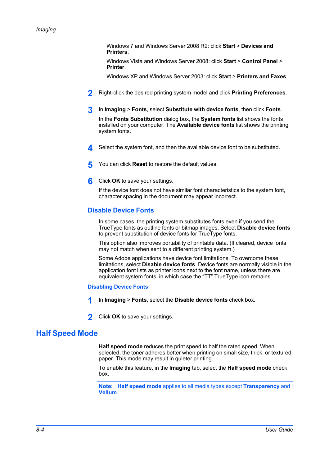Windows 7 and Windows Server 2008 R2: click **Start** > **Devices and Printers**.

Windows Vista and Windows Server 2008: click **Start** > **Control Panel** > **Printer**.

Windows XP and Windows Server 2003: click **Start** > **Printers and Faxes**.

- **2** Right-click the desired printing system model and click **Printing Preferences**.
- **3** In **Imaging** <sup>&</sup>gt; **Fonts**, select **Substitute with device fonts**, then click **Fonts**.

In the **Fonts Substitution** dialog box, the **System fonts** list shows the fonts installed on your computer. The **Available device fonts** list shows the printing system fonts.

- **4** Select the system font, and then the available device font to be substituted.
- **5** You can click **Reset** to restore the default values.
- **6** Click **OK** to save your settings.

If the device font does not have similar font characteristics to the system font, character spacing in the document may appear incorrect.

## <span id="page-71-0"></span>**[Disable Device Fonts](#page-71-0)**

In some cases, the printing system substitutes fonts even if you send the TrueType fonts as outline fonts or bitmap images. Select **Disable device fonts** to prevent substitution of device fonts for TrueType fonts.

This option also improves portability of printable data. (If cleared, device fonts may not match when sent to a different printing system.)

Some Adobe applications have device font limitations. To overcome these limitations, select **Disable device fonts**. Device fonts are normally visible in the application font lists as printer icons next to the font name, unless there are equivalent system fonts, in which case the "TT" TrueType icon remains.

#### **[Disabling Device Fonts](#page-71-1)**

- **1** In **Imaging** <sup>&</sup>gt; **Fonts**, select the **Disable device fonts** check box.
- **2** Click **OK** to save your settings.

# <span id="page-71-2"></span><span id="page-71-1"></span>**[Half Speed Mode](#page-71-2)**

**Half speed mode** reduces the print speed to half the rated speed. When selected, the toner adheres better when printing on small size, thick, or textured paper. This mode may result in quieter printing.

To enable this feature, in the **Imaging** tab, select the **Half speed mode** check box.

**Note: Half speed mode** applies to all media types except **Transparency** and **Vellum**.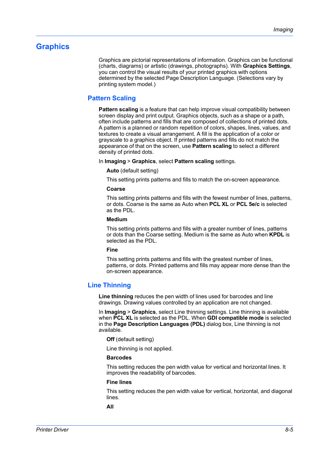# <span id="page-72-1"></span><span id="page-72-0"></span>**[Graphics](#page-72-0)**

Graphics are pictorial representations of information. Graphics can be functional (charts, diagrams) or artistic (drawings, photographs). With **Graphics Settings**, you can control the visual results of your printed graphics with options determined by the selected Page Description Language. (Selections vary by printing system model.)

# **[Pattern Scaling](#page-72-1)**

**Pattern scaling** is a feature that can help improve visual compatibility between screen display and print output. Graphics objects, such as a shape or a path, often include patterns and fills that are composed of collections of printed dots. A pattern is a planned or random repetition of colors, shapes, lines, values, and textures to create a visual arrangement. A fill is the application of a color or grayscale to a graphics object. If printed patterns and fills do not match the appearance of that on the screen, use **Pattern scaling** to select a different density of printed dots.

In **Imaging** > **Graphics**, select **Pattern scaling** settings.

#### **Auto** (default setting)

This setting prints patterns and fills to match the on-screen appearance.

#### **Coarse**

This setting prints patterns and fills with the fewest number of lines, patterns, or dots. Coarse is the same as Auto when **PCL XL** or **PCL 5e/c** is selected as the PDL.

#### **Medium**

This setting prints patterns and fills with a greater number of lines, patterns or dots than the Coarse setting. Medium is the same as Auto when **KPDL** is selected as the PDL.

#### **Fine**

This setting prints patterns and fills with the greatest number of lines, patterns, or dots. Printed patterns and fills may appear more dense than the on-screen appearance.

# <span id="page-72-2"></span>**[Line Thinning](#page-72-2)**

**Line thinning** reduces the pen width of lines used for barcodes and line drawings. Drawing values controlled by an application are not changed.

In **Imaging** > **Graphics**, select Line thinning settings. Line thinning is available when **PCL XL** is selected as the PDL. When **GDI compatible mode** is selected in the **Page Description Languages (PDL)** dialog box, Line thinning is not available.

**Off** (default setting)

Line thinning is not applied.

## **Barcodes**

This setting reduces the pen width value for vertical and horizontal lines. It improves the readability of barcodes.

## **Fine lines**

This setting reduces the pen width value for vertical, horizontal, and diagonal lines.

**All**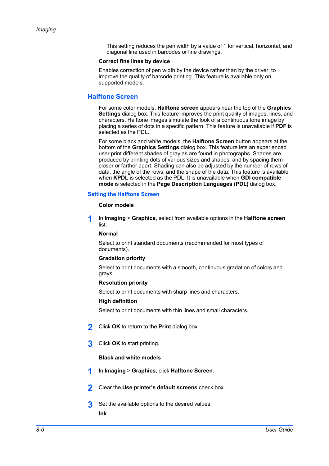This setting reduces the pen width by a value of 1 for vertical, horizontal, and diagonal line used in barcodes or line drawings.

#### **Correct fine lines by device**

Enables correction of pen width by the device rather than by the driver, to improve the quality of barcode printing. This feature is available only on supported models.

## <span id="page-73-0"></span>**[Halftone Screen](#page-73-0)**

For some color models, **Halftone screen** appears near the top of the **Graphics Settings** dialog box. This feature improves the print quality of images, lines, and characters. Halftone images simulate the look of a continuous tone image by placing a series of dots in a specific pattern. This feature is unavailable if **PDF** is selected as the PDL.

For some black and white models, the **Halftone Screen** button appears at the bottom of the **Graphics Settings** dialog box. This feature lets an experienced user print different shades of gray as are found in photographs. Shades are produced by printing dots of various sizes and shapes, and by spacing them closer or farther apart. Shading can also be adjusted by the number of rows of data, the angle of the rows, and the shape of the data. This feature is available when **KPDL** is selected as the PDL. It is unavailable when **GDI compatible mode** is selected in the **Page Description Languages (PDL)** dialog box.

#### <span id="page-73-1"></span>**[Setting the Halftone Screen](#page-73-1)**

#### **Color models**

**1** In **Imaging** <sup>&</sup>gt; **Graphics**, select from available options in the **Halftone screen** list:

#### **Normal**

Select to print standard documents (recommended for most types of documents).

#### **Gradation priority**

Select to print documents with a smooth, continuous gradation of colors and grays.

#### **Resolution priority**

Select to print documents with sharp lines and characters.

#### **High definition**

Select to print documents with thin lines and small characters.

- **2** Click **OK** to return to the **Print** dialog box.
- **3** Click **OK** to start printing.

#### **Black and white models**

- **1** In **Imaging** <sup>&</sup>gt; **Graphics**, click **Halftone Screen**.
- **2** Clear the **Use printer's default screens** check box.
- **3** Set the available options to the desired values: **Ink**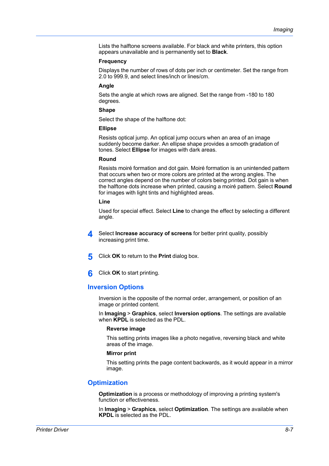Lists the halftone screens available. For black and white printers, this option appears unavailable and is permanently set to **Black**.

#### **Frequency**

Displays the number of rows of dots per inch or centimeter. Set the range from 2.0 to 999.9, and select lines/inch or lines/cm.

#### **Angle**

Sets the angle at which rows are aligned. Set the range from -180 to 180 degrees.

#### **Shape**

Select the shape of the halftone dot:

#### **Ellipse**

Resists optical jump. An optical jump occurs when an area of an image suddenly become darker. An ellipse shape provides a smooth gradation of tones. Select **Ellipse** for images with dark areas.

#### **Round**

Resists moiré formation and dot gain. Moiré formation is an unintended pattern that occurs when two or more colors are printed at the wrong angles. The correct angles depend on the number of colors being printed. Dot gain is when the halftone dots increase when printed, causing a moiré pattern. Select **Round** for images with light tints and highlighted areas.

#### **Line**

Used for special effect. Select **Line** to change the effect by selecting a different angle.

- **4** Select **Increase accuracy of screens** for better print quality, possibly increasing print time.
- **5** Click **OK** to return to the **Print** dialog box.
- **6** Click **OK** to start printing.

## <span id="page-74-0"></span>**[Inversion Options](#page-74-0)**

Inversion is the opposite of the normal order, arrangement, or position of an image or printed content.

In **Imaging** > **Graphics**, select **Inversion options**. The settings are available when **KPDL** is selected as the PDL.

#### **Reverse image**

This setting prints images like a photo negative, reversing black and white areas of the image.

#### **Mirror print**

This setting prints the page content backwards, as it would appear in a mirror image.

# <span id="page-74-1"></span>**[Optimization](#page-74-1)**

**Optimization** is a process or methodology of improving a printing system's function or effectiveness.

In **Imaging** > **Graphics**, select **Optimization**. The settings are available when **KPDL** is selected as the PDL.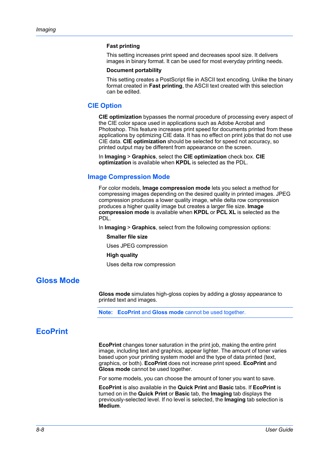#### **Fast printing**

This setting increases print speed and decreases spool size. It delivers images in binary format. It can be used for most everyday printing needs.

#### **Document portability**

This setting creates a PostScript file in ASCII text encoding. Unlike the binary format created in **Fast printing**, the ASCII text created with this selection can be edited.

## <span id="page-75-0"></span>**[CIE Option](#page-75-0)**

**CIE optimization** bypasses the normal procedure of processing every aspect of the CIE color space used in applications such as Adobe Acrobat and Photoshop. This feature increases print speed for documents printed from these applications by optimizing CIE data. It has no effect on print jobs that do not use CIE data. **CIE optimization** should be selected for speed not accuracy, so printed output may be different from appearance on the screen.

In **Imaging** > **Graphics**, select the **CIE optimization** check box. **CIE optimization** is available when **KPDL** is selected as the PDL.

#### <span id="page-75-1"></span>**[Image Compression Mode](#page-75-1)**

For color models, **Image compression mode** lets you select a method for compressing images depending on the desired quality in printed images. JPEG compression produces a lower quality image, while delta row compression produces a higher quality image but creates a larger file size. **Image compression mode** is available when **KPDL** or **PCL XL** is selected as the PDL.

In **Imaging** > **Graphics**, select from the following compression options:

#### **Smaller file size**

Uses JPEG compression

#### **High quality**

Uses delta row compression

# <span id="page-75-2"></span>**[Gloss Mode](#page-75-2)**

**Gloss mode** simulates high-gloss copies by adding a glossy appearance to printed text and images.

**Note: EcoPrint** and **Gloss mode** cannot be used together.

# <span id="page-75-3"></span>**[EcoPrint](#page-75-3)**

**EcoPrint** changes toner saturation in the print job, making the entire print image, including text and graphics, appear lighter. The amount of toner varies based upon your printing system model and the type of data printed (text, graphics, or both). **EcoPrint** does not increase print speed. **EcoPrint** and **Gloss mode** cannot be used together.

For some models, you can choose the amount of toner you want to save.

**EcoPrint** is also available in the **Quick Print** and **Basic** tabs. If **EcoPrint** is turned on in the **Quick Print** or **Basic** tab, the **Imaging** tab displays the previously-selected level. If no level is selected, the **Imaging** tab selection is **Medium**.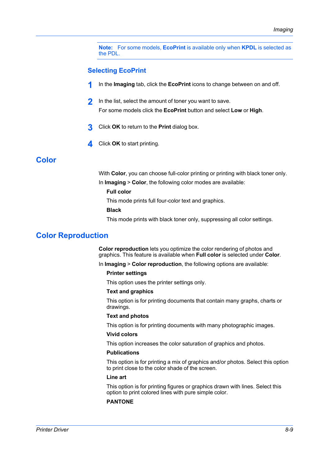**Note:** For some models, **EcoPrint** is available only when **KPDL** is selected as the PDL.

## <span id="page-76-0"></span>**[Selecting EcoPrint](#page-76-0)**

- **1** In the **Imaging** tab, click the **EcoPrint** icons to change between on and off.
- **2** In the list, select the amount of toner you want to save. For some models click the **EcoPrint** button and select **Low** or **High**.
- **3** Click **OK** to return to the **Print** dialog box.
- **4** Click **OK** to start printing.

# <span id="page-76-1"></span>**[Color](#page-76-1)**

With **Color**, you can choose full-color printing or printing with black toner only.

In **Imaging** > **Color**, the following color modes are available:

## **Full color**

This mode prints full four-color text and graphics.

**Black**

This mode prints with black toner only, suppressing all color settings.

# <span id="page-76-2"></span>**[Color Reproduction](#page-76-2)**

**Color reproduction** lets you optimize the color rendering of photos and graphics. This feature is available when **Full color** is selected under **Color**.

In **Imaging** > **Color reproduction**, the following options are available:

#### **Printer settings**

This option uses the printer settings only.

#### **Text and graphics**

This option is for printing documents that contain many graphs, charts or drawings.

#### **Text and photos**

This option is for printing documents with many photographic images.

#### **Vivid colors**

This option increases the color saturation of graphics and photos.

#### **Publications**

This option is for printing a mix of graphics and/or photos. Select this option to print close to the color shade of the screen.

#### **Line art**

This option is for printing figures or graphics drawn with lines. Select this option to print colored lines with pure simple color.

#### **PANTONE**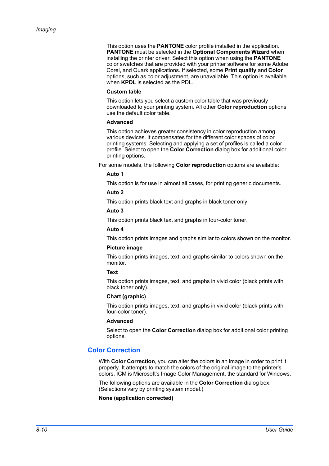This option uses the **PANTONE** color profile installed in the application. **PANTONE** must be selected in the **Optional Components Wizard** when installing the printer driver. Select this option when using the **PANTONE** color swatches that are provided with your printer software for some Adobe, Corel, and Quark applications. If selected, some **Print quality** and **Color** options, such as color adjustment, are unavailable. This option is available when **KPDL** is selected as the PDL.

#### **Custom table**

This option lets you select a custom color table that was previously downloaded to your printing system. All other **Color reproduction** options use the default color table.

#### **Advanced**

This option achieves greater consistency in color reproduction among various devices. It compensates for the different color spaces of color printing systems. Selecting and applying a set of profiles is called a color profile. Select to open the **Color Correction** dialog box for additional color printing options.

For some models, the following **Color reproduction** options are available:

#### **Auto 1**

This option is for use in almost all cases, for printing generic documents.

#### **Auto 2**

This option prints black text and graphs in black toner only.

#### **Auto 3**

This option prints black text and graphs in four-color toner.

## **Auto 4**

This option prints images and graphs similar to colors shown on the monitor.

## **Picture image**

This option prints images, text, and graphs similar to colors shown on the monitor.

#### **Text**

This option prints images, text, and graphs in vivid color (black prints with black toner only).

#### **Chart (graphic)**

This option prints images, text, and graphs in vivid color (black prints with four-color toner).

#### **Advanced**

Select to open the **Color Correction** dialog box for additional color printing options.

## <span id="page-77-0"></span>**[Color Correction](#page-77-0)**

With **Color Correction**, you can alter the colors in an image in order to print it properly. It attempts to match the colors of the original image to the printer's colors. ICM is Microsoft's Image Color Management, the standard for Windows.

The following options are available in the **Color Correction** dialog box. (Selections vary by printing system model.)

**None (application corrected)**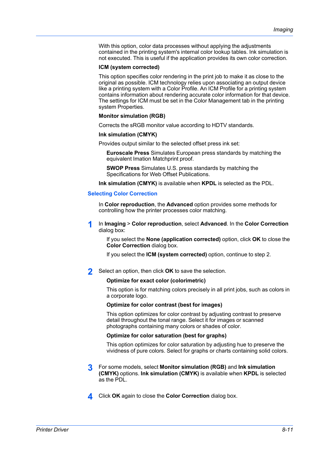With this option, color data processes without applying the adjustments contained in the printing system's internal color lookup tables. Ink simulation is not executed. This is useful if the application provides its own color correction.

#### **ICM (system corrected)**

This option specifies color rendering in the print job to make it as close to the original as possible. ICM technology relies upon associating an output device like a printing system with a Color Profile. An ICM Profile for a printing system contains information about rendering accurate color information for that device. The settings for ICM must be set in the Color Management tab in the printing system Properties.

#### **Monitor simulation (RGB)**

Corrects the sRGB monitor value according to HDTV standards.

#### **Ink simulation (CMYK)**

Provides output similar to the selected offset press ink set:

**Euroscale Press** Simulates European press standards by matching the equivalent Imation Matchprint proof.

**SWOP Press** Simulates U.S. press standards by matching the Specifications for Web Offset Publications.

**Ink simulation (CMYK)** is available when **KPDL** is selected as the PDL.

#### <span id="page-78-0"></span>**[Selecting Color Correction](#page-78-0)**

In **Color reproduction**, the **Advanced** option provides some methods for controlling how the printer processes color matching.

**1** In **Imaging** <sup>&</sup>gt; **Color reproduction**, select **Advanced**. In the **Color Correction** dialog box:

If you select the **None (application corrected)** option, click **OK** to close the **Color Correction** dialog box.

If you select the **ICM (system corrected)** option, continue to step 2.

**2** Select an option, then click **OK** to save the selection.

#### **Optimize for exact color (colorimetric)**

This option is for matching colors precisely in all print jobs, such as colors in a corporate logo.

#### **Optimize for color contrast (best for images)**

This option optimizes for color contrast by adjusting contrast to preserve detail throughout the tonal range. Select it for images or scanned photographs containing many colors or shades of color.

#### **Optimize for color saturation (best for graphs)**

This option optimizes for color saturation by adjusting hue to preserve the vividness of pure colors. Select for graphs or charts containing solid colors.

- **3** For some models, select **Monitor simulation (RGB)** and **Ink simulation (CMYK)** options. **Ink simulation (CMYK)** is available when **KPDL** is selected as the PDL.
- **4** Click **OK** again to close the **Color Correction** dialog box.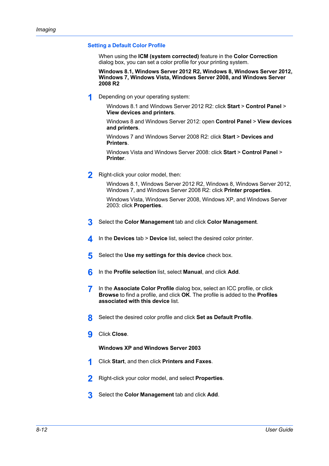### <span id="page-79-0"></span>**[Setting a Default Color Profile](#page-79-0)**

When using the **ICM (system corrected)** feature in the **Color Correction** dialog box, you can set a color profile for your printing system.

**Windows 8.1, Windows Server 2012 R2, Windows 8, Windows Server 2012, Windows 7, Windows Vista, Windows Server 2008, and Windows Server 2008 R2**

**1** Depending on your operating system:

Windows 8.1 and Windows Server 2012 R2: click **Start** > **Control Panel** > **View devices and printers**.

Windows 8 and Windows Server 2012: open **Control Panel** > **View devices and printers**.

Windows 7 and Windows Server 2008 R2: click **Start** > **Devices and Printers**.

Windows Vista and Windows Server 2008: click **Start** > **Control Panel** > **Printer**.

**2** Right-click your color model, then:

Windows 8.1, Windows Server 2012 R2, Windows 8, Windows Server 2012, Windows 7, and Windows Server 2008 R2: click **Printer properties**.

Windows Vista, Windows Server 2008, Windows XP, and Windows Server 2003: click **Properties**.

- **3** Select the **Color Management** tab and click **Color Management**.
- **4** In the **Devices** tab > **Device** list, select the desired color printer.
- **5** Select the Use my settings for this device check box.
- **6** In the **Profile selection** list, select **Manual**, and click **Add**.
- **7** In the **Associate Color Profile** dialog box, select an ICC profile, or click **Browse** to find a profile, and click **OK**. The profile is added to the **Profiles associated with this device** list.
- **8** Select the desired color profile and click **Set as Default Profile**.
- **9** Click **Close**.

## **Windows XP and Windows Server 2003**

- **1** Click **Start**, and then click **Printers and Faxes**.
- **2** Right-click your color model, and select **Properties**.
- **3** Select the **Color Management** tab and click **Add**.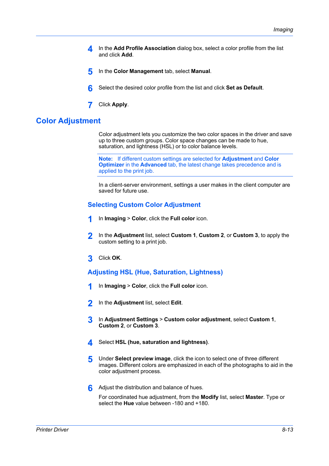- **4** In the **Add Profile Association** dialog box, select a color profile from the list and click **Add**.
- **5** In the **Color Management** tab, select **Manual**.
- **6** Select the desired color profile from the list and click **Set as Default**.
- **7** Click **Apply**.

# <span id="page-80-0"></span>**[Color Adjustment](#page-80-0)**

Color adjustment lets you customize the two color spaces in the driver and save up to three custom groups. Color space changes can be made to hue, saturation, and lightness (HSL) or to color balance levels.

**Note:** If different custom settings are selected for **Adjustment** and **Color Optimizer** in the **Advanced** tab, the latest change takes precedence and is applied to the print job.

In a client-server environment, settings a user makes in the client computer are saved for future use.

## <span id="page-80-1"></span>**[Selecting Custom Color Adjustment](#page-80-1)**

- **1** In **Imaging** <sup>&</sup>gt; **Color**, click the **Full color** icon.
- **2** In the **Adjustment** list, select **Custom 1**, **Custom 2**, or **Custom 3**, to apply the custom setting to a print job.
- **3** Click **OK**.

## <span id="page-80-2"></span>**[Adjusting HSL \(Hue, Saturation, Lightness\)](#page-80-2)**

- **1** In **Imaging** <sup>&</sup>gt; **Color**, click the **Full color** icon.
- **2** In the **Adjustment** list, select **Edit**.
- **3** In **Adjustment Settings** <sup>&</sup>gt; **Custom color adjustment**, select **Custom 1**, **Custom 2**, or **Custom 3**.
- **4** Select **HSL (hue, saturation and lightness)**.
- **5** Under **Select preview image**, click the icon to select one of three different images. Different colors are emphasized in each of the photographs to aid in the color adjustment process.
- **6** Adjust the distribution and balance of hues.

For coordinated hue adjustment, from the **Modify** list, select **Master**. Type or select the **Hue** value between -180 and +180.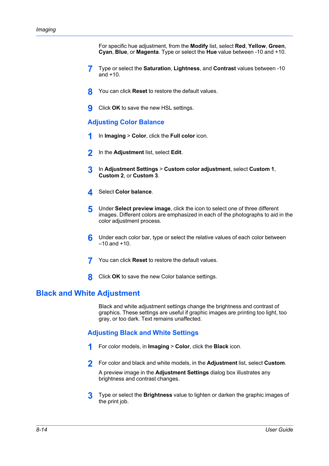For specific hue adjustment, from the **Modify** list, select **Red**, **Yellow**, **Green**, **Cyan**, **Blue**, or **Magenta**. Type or select the **Hue** value between -10 and +10.

- **7** Type or select the **Saturation**, **Lightness**, and **Contrast** values between -10 and +10.
- **8** You can click **Reset** to restore the default values.
- **9** Click **OK** to save the new HSL settings.

## <span id="page-81-0"></span>**[Adjusting Color Balance](#page-81-0)**

- **1** In **Imaging** <sup>&</sup>gt; **Color**, click the **Full color** icon.
- **2** In the **Adjustment** list, select **Edit**.
- **3** In **Adjustment Settings** <sup>&</sup>gt; **Custom color adjustment**, select **Custom 1**, **Custom 2**, or **Custom 3**.
- **4** Select **Color balance**.
- **5** Under **Select preview image**, click the icon to select one of three different images. Different colors are emphasized in each of the photographs to aid in the color adjustment process.
- **6** Under each color bar, type or select the relative values of each color between  $-10$  and  $+10$ .
- **7** You can click **Reset** to restore the default values.
- **8** Click **OK** to save the new Color balance settings.

# <span id="page-81-2"></span><span id="page-81-1"></span>**[Black and White Adjustment](#page-81-1)**

Black and white adjustment settings change the brightness and contrast of graphics. These settings are useful if graphic images are printing too light, too gray, or too dark. Text remains unaffected.

## **[Adjusting Black and White Settings](#page-81-2)**

- **1** For color models, in **Imaging** <sup>&</sup>gt; **Color**, click the **Black** icon.
- **2** For color and black and white models, in the **Adjustment** list, select **Custom**.

A preview image in the **Adjustment Settings** dialog box illustrates any brightness and contrast changes.

**3** Type or select the **Brightness** value to lighten or darken the graphic images of the print job.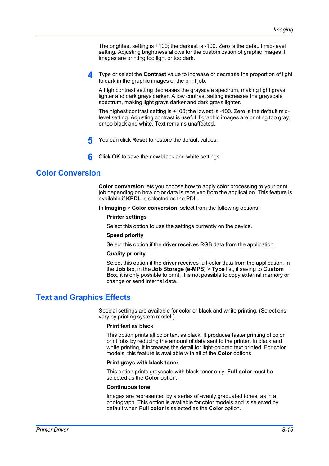The brightest setting is +100; the darkest is -100. Zero is the default mid-level setting. Adjusting brightness allows for the customization of graphic images if images are printing too light or too dark.

**4** Type or select the **Contrast** value to increase or decrease the proportion of light to dark in the graphic images of the print job.

A high contrast setting decreases the grayscale spectrum, making light grays lighter and dark grays darker. A low contrast setting increases the grayscale spectrum, making light grays darker and dark grays lighter.

The highest contrast setting is +100; the lowest is -100. Zero is the default midlevel setting. Adjusting contrast is useful if graphic images are printing too gray, or too black and white. Text remains unaffected.

**5** You can click **Reset** to restore the default values.

**6** Click **OK** to save the new black and white settings.

# <span id="page-82-0"></span>**[Color Conversion](#page-82-0)**

**Color conversion** lets you choose how to apply color processing to your print job depending on how color data is received from the application. This feature is available if **KPDL** is selected as the PDL.

In **Imaging** > **Color conversion**, select from the following options:

#### **Printer settings**

Select this option to use the settings currently on the device.

#### **Speed priority**

Select this option if the driver receives RGB data from the application.

#### **Quality priority**

Select this option if the driver receives full-color data from the application. In the **Job** tab, in the **Job Storage (e-MPS)** > **Type** list, if saving to **Custom Box**, it is only possible to print. It is not possible to copy external memory or change or send internal data.

# <span id="page-82-1"></span>**[Text and Graphics Effects](#page-82-1)**

Special settings are available for color or black and white printing. (Selections vary by printing system model.)

#### **Print text as black**

This option prints all color text as black. It produces faster printing of color print jobs by reducing the amount of data sent to the printer. In black and white printing, it increases the detail for light-colored text printed. For color models, this feature is available with all of the **Color** options.

#### **Print grays with black toner**

This option prints grayscale with black toner only. **Full color** must be selected as the **Color** option.

#### **Continuous tone**

Images are represented by a series of evenly graduated tones, as in a photograph. This option is available for color models and is selected by default when **Full color** is selected as the **Color** option.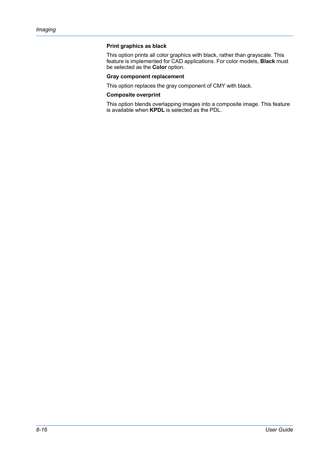## **Print graphics as black**

This option prints all color graphics with black, rather than grayscale. This feature is implemented for CAD applications. For color models, **Black** must be selected as the **Color** option.

## **Gray component replacement**

This option replaces the gray component of CMY with black.

#### **Composite overprint**

This option blends overlapping images into a composite image. This feature is available when **KPDL** is selected as the PDL.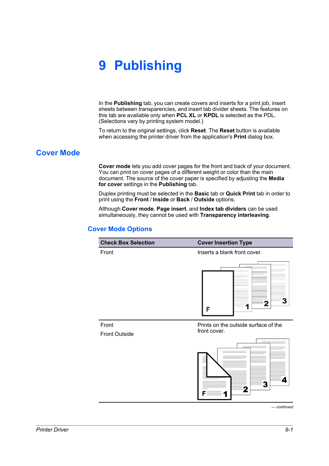# **9 Publishing**

In the **Publishing** tab, you can create covers and inserts for a print job, insert sheets between transparencies, and insert tab divider sheets. The features on this tab are available only when **PCL XL** or **KPDL** is selected as the PDL. (Selections vary by printing system model.)

To return to the original settings, click **Reset**. The **Reset** button is available when accessing the printer driver from the application's **Print** dialog box.

# <span id="page-84-1"></span><span id="page-84-0"></span>**[Cover Mode](#page-84-0)**

**Cover mode** lets you add cover pages for the front and back of your document. You can print on cover pages of a different weight or color than the main document. The source of the cover paper is specified by adjusting the **Media for cover** settings in the **Publishing** tab.

Duplex printing must be selected in the **Basic** tab or **Quick Print** tab in order to print using the **Front** / **Inside** or **Back** / **Outside** options.

Although **Cover mode**, **Page insert**, and **Index tab dividers** can be used simultaneously, they cannot be used with **Transparency interleaving**.

# **[Cover Mode Options](#page-84-1)**

| <b>Check Box Selection</b> | <b>Cover Insertion Type</b>          |
|----------------------------|--------------------------------------|
| Front                      | Inserts a blank front cover.         |
|                            | F                                    |
| Front                      | Prints on the outside surface of the |
| <b>Front Outside</b>       | front cover.                         |
|                            |                                      |



*— continued*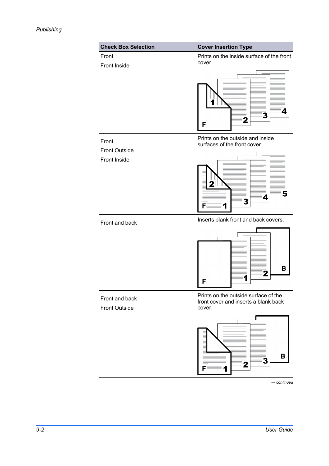

*— continued*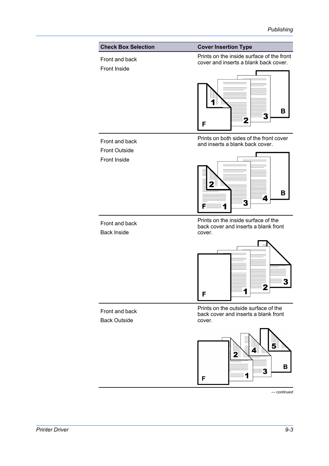

*— continued*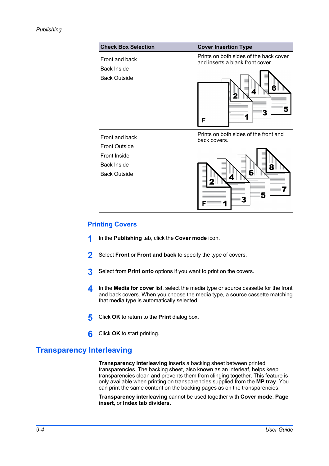

# <span id="page-87-0"></span>**[Printing Covers](#page-87-0)**

- **1** In the **Publishing** tab, click the **Cover mode** icon.
- **2** Select **Front** or **Front and back** to specify the type of covers.
- **3** Select from **Print onto** options if you want to print on the covers.
- **4** In the **Media for cover** list, select the media type or source cassette for the front and back covers. When you choose the media type, a source cassette matching that media type is automatically selected.
- **5** Click **OK** to return to the **Print** dialog box.
- **6** Click **OK** to start printing.

# <span id="page-87-1"></span>**[Transparency Interleaving](#page-87-1)**

**Transparency interleaving** inserts a backing sheet between printed transparencies. The backing sheet, also known as an interleaf, helps keep transparencies clean and prevents them from clinging together. This feature is only available when printing on transparencies supplied from the **MP tray**. You can print the same content on the backing pages as on the transparencies.

**Transparency interleaving** cannot be used together with **Cover mode**, **Page insert**, or **Index tab dividers**.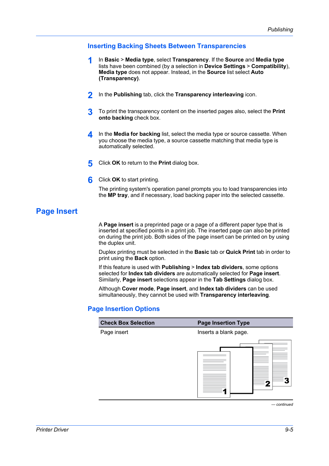# <span id="page-88-0"></span>**[Inserting Backing Sheets Between Transparencies](#page-88-0)**

- **1** In **Basic** <sup>&</sup>gt; **Media type**, select **Transparency**. If the **Source** and **Media type** lists have been combined (by a selection in **Device Settings** > **Compatibility**), **Media type** does not appear. Instead, in the **Source** list select **Auto (Transparency)**.
- **2** In the **Publishing** tab, click the **Transparency interleaving** icon.
- **3** To print the transparency content on the inserted pages also, select the **Print onto backing** check box.
- **4** In the **Media for backing** list, select the media type or source cassette. When you choose the media type, a source cassette matching that media type is automatically selected.
- **5** Click **OK** to return to the **Print** dialog box.
- **6** Click **OK** to start printing.

The printing system's operation panel prompts you to load transparencies into the **MP tray**, and if necessary, load backing paper into the selected cassette.

# <span id="page-88-1"></span>**[Page Insert](#page-88-1)**

A **Page insert** is a preprinted page or a page of a different paper type that is inserted at specified points in a print job. The inserted page can also be printed on during the print job. Both sides of the page insert can be printed on by using the duplex unit.

Duplex printing must be selected in the **Basic** tab or **Quick Print** tab in order to print using the **Back** option.

If this feature is used with **Publishing** > **Index tab dividers**, some options selected for **Index tab dividers** are automatically selected for **Page insert**. Similarly, **Page insert** selections appear in the **Tab Settings** dialog box.

Although **Cover mode**, **Page insert**, and **Index tab dividers** can be used simultaneously, they cannot be used with **Transparency interleaving**.

# <span id="page-88-2"></span>**[Page Insertion Options](#page-88-2)**

| Page insert | <b>Page Insertion Type</b> |
|-------------|----------------------------|
|             | Inserts a blank page.      |
|             |                            |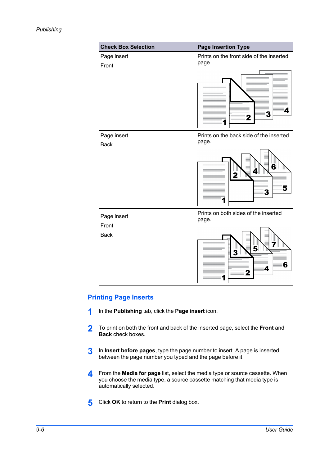

# <span id="page-89-0"></span>**[Printing Page Inserts](#page-89-0)**

- **1** In the **Publishing** tab, click the **Page insert** icon.
- **2** To print on both the front and back of the inserted page, select the **Front** and **Back** check boxes.
- **3** In **Insert before pages**, type the page number to insert. A page is inserted between the page number you typed and the page before it.
- **4** From the **Media for page** list, select the media type or source cassette. When you choose the media type, a source cassette matching that media type is automatically selected.
- **5** Click **OK** to return to the **Print** dialog box.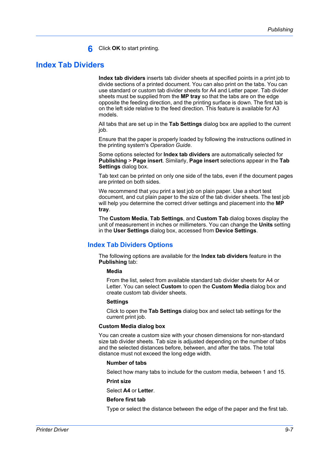**6** Click **OK** to start printing.

# <span id="page-90-0"></span>**[Index Tab Dividers](#page-90-0)**

**Index tab dividers** inserts tab divider sheets at specified points in a print job to divide sections of a printed document. You can also print on the tabs. You can use standard or custom tab divider sheets for A4 and Letter paper. Tab divider sheets must be supplied from the **MP tray** so that the tabs are on the edge opposite the feeding direction, and the printing surface is down. The first tab is on the left side relative to the feed direction. This feature is available for A3 models.

All tabs that are set up in the **Tab Settings** dialog box are applied to the current job.

Ensure that the paper is properly loaded by following the instructions outlined in the printing system's *Operation Guide*.

Some options selected for **Index tab dividers** are automatically selected for **Publishing** > **Page insert**. Similarly, **Page insert** selections appear in the **Tab Settings** dialog box.

Tab text can be printed on only one side of the tabs, even if the document pages are printed on both sides.

We recommend that you print a test job on plain paper. Use a short test document, and cut plain paper to the size of the tab divider sheets. The test job will help you determine the correct driver settings and placement into the **MP tray**.

The **Custom Media**, **Tab Settings**, and **Custom Tab** dialog boxes display the unit of measurement in inches or millimeters. You can change the **Units** setting in the **User Settings** dialog box, accessed from **Device Settings**.

# <span id="page-90-1"></span>**[Index Tab Dividers Options](#page-90-1)**

The following options are available for the **Index tab dividers** feature in the **Publishing** tab:

#### **Media**

From the list, select from available standard tab divider sheets for A4 or Letter. You can select **Custom** to open the **Custom Media** dialog box and create custom tab divider sheets.

#### **Settings**

Click to open the **Tab Settings** dialog box and select tab settings for the current print job.

#### **Custom Media dialog box**

You can create a custom size with your chosen dimensions for non-standard size tab divider sheets. Tab size is adjusted depending on the number of tabs and the selected distances before, between, and after the tabs. The total distance must not exceed the long edge width.

#### **Number of tabs**

Select how many tabs to include for the custom media, between 1 and 15.

#### **Print size**

Select **A4** or **Letter**.

#### **Before first tab**

Type or select the distance between the edge of the paper and the first tab.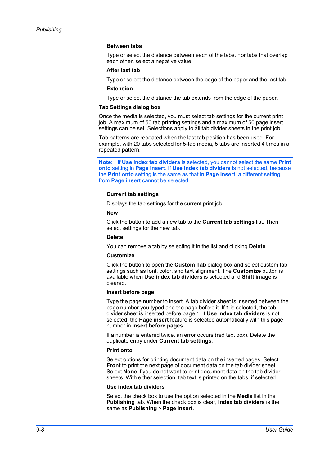#### **Between tabs**

Type or select the distance between each of the tabs. For tabs that overlap each other, select a negative value.

#### **After last tab**

Type or select the distance between the edge of the paper and the last tab.

#### **Extension**

Type or select the distance the tab extends from the edge of the paper.

#### **Tab Settings dialog box**

Once the media is selected, you must select tab settings for the current print job. A maximum of 50 tab printing settings and a maximum of 50 page insert settings can be set. Selections apply to all tab divider sheets in the print job.

Tab patterns are repeated when the last tab position has been used. For example, with 20 tabs selected for 5-tab media, 5 tabs are inserted 4 times in a repeated pattern.

**Note:** If **Use index tab dividers** is selected, you cannot select the same **Print onto** setting in **Page insert**. If **Use index tab dividers** is not selected, because the **Print onto** setting is the same as that in **Page insert**, a different setting from **Page insert** cannot be selected.

#### **Current tab settings**

Displays the tab settings for the current print job.

#### **New**

Click the button to add a new tab to the **Current tab settings** list. Then select settings for the new tab.

#### **Delete**

You can remove a tab by selecting it in the list and clicking **Delete**.

#### **Customize**

Click the button to open the **Custom Tab** dialog box and select custom tab settings such as font, color, and text alignment. The **Customize** button is available when **Use index tab dividers** is selected and **Shift image** is cleared.

#### **Insert before page**

Type the page number to insert. A tab divider sheet is inserted between the page number you typed and the page before it. If **1** is selected, the tab divider sheet is inserted before page 1. If **Use index tab dividers** is not selected, the **Page insert** feature is selected automatically with this page number in **Insert before pages**.

If a number is entered twice, an error occurs (red text box). Delete the duplicate entry under **Current tab settings**.

#### **Print onto**

Select options for printing document data on the inserted pages. Select **Front** to print the next page of document data on the tab divider sheet. Select **None** if you do not want to print document data on the tab divider sheets. With either selection, tab text is printed on the tabs, if selected.

#### **Use index tab dividers**

Select the check box to use the option selected in the **Media** list in the **Publishing** tab. When the check box is clear, **Index tab dividers** is the same as **Publishing** > **Page insert**.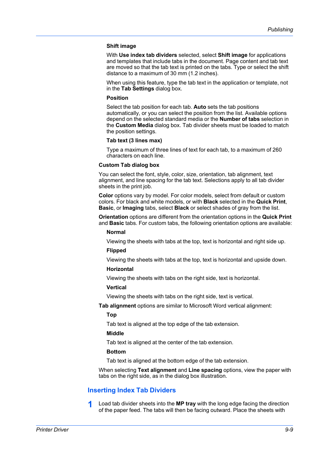#### **Shift image**

With **Use index tab dividers** selected, select **Shift image** for applications and templates that include tabs in the document. Page content and tab text are moved so that the tab text is printed on the tabs. Type or select the shift distance to a maximum of 30 mm (1.2 inches).

When using this feature, type the tab text in the application or template, not in the **Tab Settings** dialog box.

#### **Position**

Select the tab position for each tab. **Auto** sets the tab positions automatically, or you can select the position from the list. Available options depend on the selected standard media or the **Number of tabs** selection in the **Custom Media** dialog box. Tab divider sheets must be loaded to match the position settings.

#### **Tab text (3 lines max)**

Type a maximum of three lines of text for each tab, to a maximum of 260 characters on each line.

#### **Custom Tab dialog box**

You can select the font, style, color, size, orientation, tab alignment, text alignment, and line spacing for the tab text. Selections apply to all tab divider sheets in the print job.

**Color** options vary by model. For color models, select from default or custom colors. For black and white models, or with **Black** selected in the **Quick Print**, **Basic**, or **Imaging** tabs, select **Black** or select shades of gray from the list.

**Orientation** options are different from the orientation options in the **Quick Print** and **Basic** tabs. For custom tabs, the following orientation options are available:

#### **Normal**

Viewing the sheets with tabs at the top, text is horizontal and right side up.

#### **Flipped**

Viewing the sheets with tabs at the top, text is horizontal and upside down.

#### **Horizontal**

Viewing the sheets with tabs on the right side, text is horizontal.

#### **Vertical**

Viewing the sheets with tabs on the right side, text is vertical.

**Tab alignment** options are similar to Microsoft Word vertical alignment:

#### **Top**

Tab text is aligned at the top edge of the tab extension.

#### **Middle**

Tab text is aligned at the center of the tab extension.

#### **Bottom**

Tab text is aligned at the bottom edge of the tab extension.

When selecting **Text alignment** and **Line spacing** options, view the paper with tabs on the right side, as in the dialog box illustration.

## <span id="page-92-0"></span>**[Inserting Index Tab Dividers](#page-92-0)**

**1** Load tab divider sheets into the **MP tray** with the long edge facing the direction of the paper feed. The tabs will then be facing outward. Place the sheets with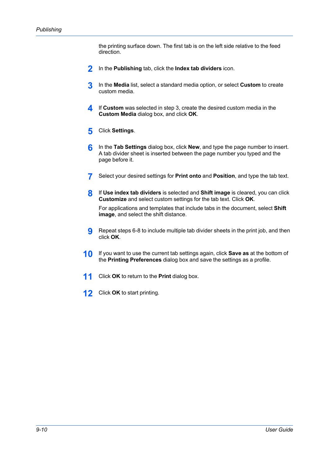the printing surface down. The first tab is on the left side relative to the feed direction.

- **2** In the **Publishing** tab, click the **Index tab dividers** icon.
- **3** In the **Media** list, select a standard media option, or select **Custom** to create custom media.
- **4** If **Custom** was selected in step 3, create the desired custom media in the **Custom Media** dialog box, and click **OK**.
- **5** Click **Settings**.
- **6** In the **Tab Settings** dialog box, click **New**, and type the page number to insert. A tab divider sheet is inserted between the page number you typed and the page before it.
- **7** Select your desired settings for **Print onto** and **Position**, and type the tab text.
- **8** If **Use index tab dividers** is selected and **Shift image** is cleared, you can click **Customize** and select custom settings for the tab text. Click **OK**.

For applications and templates that include tabs in the document, select **Shift image**, and select the shift distance.

- **9** Repeat steps 6-8 to include multiple tab divider sheets in the print job, and then click **OK**.
- **10** If you want to use the current tab settings again, click **Save as** at the bottom of the **Printing Preferences** dialog box and save the settings as a profile.
- **11** Click **OK** to return to the **Print** dialog box.
- **12** Click **OK** to start printing.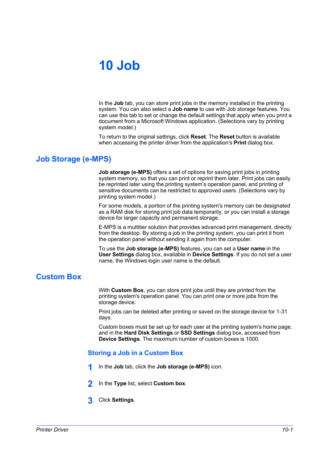# **10 Job**

In the **Job** tab, you can store print jobs in the memory installed in the printing system. You can also select a **Job name** to use with Job storage features. You can use this tab to set or change the default settings that apply when you print a document from a Microsoft Windows application. (Selections vary by printing system model.)

To return to the original settings, click **Reset**. The **Reset** button is available when accessing the printer driver from the application's **Print** dialog box.

# <span id="page-94-0"></span>**[Job Storage \(e-MPS\)](#page-94-0)**

**Job storage (e-MPS)** offers a set of options for saving print jobs in printing system memory, so that you can print or reprint them later. Print jobs can easily be reprinted later using the printing system's operation panel, and printing of sensitive documents can be restricted to approved users. (Selections vary by printing system model.)

For some models, a portion of the printing system's memory can be designated as a RAM disk for storing print job data temporarily, or you can install a storage device for larger capacity and permanent storage.

E-MPS is a multitier solution that provides advanced print management, directly from the desktop. By storing a job in the printing system, you can print it from the operation panel without sending it again from the computer.

To use the **Job storage (e-MPS)** features, you can set a **User name** in the **User Settings** dialog box, available in **Device Settings**. If you do not set a user name, the Windows login user name is the default.

# <span id="page-94-2"></span><span id="page-94-1"></span>**[Custom Box](#page-94-1)**

With **Custom Box**, you can store print jobs until they are printed from the printing system's operation panel. You can print one or more jobs from the storage device.

Print jobs can be deleted after printing or saved on the storage device for 1-31 days.

Custom boxes must be set up for each user at the printing system's home page, and in the **Hard Disk Settings** or **SSD Settings** dialog box, accessed from **Device Settings**. The maximum number of custom boxes is 1000.

# **[Storing a Job in a Custom Box](#page-94-2)**

- **1** In the **Job** tab, click the **Job storage (e-MPS)** icon.
- **2** In the **Type** list, select **Custom box**.
- **3** Click **Settings**.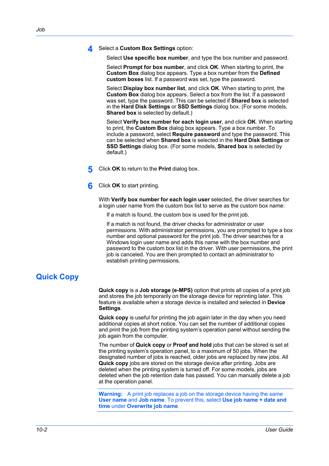**4** Select a **Custom Box Settings** option:

Select **Use specific box number**, and type the box number and password.

Select **Prompt for box number**, and click **OK**. When starting to print, the **Custom Box** dialog box appears. Type a box number from the **Defined custom boxes** list. If a password was set, type the password.

Select **Display box number list**, and click **OK**. When starting to print, the **Custom Box** dialog box appears. Select a box from the list. If a password was set, type the password. This can be selected if **Shared box** is selected in the **Hard Disk Settings** or **SSD Settings** dialog box. (For some models, **Shared box** is selected by default.)

Select **Verify box number for each login user**, and click **OK**. When starting to print, the **Custom Box** dialog box appears. Type a box number. To include a password, select **Require password** and type the password. This can be selected when **Shared box** is selected in the **Hard Disk Settings** or **SSD Settings** dialog box. (For some models, **Shared box** is selected by default.)

- **5** Click **OK** to return to the **Print** dialog box.
- **6** Click **OK** to start printing.

With **Verify box number for each login user** selected, the driver searches for a login user name from the custom box list to serve as the custom box name:

If a match is found, the custom box is used for the print job.

If a match is not found, the driver checks for administrator or user permissions. With administrator permissions, you are prompted to type a box number and optional password for the print job. The driver searches for a Windows login user name and adds this name with the box number and password to the custom box list in the driver. With user permissions, the print job is canceled. You are then prompted to contact an administrator to establish printing permissions.

# <span id="page-95-0"></span>**[Quick Copy](#page-95-0)**

**Quick copy** is a **Job storage (e-MPS)** option that prints all copies of a print job and stores the job temporarily on the storage device for reprinting later. This feature is available when a storage device is installed and selected in **Device Settings**.

**Quick copy** is useful for printing the job again later in the day when you need additional copies at short notice. You can set the number of additional copies and print the job from the printing system's operation panel without sending the job again from the computer.

The number of **Quick copy** or **Proof and hold** jobs that can be stored is set at the printing system's operation panel, to a maximum of 50 jobs. When the designated number of jobs is reached, older jobs are replaced by new jobs. All **Quick copy** jobs are stored on the storage device after printing. Jobs are deleted when the printing system is turned off. For some models, jobs are deleted when the job retention date has passed. You can manually delete a job at the operation panel.

**Warning:** A print job replaces a job on the storage device having the same **User name** and **Job name**. To prevent this, select **Use job name + date and time** under **Overwrite job name**.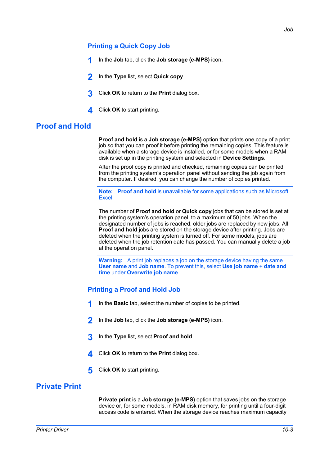## <span id="page-96-0"></span>**[Printing a Quick Copy Job](#page-96-0)**

- **1** In the **Job** tab, click the **Job storage (e-MPS)** icon.
- **2** In the **Type** list, select **Quick copy**.
- **3** Click **OK** to return to the **Print** dialog box.
- **4** Click **OK** to start printing.

# <span id="page-96-1"></span>**[Proof and Hold](#page-96-1)**

**Proof and hold** is a **Job storage (e-MPS)** option that prints one copy of a print job so that you can proof it before printing the remaining copies. This feature is available when a storage device is installed, or for some models when a RAM disk is set up in the printing system and selected in **Device Settings**.

After the proof copy is printed and checked, remaining copies can be printed from the printing system's operation panel without sending the job again from the computer. If desired, you can change the number of copies printed.

**Note: Proof and hold** is unavailable for some applications such as Microsoft Excel.

The number of **Proof and hold** or **Quick copy** jobs that can be stored is set at the printing system's operation panel, to a maximum of 50 jobs. When the designated number of jobs is reached, older jobs are replaced by new jobs. All **Proof and hold** jobs are stored on the storage device after printing. Jobs are deleted when the printing system is turned off. For some models, jobs are deleted when the job retention date has passed. You can manually delete a job at the operation panel.

**Warning:** A print job replaces a job on the storage device having the same **User name** and **Job name**. To prevent this, select **Use job name + date and time** under **Overwrite job name**.

## <span id="page-96-2"></span>**[Printing a Proof and Hold Job](#page-96-2)**

- **1** In the **Basic** tab, select the number of copies to be printed.
- **2** In the **Job** tab, click the **Job storage (e-MPS)** icon.
- **3** In the **Type** list, select **Proof and hold**.
- **4** Click **OK** to return to the **Print** dialog box.
- **5** Click **OK** to start printing.

# <span id="page-96-3"></span>**[Private Print](#page-96-3)**

**Private print** is a **Job storage (e-MPS)** option that saves jobs on the storage device or, for some models, in RAM disk memory, for printing until a four-digit access code is entered. When the storage device reaches maximum capacity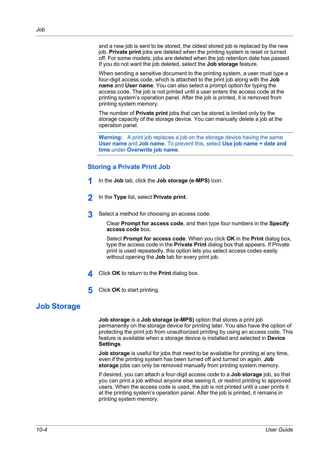and a new job is sent to be stored, the oldest stored job is replaced by the new job. **Private print** jobs are deleted when the printing system is reset or turned off. For some models, jobs are deleted when the job retention date has passed. If you do not want the job deleted, select the **Job storage** feature.

When sending a sensitive document to the printing system, a user must type a four-digit access code, which is attached to the print job along with the **Job name** and **User name**. You can also select a prompt option for typing the access code. The job is not printed until a user enters the access code at the printing system's operation panel. After the job is printed, it is removed from printing system memory.

The number of **Private print** jobs that can be stored is limited only by the storage capacity of the storage device. You can manually delete a job at the operation panel.

**Warning:** A print job replaces a job on the storage device having the same **User name** and **Job name**. To prevent this, select **Use job name + date and time** under **Overwrite job name**.

# <span id="page-97-0"></span>**[Storing a Private Print Job](#page-97-0)**

- **1** In the **Job** tab, click the **Job storage (e-MPS)** icon.
- **2** In the **Type** list, select **Private print**.
- **3** Select a method for choosing an access code:

Clear **Prompt for access code**, and then type four numbers in the **Specify access code** box.

Select **Prompt for access code**. When you click **OK** in the **Print** dialog box, type the access code in the **Private Print** dialog box that appears. If Private print is used repeatedly, this option lets you select access codes easily without opening the **Job** tab for every print job.

**4** Click **OK** to return to the **Print** dialog box.

**5** Click **OK** to start printing.

# <span id="page-97-1"></span>**[Job Storage](#page-97-1)**

**Job storage** is a **Job storage (e-MPS)** option that stores a print job permanently on the storage device for printing later. You also have the option of protecting the print job from unauthorized printing by using an access code. This feature is available when a storage device is installed and selected in **Device Settings**.

**Job storage** is useful for jobs that need to be available for printing at any time, even if the printing system has been turned off and turned on again. **Job storage** jobs can only be removed manually from printing system memory.

If desired, you can attach a four-digit access code to a **Job storage** job, so that you can print a job without anyone else seeing it, or restrict printing to approved users. When the access code is used, the job is not printed until a user prints it at the printing system's operation panel. After the job is printed, it remains in printing system memory.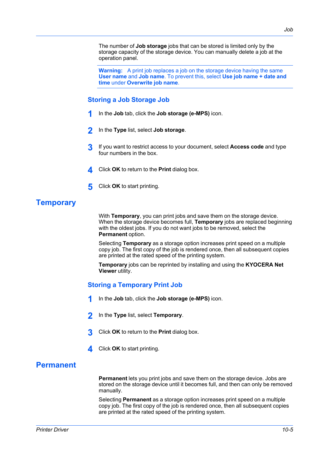The number of **Job storage** jobs that can be stored is limited only by the storage capacity of the storage device. You can manually delete a job at the operation panel.

**Warning:** A print job replaces a job on the storage device having the same **User name** and **Job name**. To prevent this, select **Use job name + date and time** under **Overwrite job name**.

# <span id="page-98-0"></span>**[Storing a Job Storage Job](#page-98-0)**

- **1** In the **Job** tab, click the **Job storage (e-MPS)** icon.
- **2** In the **Type** list, select **Job storage**.
- **3** If you want to restrict access to your document, select **Access code** and type four numbers in the box.
- **4** Click **OK** to return to the **Print** dialog box.
- **5** Click **OK** to start printing.

# <span id="page-98-1"></span>**[Temporary](#page-98-1)**

With **Temporary**, you can print jobs and save them on the storage device. When the storage device becomes full, **Temporary** jobs are replaced beginning with the oldest jobs. If you do not want jobs to be removed, select the **Permanent** option.

Selecting **Temporary** as a storage option increases print speed on a multiple copy job. The first copy of the job is rendered once, then all subsequent copies are printed at the rated speed of the printing system.

**Temporary** jobs can be reprinted by installing and using the **KYOCERA Net Viewer** utility.

# <span id="page-98-2"></span>**[Storing a Temporary Print Job](#page-98-2)**

- **1** In the **Job** tab, click the **Job storage (e-MPS)** icon.
- **2** In the **Type** list, select **Temporary**.
- **3** Click **OK** to return to the **Print** dialog box.
- **4** Click **OK** to start printing.

# <span id="page-98-3"></span>**[Permanent](#page-98-3)**

**Permanent** lets you print jobs and save them on the storage device. Jobs are stored on the storage device until it becomes full, and then can only be removed manually.

Selecting **Permanent** as a storage option increases print speed on a multiple copy job. The first copy of the job is rendered once, then all subsequent copies are printed at the rated speed of the printing system.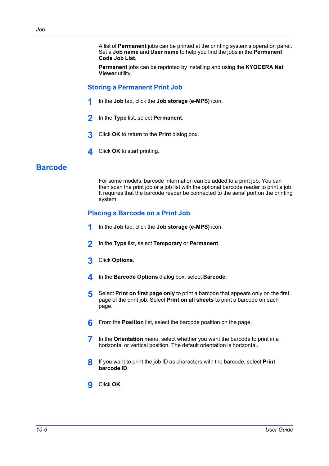A list of **Permanent** jobs can be printed at the printing system's operation panel. Set a **Job name** and **User name** to help you find the jobs in the **Permanent Code Job List**.

**Permanent** jobs can be reprinted by installing and using the **KYOCERA Net Viewer** utility.

# <span id="page-99-0"></span>**[Storing a Permanent Print Job](#page-99-0)**

- **1** In the **Job** tab, click the **Job storage (e-MPS)** icon.
- **2** In the **Type** list, select **Permanent**.
- **3** Click **OK** to return to the **Print** dialog box.
- **4** Click **OK** to start printing.

# <span id="page-99-2"></span><span id="page-99-1"></span>**[Barcode](#page-99-1)**

For some models, barcode information can be added to a print job. You can then scan the print job or a job list with the optional barcode reader to print a job. It requires that the barcode reader be connected to the serial port on the printing system.

# **[Placing a Barcode on a Print Job](#page-99-2)**

- **1** In the **Job** tab, click the **Job storage (e-MPS)** icon.
- **2** In the **Type** list, select **Temporary** or **Permanent**.
- **3** Click **Options**.
- **4** In the **Barcode Options** dialog box, select **Barcode**.
- **5** Select **Print on first page only** to print a barcode that appears only on the first page of the print job. Select **Print on all sheets** to print a barcode on each page.
- **6** From the **Position** list, select the barcode position on the page.
- **7** In the **Orientation** menu, select whether you want the barcode to print in a horizontal or vertical position. The default orientation is horizontal.
- **8** If you want to print the job ID as characters with the barcode, select **Print barcode ID**.
- **9** Click **OK**.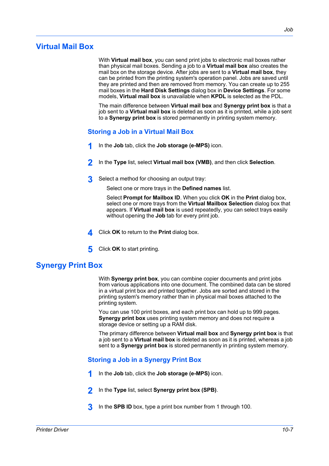<span id="page-100-0"></span>With **Virtual mail box**, you can send print jobs to electronic mail boxes rather than physical mail boxes. Sending a job to a **Virtual mail box** also creates the mail box on the storage device. After jobs are sent to a **Virtual mail box**, they can be printed from the printing system's operation panel. Jobs are saved until they are printed and then are removed from memory. You can create up to 255 mail boxes in the **Hard Disk Settings** dialog box in **Device Settings**. For some models, **Virtual mail box** is unavailable when **KPDL** is selected as the PDL.

The main difference between **Virtual mail box** and **Synergy print box** is that a job sent to a **Virtual mail box** is deleted as soon as it is printed, while a job sent to a **Synergy print box** is stored permanently in printing system memory.

# <span id="page-100-1"></span>**[Storing a Job in a Virtual Mail Box](#page-100-1)**

- **1** In the **Job** tab, click the **Job storage (e-MPS)** icon.
- **2** In the **Type** list, select **Virtual mail box (VMB)**, and then click **Selection**.
- **3** Select a method for choosing an output tray:

Select one or more trays in the **Defined names** list.

Select **Prompt for Mailbox ID**. When you click **OK** in the **Print** dialog box, select one or more trays from the **Virtual Mailbox Selection** dialog box that appears. If **Virtual mail box** is used repeatedly, you can select trays easily without opening the **Job** tab for every print job.

- **4** Click **OK** to return to the **Print** dialog box.
- **5** Click **OK** to start printing.

# <span id="page-100-2"></span>**[Synergy Print Box](#page-100-2)**

With **Synergy print box**, you can combine copier documents and print jobs from various applications into one document. The combined data can be stored in a virtual print box and printed together. Jobs are sorted and stored in the printing system's memory rather than in physical mail boxes attached to the printing system.

You can use 100 print boxes, and each print box can hold up to 999 pages. **Synergy print box** uses printing system memory and does not require a storage device or setting up a RAM disk.

The primary difference between **Virtual mail box** and **Synergy print box** is that a job sent to a **Virtual mail box** is deleted as soon as it is printed, whereas a job sent to a **Synergy print box** is stored permanently in printing system memory.

# <span id="page-100-3"></span>**[Storing a Job in a Synergy Print Box](#page-100-3)**

- **1** In the **Job** tab, click the **Job storage (e-MPS)** icon.
- **2** In the **Type** list, select **Synergy print box (SPB)**.
- **3** In the **SPB ID** box, type a print box number from 1 through 100.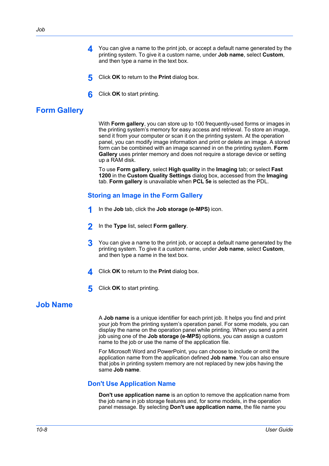- **4** You can give a name to the print job, or accept a default name generated by the printing system. To give it a custom name, under **Job name**, select **Custom**, and then type a name in the text box.
- **5** Click **OK** to return to the **Print** dialog box.
- **6** Click **OK** to start printing.

# <span id="page-101-0"></span>**[Form Gallery](#page-101-0)**

With **Form gallery**, you can store up to 100 frequently-used forms or images in the printing system's memory for easy access and retrieval. To store an image, send it from your computer or scan it on the printing system. At the operation panel, you can modify image information and print or delete an image. A stored form can be combined with an image scanned in on the printing system. **Form Gallery** uses printer memory and does not require a storage device or setting up a RAM disk.

To use **Form gallery**, select **High quality** in the **Imaging** tab; or select **Fast 1200** in the **Custom Quality Settings** dialog box, accessed from the **Imaging** tab. **Form gallery** is unavailable when **PCL 5e** is selected as the PDL.

## <span id="page-101-1"></span>**[Storing an Image in the Form Gallery](#page-101-1)**

- **1** In the **Job** tab, click the **Job storage (e-MPS)** icon.
- **2** In the **Type** list, select **Form gallery**.
- **3** You can give a name to the print job, or accept a default name generated by the printing system. To give it a custom name, under **Job name**, select **Custom**, and then type a name in the text box.
- **4** Click **OK** to return to the **Print** dialog box.
- **5** Click **OK** to start printing.

# <span id="page-101-3"></span><span id="page-101-2"></span>**[Job Name](#page-101-2)**

A **Job name** is a unique identifier for each print job. It helps you find and print your job from the printing system's operation panel. For some models, you can display the name on the operation panel while printing. When you send a print job using one of the **Job storage (e-MPS)** options, you can assign a custom name to the job or use the name of the application file.

For Microsoft Word and PowerPoint, you can choose to include or omit the application name from the application defined **Job name**. You can also ensure that jobs in printing system memory are not replaced by new jobs having the same **Job name**.

## **[Don't Use Application Name](#page-101-3)**

**Don't use application name** is an option to remove the application name from the job name in job storage features and, for some models, in the operation panel message. By selecting **Don't use application name**, the file name you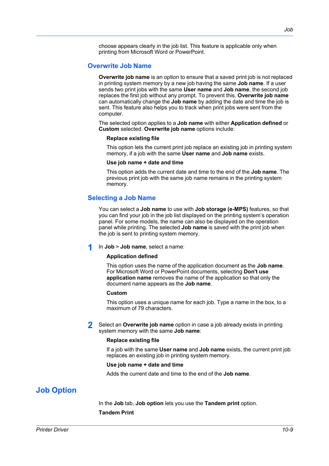*Job*

choose appears clearly in the job list. This feature is applicable only when printing from Microsoft Word or PowerPoint.

## <span id="page-102-0"></span>**[Overwrite Job Name](#page-102-0)**

**Overwrite job name** is an option to ensure that a saved print job is not replaced in printing system memory by a new job having the same **Job name**. If a user sends two print jobs with the same **User name** and **Job name**, the second job replaces the first job without any prompt. To prevent this, **Overwrite job name** can automatically change the **Job name** by adding the date and time the job is sent. This feature also helps you to track when print jobs were sent from the computer.

The selected option applies to a **Job name** with either **Application defined** or **Custom** selected. **Overwrite job name** options include:

#### **Replace existing file**

This option lets the current print job replace an existing job in printing system memory, if a job with the same **User name** and **Job name** exists.

#### **Use job name + date and time**

This option adds the current date and time to the end of the **Job name**. The previous print job with the same job name remains in the printing system memory.

# <span id="page-102-1"></span>**[Selecting a Job Name](#page-102-1)**

You can select a **Job name** to use with **Job storage (e-MPS)** features, so that you can find your job in the job list displayed on the printing system's operation panel. For some models, the name can also be displayed on the operation panel while printing. The selected **Job name** is saved with the print job when the job is sent to printing system memory.

#### **1** In **Job** <sup>&</sup>gt; **Job name**, select a name:

#### **Application defined**

This option uses the name of the application document as the **Job name**. For Microsoft Word or PowerPoint documents, selecting **Don't use application name** removes the name of the application so that only the document name appears as the **Job name**.

#### **Custom**

This option uses a unique name for each job. Type a name in the box, to a maximum of 79 characters.

**2** Select an **Overwrite job name** option in case a job already exists in printing system memory with the same **Job name**:

#### **Replace existing file**

If a job with the same **User name** and **Job name** exists, the current print job replaces an existing job in printing system memory.

#### **Use job name + date and time**

Adds the current date and time to the end of the **Job name**.

# <span id="page-102-2"></span>**[Job Option](#page-102-2)**

In the **Job** tab, **Job option** lets you use the **Tandem print** option. **Tandem Print**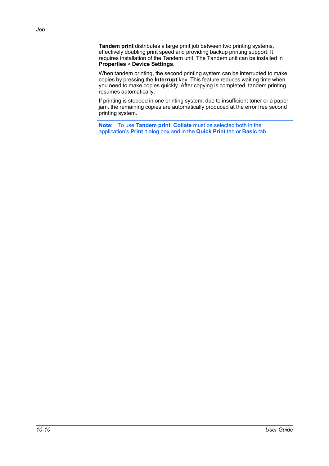**Tandem print** distributes a large print job between two printing systems, effectively doubling print speed and providing backup printing support. It requires installation of the Tandem unit. The Tandem unit can be installed in **Properties** > **Device Settings**.

When tandem printing, the second printing system can be interrupted to make copies by pressing the **Interrupt** key. This feature reduces waiting time when you need to make copies quickly. After copying is completed, tandem printing resumes automatically.

If printing is stopped in one printing system, due to insufficient toner or a paper jam, the remaining copies are automatically produced at the error free second printing system.

**Note:** To use **Tandem print**, **Collate** must be selected both in the application's **Print** dialog box and in the **Quick Print** tab or **Basic** tab.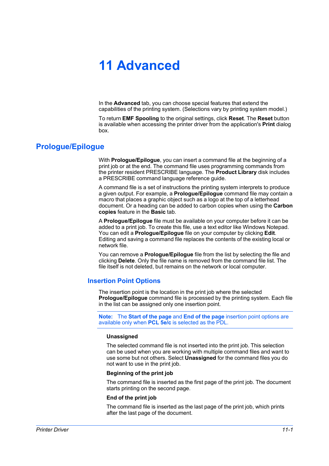# **11 Advanced**

In the **Advanced** tab, you can choose special features that extend the capabilities of the printing system. (Selections vary by printing system model.)

To return **EMF Spooling** to the original settings, click **Reset**. The **Reset** button is available when accessing the printer driver from the application's **Print** dialog box.

# <span id="page-104-0"></span>**[Prologue/Epilogue](#page-104-0)**

With **Prologue/Epilogue**, you can insert a command file at the beginning of a print job or at the end. The command file uses programming commands from the printer resident PRESCRIBE language. The **Product Library** disk includes a PRESCRIBE command language reference guide.

A command file is a set of instructions the printing system interprets to produce a given output. For example, a **Prologue/Epilogue** command file may contain a macro that places a graphic object such as a logo at the top of a letterhead document. Or a heading can be added to carbon copies when using the **Carbon copies** feature in the **Basic** tab.

A **Prologue/Epilogue** file must be available on your computer before it can be added to a print job. To create this file, use a text editor like Windows Notepad. You can edit a **Prologue/Epilogue** file on your computer by clicking **Edit**. Editing and saving a command file replaces the contents of the existing local or network file.

You can remove a **Prologue/Epilogue** file from the list by selecting the file and clicking **Delete**. Only the file name is removed from the command file list. The file itself is not deleted, but remains on the network or local computer.

## <span id="page-104-1"></span>**[Insertion Point Options](#page-104-1)**

The insertion point is the location in the print job where the selected **Prologue/Epilogue** command file is processed by the printing system. Each file in the list can be assigned only one insertion point.

**Note:** The **Start of the page** and **End of the page** insertion point options are available only when **PCL 5e/c** is selected as the PDL.

#### **Unassigned**

The selected command file is not inserted into the print job. This selection can be used when you are working with multiple command files and want to use some but not others. Select **Unassigned** for the command files you do not want to use in the print job.

#### **Beginning of the print job**

The command file is inserted as the first page of the print job. The document starts printing on the second page.

#### **End of the print job**

The command file is inserted as the last page of the print job, which prints after the last page of the document.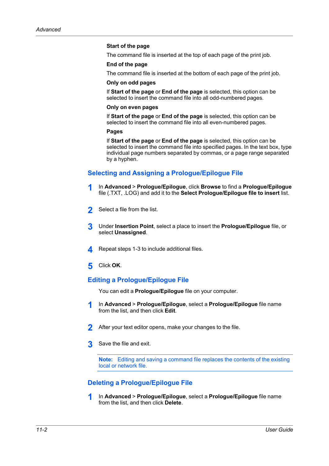#### **Start of the page**

The command file is inserted at the top of each page of the print job.

#### **End of the page**

The command file is inserted at the bottom of each page of the print job.

#### **Only on odd pages**

If **Start of the page** or **End of the page** is selected, this option can be selected to insert the command file into all odd-numbered pages.

#### **Only on even pages**

If **Start of the page** or **End of the page** is selected, this option can be selected to insert the command file into all even-numbered pages.

#### **Pages**

If **Start of the page** or **End of the page** is selected, this option can be selected to insert the command file into specified pages. In the text box, type individual page numbers separated by commas, or a page range separated by a hyphen.

# <span id="page-105-0"></span>**[Selecting and Assigning a Prologue/Epilogue File](#page-105-0)**

- **1** In **Advanced** <sup>&</sup>gt; **Prologue/Epilogue**, click **Browse** to find a **Prologue/Epilogue** file (.TXT, .LOG) and add it to the **Select Prologue/Epilogue file to insert** list.
- **2** Select a file from the list.
- **3** Under **Insertion Point**, select a place to insert the **Prologue/Epilogue** file, or select **Unassigned**.
- **4** Repeat steps 1-3 to include additional files.
- **5** Click **OK**.

## <span id="page-105-1"></span>**[Editing a Prologue/Epilogue File](#page-105-1)**

You can edit a **Prologue/Epilogue** file on your computer.

- **1** In **Advanced** <sup>&</sup>gt; **Prologue/Epilogue**, select a **Prologue/Epilogue** file name from the list, and then click **Edit**.
- **2** After your text editor opens, make your changes to the file.
- **3** Save the file and exit.

**Note:** Editing and saving a command file replaces the contents of the existing local or network file.

# <span id="page-105-2"></span>**[Deleting a Prologue/Epilogue File](#page-105-2)**

**1** In **Advanced** <sup>&</sup>gt; **Prologue/Epilogue**, select a **Prologue/Epilogue** file name from the list, and then click **Delete**.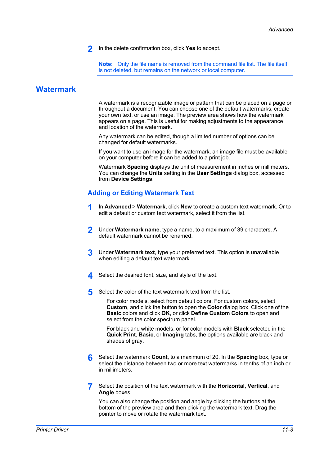**2** In the delete confirmation box, click **Yes** to accept.

**Note:** Only the file name is removed from the command file list. The file itself is not deleted, but remains on the network or local computer.

# <span id="page-106-0"></span>**[Watermark](#page-106-0)**

A watermark is a recognizable image or pattern that can be placed on a page or throughout a document. You can choose one of the default watermarks, create your own text, or use an image. The preview area shows how the watermark appears on a page. This is useful for making adjustments to the appearance and location of the watermark.

Any watermark can be edited, though a limited number of options can be changed for default watermarks.

If you want to use an image for the watermark, an image file must be available on your computer before it can be added to a print job.

Watermark **Spacing** displays the unit of measurement in inches or millimeters. You can change the **Units** setting in the **User Settings** dialog box, accessed from **Device Settings**.

## <span id="page-106-1"></span>**[Adding or Editing Watermark Text](#page-106-1)**

- **1** In **Advanced** <sup>&</sup>gt; **Watermark**, click **New** to create a custom text watermark. Or to edit a default or custom text watermark, select it from the list.
- **2** Under **Watermark name**, type a name, to a maximum of 39 characters. A default watermark cannot be renamed.
- **3** Under **Watermark text**, type your preferred text. This option is unavailable when editing a default text watermark.
- **4** Select the desired font, size, and style of the text.
- **5** Select the color of the text watermark text from the list.

For color models, select from default colors. For custom colors, select **Custom**, and click the button to open the **Color** dialog box. Click one of the **Basic** colors and click **OK**, or click **Define Custom Colors** to open and select from the color spectrum panel.

For black and white models, or for color models with **Black** selected in the **Quick Print**, **Basic**, or **Imaging** tabs, the options available are black and shades of gray.

- **6** Select the watermark **Count**, to a maximum of 20. In the **Spacing** box, type or select the distance between two or more text watermarks in tenths of an inch or in millimeters.
- **7** Select the position of the text watermark with the **Horizontal**, **Vertical**, and **Angle** boxes.

You can also change the position and angle by clicking the buttons at the bottom of the preview area and then clicking the watermark text. Drag the pointer to move or rotate the watermark text.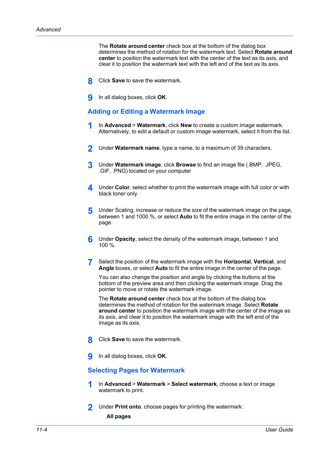The **Rotate around center** check box at the bottom of the dialog box determines the method of rotation for the watermark text. Select **Rotate around center** to position the watermark text with the center of the text as its axis, and clear it to position the watermark text with the left end of the text as its axis.

- **8** Click **Save** to save the watermark.
- **9** In all dialog boxes, click **OK**.

## <span id="page-107-0"></span>**[Adding or Editing a Watermark Image](#page-107-0)**

- **1** In **Advanced** <sup>&</sup>gt; **Watermark**, click **New** to create a custom image watermark. Alternatively, to edit a default or custom image watermark, select it from the list.
- **2** Under **Watermark name**, type a name, to a maximum of 39 characters.
- **3** Under **Watermark image**, click **Browse** to find an image file (.BMP, .JPEG, .GIF, .PNG) located on your computer
- **4** Under **Color**, select whether to print the watermark image with full color or with black toner only.
- **5** Under Scaling, increase or reduce the size of the watermark image on the page, between 1 and 1000 %, or select **Auto** to fit the entire image in the center of the page.
- **6** Under **Opacity**, select the density of the watermark image, between 1 and 100 %.
- **7** Select the position of the watermark image with the **Horizontal**, **Vertical**, and **Angle** boxes, or select **Auto** to fit the entire image in the center of the page.

You can also change the position and angle by clicking the buttons at the bottom of the preview area and then clicking the watermark image. Drag the pointer to move or rotate the watermark image.

The **Rotate around center** check box at the bottom of the dialog box determines the method of rotation for the watermark image. Select **Rotate around center** to position the watermark image with the center of the image as its axis, and clear it to position the watermark image with the left end of the image as its axis.

- **8** Click **Save** to save the watermark.
- **9** In all dialog boxes, click **OK**.

# <span id="page-107-1"></span>**[Selecting Pages for Watermark](#page-107-1)**

- **1** In **Advanced** <sup>&</sup>gt; **Watermark** <sup>&</sup>gt; **Select watermark**, choose a text or image watermark to print.
- **2** Under **Print onto**, choose pages for printing the watermark: **All pages**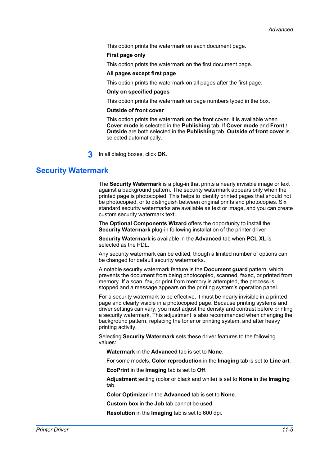This option prints the watermark on each document page.

#### **First page only**

This option prints the watermark on the first document page.

#### **All pages except first page**

This option prints the watermark on all pages after the first page.

#### **Only on specified pages**

This option prints the watermark on page numbers typed in the box.

#### **Outside of front cover**

This option prints the watermark on the front cover. It is available when **Cover mode** is selected in the **Publishing** tab. If **Cover mode** and **Front** / **Outside** are both selected in the **Publishing** tab, **Outside of front cover** is selected automatically.

**3** In all dialog boxes, click **OK**.

# <span id="page-108-0"></span>**[Security Watermark](#page-108-0)**

The **Security Watermark** is a plug-in that prints a nearly invisible image or text against a background pattern. The security watermark appears only when the printed page is photocopied. This helps to identify printed pages that should not be photocopied, or to distinguish between original prints and photocopies. Six standard security watermarks are available as text or image, and you can create custom security watermark text.

The **Optional Components Wizard** offers the opportunity to install the **Security Watermark** plug-in following installation of the printer driver.

**Security Watermark** is available in the **Advanced** tab when **PCL XL** is selected as the PDL.

Any security watermark can be edited, though a limited number of options can be changed for default security watermarks.

A notable security watermark feature is the **Document guard** pattern, which prevents the document from being photocopied, scanned, faxed, or printed from memory. If a scan, fax, or print from memory is attempted, the process is stopped and a message appears on the printing system's operation panel.

For a security watermark to be effective, it must be nearly invisible in a printed page and clearly visible in a photocopied page. Because printing systems and driver settings can vary, you must adjust the density and contrast before printing a security watermark. This adjustment is also recommended when changing the background pattern, replacing the toner or printing system, and after heavy printing activity.

Selecting **Security Watermark** sets these driver features to the following values:

**Watermark** in the **Advanced** tab is set to **None**.

For some models, **Color reproduction** in the **Imaging** tab is set to **Line art**.

**EcoPrint** in the **Imaging** tab is set to **Off**.

**Adjustment** setting (color or black and white) is set to **None** in the **Imaging** tab.

**Color Optimizer** in the **Advanced** tab is set to **None**.

**Custom box** in the **Job** tab cannot be used.

**Resolution** in the **Imaging** tab is set to 600 dpi.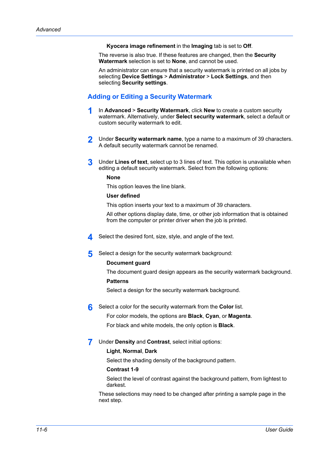#### **Kyocera image refinement** in the **Imaging** tab is set to **Off**.

The reverse is also true. If these features are changed, then the **Security Watermark** selection is set to **None**, and cannot be used.

An administrator can ensure that a security watermark is printed on all jobs by selecting **Device Settings** > **Administrator** > **Lock Settings**, and then selecting **Security settings**.

# <span id="page-109-0"></span>**[Adding or Editing a Security Watermark](#page-109-0)**

- **1** In **Advanced** <sup>&</sup>gt; **Security Watermark**, click **New** to create a custom security watermark. Alternatively, under **Select security watermark**, select a default or custom security watermark to edit.
- **2** Under **Security watermark name**, type a name to a maximum of 39 characters. A default security watermark cannot be renamed.
- **3** Under **Lines of text**, select up to 3 lines of text. This option is unavailable when editing a default security watermark. Select from the following options:

#### **None**

This option leaves the line blank.

#### **User defined**

This option inserts your text to a maximum of 39 characters.

All other options display date, time, or other job information that is obtained from the computer or printer driver when the job is printed.

- **4** Select the desired font, size, style, and angle of the text.
- **5** Select a design for the security watermark background:

#### **Document guard**

The document guard design appears as the security watermark background.

#### **Patterns**

Select a design for the security watermark background.

**6** Select a color for the security watermark from the **Color** list.

For color models, the options are **Black**, **Cyan**, or **Magenta**.

For black and white models, the only option is **Black**.

**7** Under **Density** and **Contrast**, select initial options:

#### **Light**, **Normal**, **Dark**

Select the shading density of the background pattern.

#### **Contrast 1-9**

Select the level of contrast against the background pattern, from lightest to darkest.

These selections may need to be changed after printing a sample page in the next step.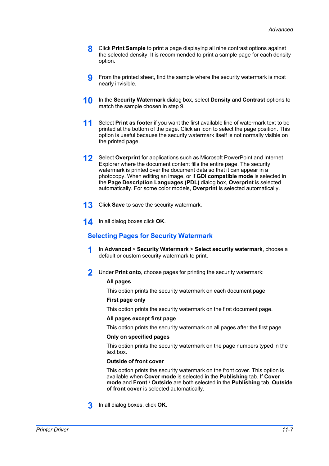- **8** Click **Print Sample** to print a page displaying all nine contrast options against the selected density. It is recommended to print a sample page for each density option.
- **9** From the printed sheet, find the sample where the security watermark is most nearly invisible.
- **10** In the **Security Watermark** dialog box, select **Density** and **Contrast** options to match the sample chosen in step 9.
- **11** Select **Print as footer** if you want the first available line of watermark text to be printed at the bottom of the page. Click an icon to select the page position. This option is useful because the security watermark itself is not normally visible on the printed page.
- **12** Select **Overprint** for applications such as Microsoft PowerPoint and Internet Explorer where the document content fills the entire page. The security watermark is printed over the document data so that it can appear in a photocopy. When editing an image, or if **GDI compatible mode** is selected in the **Page Description Languages (PDL)** dialog box, **Overprint** is selected automatically. For some color models, **Overprint** is selected automatically.
- **13** Click **Save** to save the security watermark.
- <span id="page-110-0"></span>**14** In all dialog boxes click **OK**.

# **[Selecting Pages for Security Watermark](#page-110-0)**

- **1** In **Advanced** <sup>&</sup>gt; **Security Watermark** <sup>&</sup>gt; **Select security watermark**, choose a default or custom security watermark to print.
- **2** Under **Print onto**, choose pages for printing the security watermark:

### **All pages**

This option prints the security watermark on each document page.

# **First page only**

This option prints the security watermark on the first document page.

#### **All pages except first page**

This option prints the security watermark on all pages after the first page.

#### **Only on specified pages**

This option prints the security watermark on the page numbers typed in the text box.

### **Outside of front cover**

This option prints the security watermark on the front cover. This option is available when **Cover mode** is selected in the **Publishing** tab. If **Cover mode** and **Front** / **Outside** are both selected in the **Publishing** tab, **Outside of front cover** is selected automatically.

**3** In all dialog boxes, click **OK**.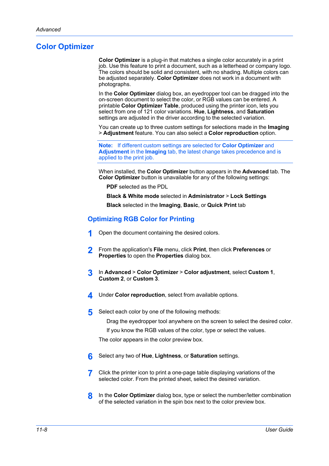# <span id="page-111-0"></span>**[Color Optimizer](#page-111-0)**

**Color Optimizer** is a plug-in that matches a single color accurately in a print job. Use this feature to print a document, such as a letterhead or company logo. The colors should be solid and consistent, with no shading. Multiple colors can be adjusted separately. **Color Optimizer** does not work in a document with photographs.

In the **Color Optimizer** dialog box, an eyedropper tool can be dragged into the on-screen document to select the color, or RGB values can be entered. A printable **Color Optimizer Table**, produced using the printer icon, lets you select from one of 121 color variations. **Hue**, **Lightness**, and **Saturation** settings are adjusted in the driver according to the selected variation.

You can create up to three custom settings for selections made in the **Imaging** > **Adjustment** feature. You can also select a **Color reproduction** option.

**Note:** If different custom settings are selected for **Color Optimizer** and **Adjustment** in the **Imaging** tab, the latest change takes precedence and is applied to the print job.

When installed, the **Color Optimizer** button appears in the **Advanced** tab. The **Color Optimizer** button is unavailable for any of the following settings:

**PDF** selected as the PDL

**Black & White mode** selected in **Administrator** > **Lock Settings Black** selected in the **Imaging**, **Basic**, or **Quick Print** tab

# <span id="page-111-1"></span>**[Optimizing RGB Color for Printing](#page-111-1)**

- **1** Open the document containing the desired colors.
- **2** From the application's **File** menu, click **Print**, then click **Preferences** or **Properties** to open the **Properties** dialog box.
- **3** In **Advanced** <sup>&</sup>gt; **Color Optimizer** <sup>&</sup>gt; **Color adjustment**, select **Custom 1**, **Custom 2**, or **Custom 3**.
- **4** Under **Color reproduction**, select from available options.
- **5** Select each color by one of the following methods:

Drag the eyedropper tool anywhere on the screen to select the desired color.

If you know the RGB values of the color, type or select the values.

The color appears in the color preview box.

- **6** Select any two of **Hue**, **Lightness**, or **Saturation** settings.
- **7** Click the printer icon to print a one-page table displaying variations of the selected color. From the printed sheet, select the desired variation.
- **8** In the **Color Optimizer** dialog box, type or select the number/letter combination of the selected variation in the spin box next to the color preview box.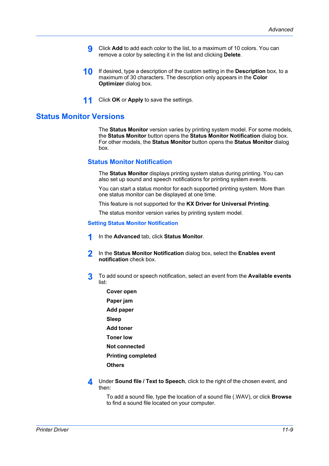- **9** Click **Add** to add each color to the list, to a maximum of 10 colors. You can remove a color by selecting it in the list and clicking **Delete**.
- **10** If desired, type a description of the custom setting in the **Description** box, to a maximum of 30 characters. The description only appears in the **Color Optimizer** dialog box.
- **11** Click **OK** or **Apply** to save the settings.

# <span id="page-112-1"></span><span id="page-112-0"></span>**[Status Monitor Versions](#page-112-0)**

The **Status Monitor** version varies by printing system model. For some models, the **Status Monitor** button opens the **Status Monitor Notification** dialog box. For other models, the **Status Monitor** button opens the **Status Monitor** dialog box.

# **[Status Monitor Notification](#page-112-1)**

The **Status Monitor** displays printing system status during printing. You can also set up sound and speech notifications for printing system events.

You can start a status monitor for each supported printing system. More than one status monitor can be displayed at one time.

This feature is not supported for the **KX Driver for Universal Printing**.

The status monitor version varies by printing system model.

#### <span id="page-112-2"></span>**[Setting Status Monitor Notification](#page-112-2)**

- **1** In the **Advanced** tab, click **Status Monitor**.
- **2** In the **Status Monitor Notification** dialog box, select the **Enables event notification** check box.
- **3** To add sound or speech notification, select an event from the **Available events** list:
	- **Cover open Paper jam Add paper Sleep Add toner**
	- **Toner low**
	- **Not connected**
	- **Printing completed**
	- **Others**
- **4** Under **Sound file / Text to Speech**, click to the right of the chosen event, and then:

To add a sound file, type the location of a sound file (.WAV), or click **Browse** to find a sound file located on your computer.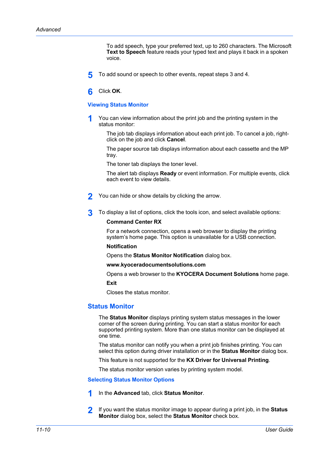To add speech, type your preferred text, up to 260 characters. The Microsoft **Text to Speech** feature reads your typed text and plays it back in a spoken voice.

- **5** To add sound or speech to other events, repeat steps 3 and 4.
- **6** Click **OK**.

#### <span id="page-113-0"></span>**[Viewing Status Monitor](#page-113-0)**

**1** You can view information about the print job and the printing system in the status monitor:

The job tab displays information about each print job. To cancel a job, rightclick on the job and click **Cancel**.

The paper source tab displays information about each cassette and the MP tray.

The toner tab displays the toner level.

The alert tab displays **Ready** or event information. For multiple events, click each event to view details.

- **2** You can hide or show details by clicking the arrow.
- **3** To display a list of options, click the tools icon, and select available options:

#### **Command Center RX**

For a network connection, opens a web browser to display the printing system's home page. This option is unavailable for a USB connection.

#### **Notification**

Opens the **Status Monitor Notification** dialog box.

**www.kyoceradocumentsolutions.com**

Opens a web browser to the **KYOCERA Document Solutions** home page.

**Exit**

Closes the status monitor.

# <span id="page-113-1"></span>**[Status Monitor](#page-113-1)**

The **Status Monitor** displays printing system status messages in the lower corner of the screen during printing. You can start a status monitor for each supported printing system. More than one status monitor can be displayed at one time.

The status monitor can notify you when a print job finishes printing. You can select this option during driver installation or in the **Status Monitor** dialog box.

This feature is not supported for the **KX Driver for Universal Printing**.

The status monitor version varies by printing system model.

<span id="page-113-2"></span>**[Selecting Status Monitor Options](#page-113-2)**

- **1** In the **Advanced** tab, click **Status Monitor**.
- **2** If you want the status monitor image to appear during a print job, in the **Status Monitor** dialog box, select the **Status Monitor** check box.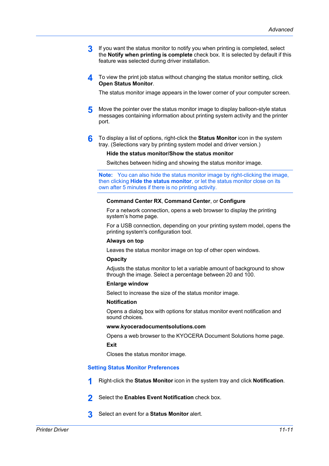- **3** If you want the status monitor to notify you when printing is completed, select the **Notify when printing is complete** check box. It is selected by default if this feature was selected during driver installation.
- **4** To view the print job status without changing the status monitor setting, click **Open Status Monitor**.

The status monitor image appears in the lower corner of your computer screen.

- **5** Move the pointer over the status monitor image to display balloon-style status messages containing information about printing system activity and the printer port.
- **6** To display a list of options, right-click the **Status Monitor** icon in the system tray. (Selections vary by printing system model and driver version.)

#### **Hide the status monitor/Show the status monitor**

Switches between hiding and showing the status monitor image.

**Note:** You can also hide the status monitor image by right-clicking the image, then clicking **Hide the status monitor**, or let the status monitor close on its own after 5 minutes if there is no printing activity.

#### **Command Center RX**, **Command Center**, or **Configure**

For a network connection, opens a web browser to display the printing system's home page.

For a USB connection, depending on your printing system model, opens the printing system's configuration tool.

### **Always on top**

Leaves the status monitor image on top of other open windows.

#### **Opacity**

Adjusts the status monitor to let a variable amount of background to show through the image. Select a percentage between 20 and 100.

#### **Enlarge window**

Select to increase the size of the status monitor image.

#### **Notification**

Opens a dialog box with options for status monitor event notification and sound choices.

#### **www.kyoceradocumentsolutions.com**

Opens a web browser to the KYOCERA Document Solutions home page.

**Exit**

Closes the status monitor image.

#### <span id="page-114-0"></span>**[Setting Status Monitor Preferences](#page-114-0)**

- **1** Right-click the **Status Monitor** icon in the system tray and click **Notification**.
- **2** Select the **Enables Event Notification** check box.
- **3** Select an event for a **Status Monitor** alert.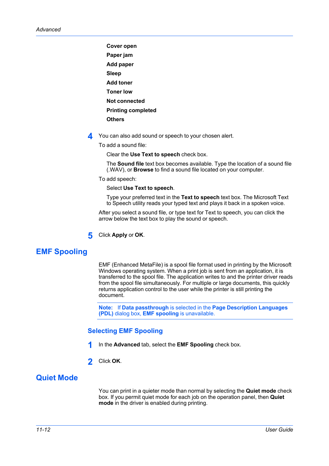**Cover open Paper jam Add paper Sleep Add toner Toner low Not connected Printing completed Others**

**4** You can also add sound or speech to your chosen alert.

To add a sound file:

Clear the **Use Text to speech** check box.

The **Sound file** text box becomes available. Type the location of a sound file (.WAV), or **Browse** to find a sound file located on your computer.

To add speech:

Select **Use Text to speech**.

Type your preferred text in the **Text to speech** text box. The Microsoft Text to Speech utility reads your typed text and plays it back in a spoken voice.

After you select a sound file, or type text for Text to speech, you can click the arrow below the text box to play the sound or speech.

**5** Click **Apply** or **OK**.

# <span id="page-115-0"></span>**[EMF Spooling](#page-115-0)**

EMF (Enhanced MetaFile) is a spool file format used in printing by the Microsoft Windows operating system. When a print job is sent from an application, it is transferred to the spool file. The application writes to and the printer driver reads from the spool file simultaneously. For multiple or large documents, this quickly returns application control to the user while the printer is still printing the document.

**Note:** If **Data passthrough** is selected in the **Page Description Languages (PDL)** dialog box, **EMF spooling** is unavailable.

# **[Selecting EMF Spooling](#page-115-1)**

- **1** In the **Advanced** tab, select the **EMF Spooling** check box.
- **2** Click **OK**.

# <span id="page-115-2"></span><span id="page-115-1"></span>**[Quiet Mode](#page-115-2)**

You can print in a quieter mode than normal by selecting the **Quiet mode** check box. If you permit quiet mode for each job on the operation panel, then **Quiet mode** in the driver is enabled during printing.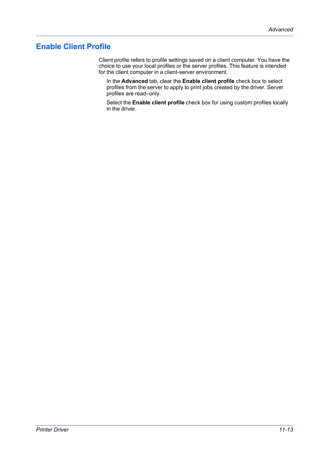# <span id="page-116-0"></span>**[Enable Client Profile](#page-116-0)**

Client profile refers to profile settings saved on a client computer. You have the choice to use your local profiles or the server profiles. This feature is intended for the client computer in a client-server environment.

In the **Advanced** tab, clear the **Enable client profile** check box to select profiles from the server to apply to print jobs created by the driver. Server profiles are read–only.

Select the **Enable client profile** check box for using custom profiles locally in the driver.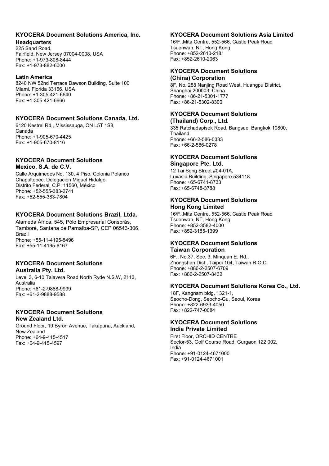# **KYOCERA Document Solutions America, Inc.**

#### **Headquarters**

225 Sand Road, Fairfield, New Jersey 07004-0008, USA Phone: +1-973-808-8444 Fax: +1-973-882-6000

#### **Latin America**

8240 NW 52nd Terrace Dawson Building, Suite 100 Miami, Florida 33166, USA Phone: +1-305-421-6640 Fax: +1-305-421-6666

# **KYOCERA Document Solutions Canada, Ltd.**

6120 Kestrel Rd., Mississauga, ON L5T 1S8, Canada Phone: +1-905-670-4425 Fax: +1-905-670-8116

# **KYOCERA Document Solutions Mexico, S.A. de C.V.**

Calle Arquimedes No. 130, 4 Piso, Colonia Polanco Chapultepec, Delegacion Miguel Hidalgo, Distrito Federal, C.P. 11560, México Phone: +52-555-383-2741 Fax: +52-555-383-7804

# **KYOCERA Document Solutions Brazil, Ltda.**

Alameda África, 545, Pólo Empresarial Consbrás, Tamboré, Santana de Parnaíba-SP, CEP 06543-306, Brazil Phone: +55-11-4195-8496 Fax: +55-11-4195-6167

#### **KYOCERA Document Solutions Australia Pty. Ltd.**

Level 3, 6-10 Talavera Road North Ryde N.S.W, 2113, Australia Phone: +61-2-9888-9999 Fax: +61-2-9888-9588

# **KYOCERA Document Solutions New Zealand Ltd.**

Ground Floor, 19 Byron Avenue, Takapuna, Auckland, New Zealand Phone: +64-9-415-4517 Fax: +64-9-415-4597

# **KYOCERA Document Solutions Asia Limited**

16/F.,Mita Centre, 552-566, Castle Peak Road Tsuenwan, NT, Hong Kong Phone: +852-2610-2181 Fax: +852-2610-2063

#### **KYOCERA Document Solutions (China) Corporation**

8F, No. 288 Nanjing Road West, Huangpu District, Shanghai,200003, China Phone: +86-21-5301-1777 Fax: +86-21-5302-8300

# **KYOCERA Document Solutions**

**(Thailand) Corp., Ltd.**  335 Ratchadapisek Road, Bangsue, Bangkok 10800, Thailand Phone: +66-2-586-0333 Fax: +66-2-586-0278

#### **KYOCERA Document Solutions Singapore Pte. Ltd.**

12 Tai Seng Street #04-01A, Luxasia Building, Singapore 534118 Phone: +65-6741-8733 Fax: +65-6748-3788

## **KYOCERA Document Solutions Hong Kong Limited**

16/F.,Mita Centre, 552-566, Castle Peak Road Tsuenwan, NT, Hong Kong Phone: +852-3582-4000 Fax: +852-3185-1399

#### **KYOCERA Document Solutions Taiwan Corporation**

6F., No.37, Sec. 3, Minquan E. Rd., Zhongshan Dist., Taipei 104, Taiwan R.O.C. Phone: +886-2-2507-6709 Fax: +886-2-2507-8432

#### **KYOCERA Document Solutions Korea Co., Ltd.**

18F, Kangnam bldg, 1321-1, Seocho-Dong, Seocho-Gu, Seoul, Korea Phone: +822-6933-4050 Fax: +822-747-0084

#### **KYOCERA Document Solutions India Private Limited**

First Floor, ORCHID CENTRE Sector-53, Golf Course Road, Gurgaon 122 002, India Phone: +91-0124-4671000 Fax: +91-0124-4671001